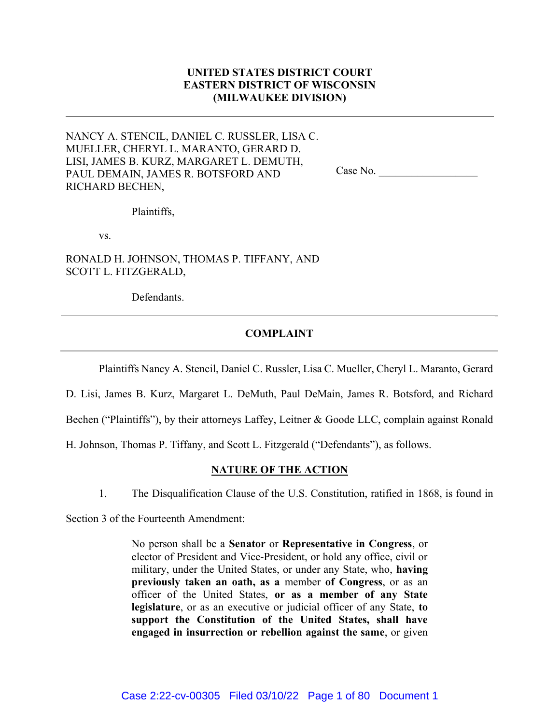# UNITED STATES DISTRICT COURT EASTERN DISTRICT OF WISCONSIN (MILWAUKEE DIVISION)

NANCY A. STENCIL, DANIEL C. RUSSLER, LISA C. MUELLER, CHERYL L. MARANTO, GERARD D. LISI, JAMES B. KURZ, MARGARET L. DEMUTH, PAUL DEMAIN, JAMES R. BOTSFORD AND RICHARD BECHEN,

Case No.

Plaintiffs,

vs.

RONALD H. JOHNSON, THOMAS P. TIFFANY, AND SCOTT L. FITZGERALD,

Defendants.

## COMPLAINT

Plaintiffs Nancy A. Stencil, Daniel C. Russler, Lisa C. Mueller, Cheryl L. Maranto, Gerard

D. Lisi, James B. Kurz, Margaret L. DeMuth, Paul DeMain, James R. Botsford, and Richard

Bechen ("Plaintiffs"), by their attorneys Laffey, Leitner & Goode LLC, complain against Ronald

H. Johnson, Thomas P. Tiffany, and Scott L. Fitzgerald ("Defendants"), as follows.

## NATURE OF THE ACTION

1. The Disqualification Clause of the U.S. Constitution, ratified in 1868, is found in

Section 3 of the Fourteenth Amendment:

No person shall be a Senator or Representative in Congress, or elector of President and Vice-President, or hold any office, civil or military, under the United States, or under any State, who, having previously taken an oath, as a member of Congress, or as an officer of the United States, or as a member of any State legislature, or as an executive or judicial officer of any State, to support the Constitution of the United States, shall have engaged in insurrection or rebellion against the same, or given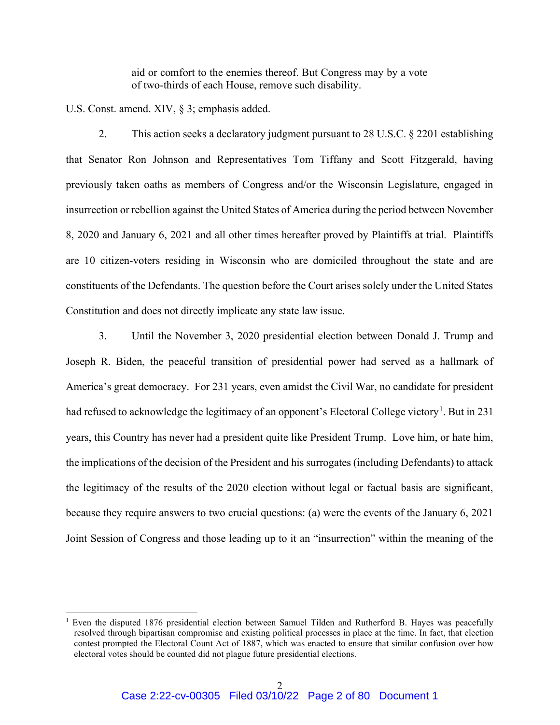aid or comfort to the enemies thereof. But Congress may by a vote of two-thirds of each House, remove such disability.

U.S. Const. amend. XIV, § 3; emphasis added.

2. This action seeks a declaratory judgment pursuant to 28 U.S.C. § 2201 establishing that Senator Ron Johnson and Representatives Tom Tiffany and Scott Fitzgerald, having previously taken oaths as members of Congress and/or the Wisconsin Legislature, engaged in insurrection or rebellion against the United States of America during the period between November 8, 2020 and January 6, 2021 and all other times hereafter proved by Plaintiffs at trial. Plaintiffs are 10 citizen-voters residing in Wisconsin who are domiciled throughout the state and are constituents of the Defendants. The question before the Court arises solely under the United States Constitution and does not directly implicate any state law issue.

3. Until the November 3, 2020 presidential election between Donald J. Trump and Joseph R. Biden, the peaceful transition of presidential power had served as a hallmark of America's great democracy. For 231 years, even amidst the Civil War, no candidate for president had refused to acknowledge the legitimacy of an opponent's Electoral College victory<sup>1</sup>. But in 231 years, this Country has never had a president quite like President Trump. Love him, or hate him, the implications of the decision of the President and his surrogates (including Defendants) to attack the legitimacy of the results of the 2020 election without legal or factual basis are significant, because they require answers to two crucial questions: (a) were the events of the January 6, 2021 Joint Session of Congress and those leading up to it an "insurrection" within the meaning of the

<sup>&</sup>lt;sup>1</sup> Even the disputed 1876 presidential election between Samuel Tilden and Rutherford B. Hayes was peacefully resolved through bipartisan compromise and existing political processes in place at the time. In fact, that election contest prompted the Electoral Count Act of 1887, which was enacted to ensure that similar confusion over how electoral votes should be counted did not plague future presidential elections.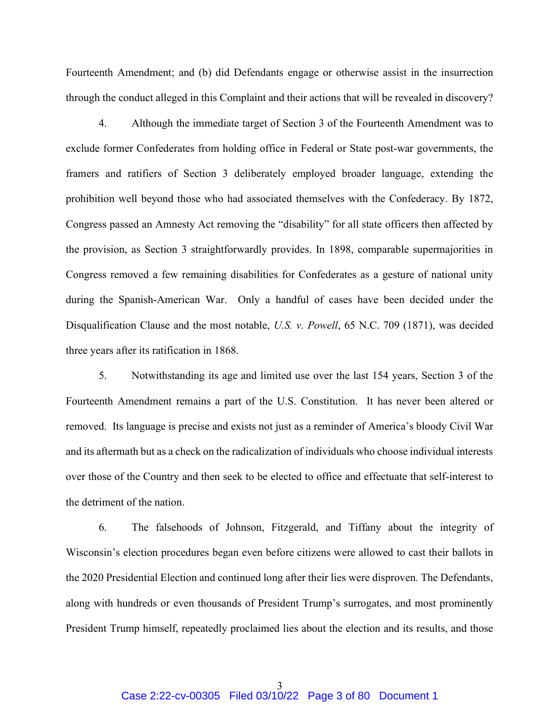Fourteenth Amendment; and (b) did Defendants engage or otherwise assist in the insurrection through the conduct alleged in this Complaint and their actions that will be revealed in discovery?

4. Although the immediate target of Section 3 of the Fourteenth Amendment was to exclude former Confederates from holding office in Federal or State post-war governments, the framers and ratifiers of Section 3 deliberately employed broader language, extending the prohibition well beyond those who had associated themselves with the Confederacy. By 1872, Congress passed an Amnesty Act removing the "disability" for all state officers then affected by the provision, as Section 3 straightforwardly provides. In 1898, comparable supermajorities in Congress removed a few remaining disabilities for Confederates as a gesture of national unity during the Spanish-American War. Only a handful of cases have been decided under the Disqualification Clause and the most notable, U.S. v. Powell, 65 N.C. 709 (1871), was decided three years after its ratification in 1868.

5. Notwithstanding its age and limited use over the last 154 years, Section 3 of the Fourteenth Amendment remains a part of the U.S. Constitution. It has never been altered or removed. Its language is precise and exists not just as a reminder of America's bloody Civil War and its aftermath but as a check on the radicalization of individuals who choose individual interests over those of the Country and then seek to be elected to office and effectuate that self-interest to the detriment of the nation.

6. The falsehoods of Johnson, Fitzgerald, and Tiffany about the integrity of Wisconsin's election procedures began even before citizens were allowed to cast their ballots in the 2020 Presidential Election and continued long after their lies were disproven. The Defendants, along with hundreds or even thousands of President Trump's surrogates, and most prominently President Trump himself, repeatedly proclaimed lies about the election and its results, and those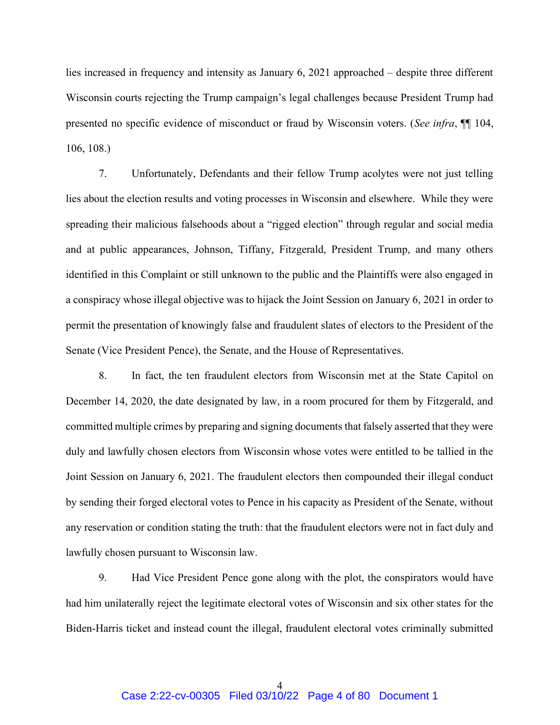lies increased in frequency and intensity as January 6, 2021 approached – despite three different Wisconsin courts rejecting the Trump campaign's legal challenges because President Trump had presented no specific evidence of misconduct or fraud by Wisconsin voters. (See infra,  $\P$  104, 106, 108.)

7. Unfortunately, Defendants and their fellow Trump acolytes were not just telling lies about the election results and voting processes in Wisconsin and elsewhere. While they were spreading their malicious falsehoods about a "rigged election" through regular and social media and at public appearances, Johnson, Tiffany, Fitzgerald, President Trump, and many others identified in this Complaint or still unknown to the public and the Plaintiffs were also engaged in a conspiracy whose illegal objective was to hijack the Joint Session on January 6, 2021 in order to permit the presentation of knowingly false and fraudulent slates of electors to the President of the Senate (Vice President Pence), the Senate, and the House of Representatives.

8. In fact, the ten fraudulent electors from Wisconsin met at the State Capitol on December 14, 2020, the date designated by law, in a room procured for them by Fitzgerald, and committed multiple crimes by preparing and signing documents that falsely asserted that they were duly and lawfully chosen electors from Wisconsin whose votes were entitled to be tallied in the Joint Session on January 6, 2021. The fraudulent electors then compounded their illegal conduct by sending their forged electoral votes to Pence in his capacity as President of the Senate, without any reservation or condition stating the truth: that the fraudulent electors were not in fact duly and lawfully chosen pursuant to Wisconsin law.

9. Had Vice President Pence gone along with the plot, the conspirators would have had him unilaterally reject the legitimate electoral votes of Wisconsin and six other states for the Biden-Harris ticket and instead count the illegal, fraudulent electoral votes criminally submitted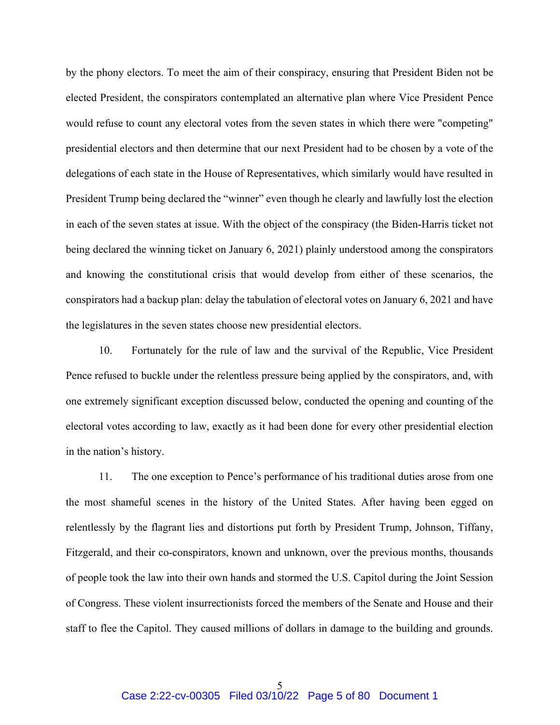by the phony electors. To meet the aim of their conspiracy, ensuring that President Biden not be elected President, the conspirators contemplated an alternative plan where Vice President Pence would refuse to count any electoral votes from the seven states in which there were "competing" presidential electors and then determine that our next President had to be chosen by a vote of the delegations of each state in the House of Representatives, which similarly would have resulted in President Trump being declared the "winner" even though he clearly and lawfully lost the election in each of the seven states at issue. With the object of the conspiracy (the Biden-Harris ticket not being declared the winning ticket on January 6, 2021) plainly understood among the conspirators and knowing the constitutional crisis that would develop from either of these scenarios, the conspirators had a backup plan: delay the tabulation of electoral votes on January 6, 2021 and have the legislatures in the seven states choose new presidential electors.

10. Fortunately for the rule of law and the survival of the Republic, Vice President Pence refused to buckle under the relentless pressure being applied by the conspirators, and, with one extremely significant exception discussed below, conducted the opening and counting of the electoral votes according to law, exactly as it had been done for every other presidential election in the nation's history.

11. The one exception to Pence's performance of his traditional duties arose from one the most shameful scenes in the history of the United States. After having been egged on relentlessly by the flagrant lies and distortions put forth by President Trump, Johnson, Tiffany, Fitzgerald, and their co-conspirators, known and unknown, over the previous months, thousands of people took the law into their own hands and stormed the U.S. Capitol during the Joint Session of Congress. These violent insurrectionists forced the members of the Senate and House and their staff to flee the Capitol. They caused millions of dollars in damage to the building and grounds.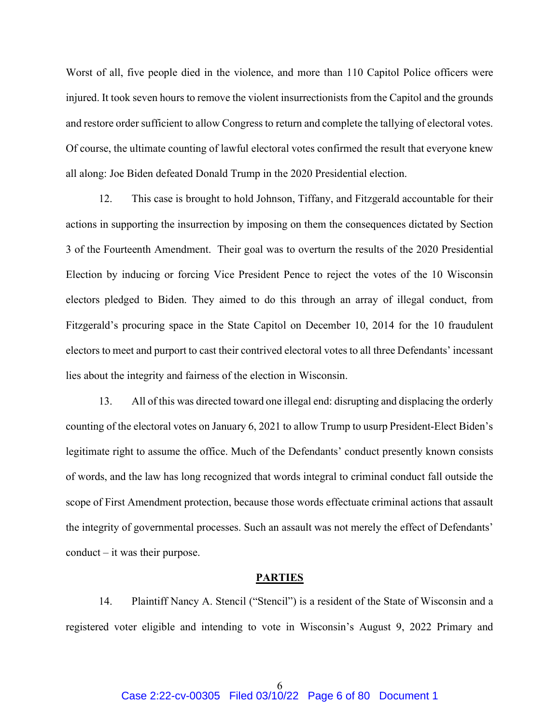Worst of all, five people died in the violence, and more than 110 Capitol Police officers were injured. It took seven hours to remove the violent insurrectionists from the Capitol and the grounds and restore order sufficient to allow Congress to return and complete the tallying of electoral votes. Of course, the ultimate counting of lawful electoral votes confirmed the result that everyone knew all along: Joe Biden defeated Donald Trump in the 2020 Presidential election.

12. This case is brought to hold Johnson, Tiffany, and Fitzgerald accountable for their actions in supporting the insurrection by imposing on them the consequences dictated by Section 3 of the Fourteenth Amendment. Their goal was to overturn the results of the 2020 Presidential Election by inducing or forcing Vice President Pence to reject the votes of the 10 Wisconsin electors pledged to Biden. They aimed to do this through an array of illegal conduct, from Fitzgerald's procuring space in the State Capitol on December 10, 2014 for the 10 fraudulent electors to meet and purport to cast their contrived electoral votes to all three Defendants' incessant lies about the integrity and fairness of the election in Wisconsin.

13. All of this was directed toward one illegal end: disrupting and displacing the orderly counting of the electoral votes on January 6, 2021 to allow Trump to usurp President-Elect Biden's legitimate right to assume the office. Much of the Defendants' conduct presently known consists of words, and the law has long recognized that words integral to criminal conduct fall outside the scope of First Amendment protection, because those words effectuate criminal actions that assault the integrity of governmental processes. Such an assault was not merely the effect of Defendants' conduct  $-$  it was their purpose.

#### PARTIES

14. Plaintiff Nancy A. Stencil ("Stencil") is a resident of the State of Wisconsin and a registered voter eligible and intending to vote in Wisconsin's August 9, 2022 Primary and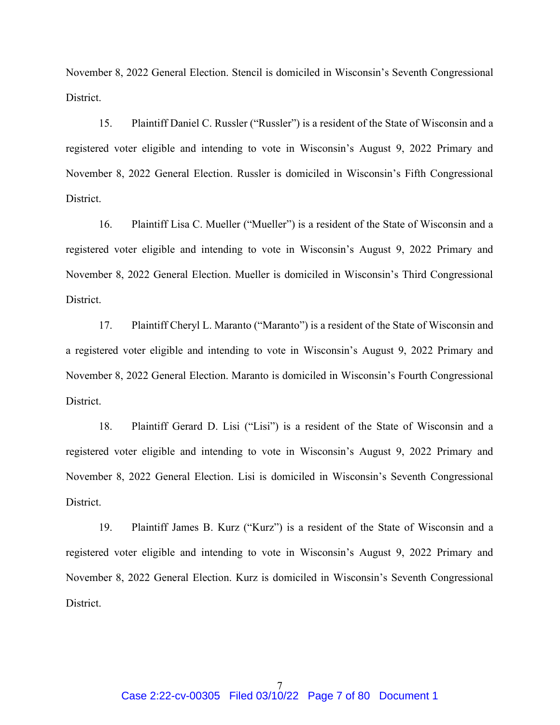November 8, 2022 General Election. Stencil is domiciled in Wisconsin's Seventh Congressional District.

15. Plaintiff Daniel C. Russler ("Russler") is a resident of the State of Wisconsin and a registered voter eligible and intending to vote in Wisconsin's August 9, 2022 Primary and November 8, 2022 General Election. Russler is domiciled in Wisconsin's Fifth Congressional District.

16. Plaintiff Lisa C. Mueller ("Mueller") is a resident of the State of Wisconsin and a registered voter eligible and intending to vote in Wisconsin's August 9, 2022 Primary and November 8, 2022 General Election. Mueller is domiciled in Wisconsin's Third Congressional District.

17. Plaintiff Cheryl L. Maranto ("Maranto") is a resident of the State of Wisconsin and a registered voter eligible and intending to vote in Wisconsin's August 9, 2022 Primary and November 8, 2022 General Election. Maranto is domiciled in Wisconsin's Fourth Congressional District.

18. Plaintiff Gerard D. Lisi ("Lisi") is a resident of the State of Wisconsin and a registered voter eligible and intending to vote in Wisconsin's August 9, 2022 Primary and November 8, 2022 General Election. Lisi is domiciled in Wisconsin's Seventh Congressional District.

19. Plaintiff James B. Kurz ("Kurz") is a resident of the State of Wisconsin and a registered voter eligible and intending to vote in Wisconsin's August 9, 2022 Primary and November 8, 2022 General Election. Kurz is domiciled in Wisconsin's Seventh Congressional District.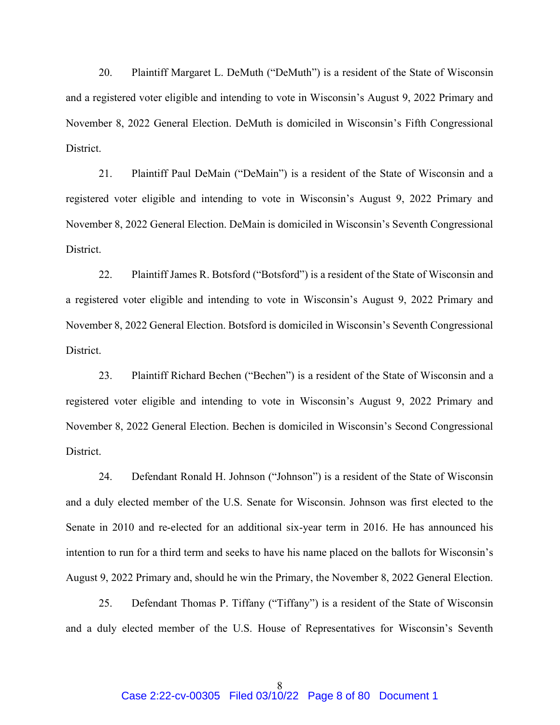20. Plaintiff Margaret L. DeMuth ("DeMuth") is a resident of the State of Wisconsin and a registered voter eligible and intending to vote in Wisconsin's August 9, 2022 Primary and November 8, 2022 General Election. DeMuth is domiciled in Wisconsin's Fifth Congressional District.

21. Plaintiff Paul DeMain ("DeMain") is a resident of the State of Wisconsin and a registered voter eligible and intending to vote in Wisconsin's August 9, 2022 Primary and November 8, 2022 General Election. DeMain is domiciled in Wisconsin's Seventh Congressional District.

22. Plaintiff James R. Botsford ("Botsford") is a resident of the State of Wisconsin and a registered voter eligible and intending to vote in Wisconsin's August 9, 2022 Primary and November 8, 2022 General Election. Botsford is domiciled in Wisconsin's Seventh Congressional District.

23. Plaintiff Richard Bechen ("Bechen") is a resident of the State of Wisconsin and a registered voter eligible and intending to vote in Wisconsin's August 9, 2022 Primary and November 8, 2022 General Election. Bechen is domiciled in Wisconsin's Second Congressional District.

24. Defendant Ronald H. Johnson ("Johnson") is a resident of the State of Wisconsin and a duly elected member of the U.S. Senate for Wisconsin. Johnson was first elected to the Senate in 2010 and re-elected for an additional six-year term in 2016. He has announced his intention to run for a third term and seeks to have his name placed on the ballots for Wisconsin's August 9, 2022 Primary and, should he win the Primary, the November 8, 2022 General Election.

25. Defendant Thomas P. Tiffany ("Tiffany") is a resident of the State of Wisconsin and a duly elected member of the U.S. House of Representatives for Wisconsin's Seventh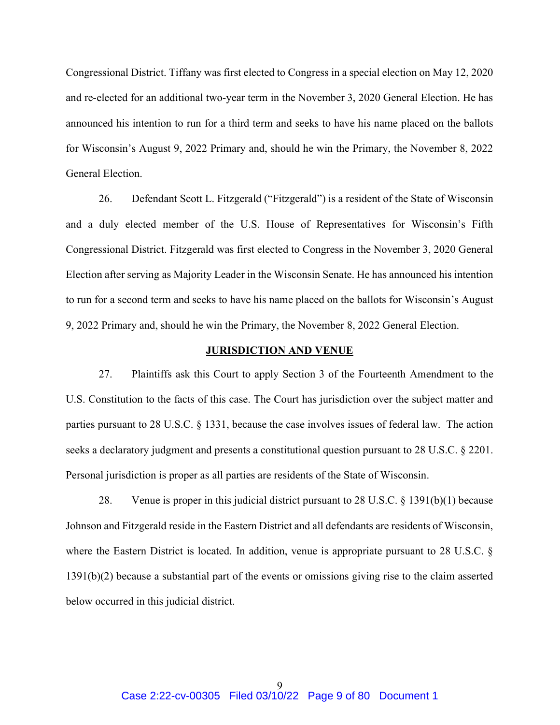Congressional District. Tiffany was first elected to Congress in a special election on May 12, 2020 and re-elected for an additional two-year term in the November 3, 2020 General Election. He has announced his intention to run for a third term and seeks to have his name placed on the ballots for Wisconsin's August 9, 2022 Primary and, should he win the Primary, the November 8, 2022 General Election.

26. Defendant Scott L. Fitzgerald ("Fitzgerald") is a resident of the State of Wisconsin and a duly elected member of the U.S. House of Representatives for Wisconsin's Fifth Congressional District. Fitzgerald was first elected to Congress in the November 3, 2020 General Election after serving as Majority Leader in the Wisconsin Senate. He has announced his intention to run for a second term and seeks to have his name placed on the ballots for Wisconsin's August 9, 2022 Primary and, should he win the Primary, the November 8, 2022 General Election.

#### **JURISDICTION AND VENUE**

27. Plaintiffs ask this Court to apply Section 3 of the Fourteenth Amendment to the U.S. Constitution to the facts of this case. The Court has jurisdiction over the subject matter and parties pursuant to 28 U.S.C. § 1331, because the case involves issues of federal law. The action seeks a declaratory judgment and presents a constitutional question pursuant to 28 U.S.C. § 2201. Personal jurisdiction is proper as all parties are residents of the State of Wisconsin.

28. Venue is proper in this judicial district pursuant to 28 U.S.C. § 1391(b)(1) because Johnson and Fitzgerald reside in the Eastern District and all defendants are residents of Wisconsin, where the Eastern District is located. In addition, venue is appropriate pursuant to 28 U.S.C. § 1391(b)(2) because a substantial part of the events or omissions giving rise to the claim asserted below occurred in this judicial district.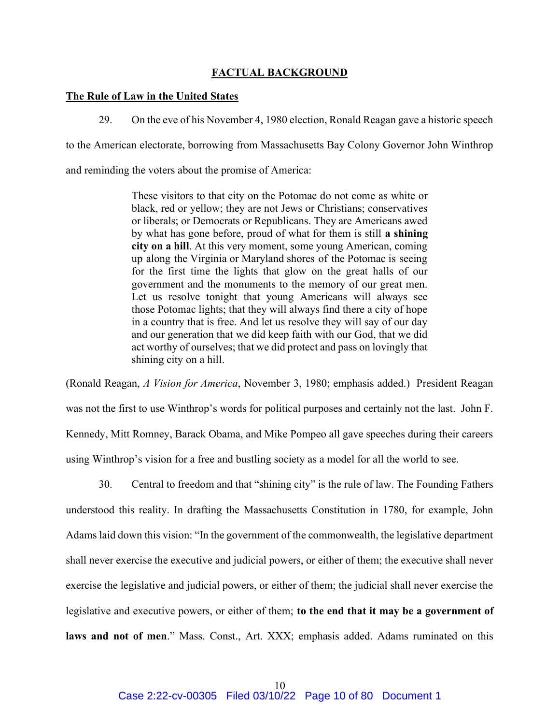## FACTUAL BACKGROUND

### The Rule of Law in the United States

29. On the eve of his November 4, 1980 election, Ronald Reagan gave a historic speech

to the American electorate, borrowing from Massachusetts Bay Colony Governor John Winthrop

and reminding the voters about the promise of America:

These visitors to that city on the Potomac do not come as white or black, red or yellow; they are not Jews or Christians; conservatives or liberals; or Democrats or Republicans. They are Americans awed by what has gone before, proud of what for them is still a shining city on a hill. At this very moment, some young American, coming up along the Virginia or Maryland shores of the Potomac is seeing for the first time the lights that glow on the great halls of our government and the monuments to the memory of our great men. Let us resolve tonight that young Americans will always see those Potomac lights; that they will always find there a city of hope in a country that is free. And let us resolve they will say of our day and our generation that we did keep faith with our God, that we did act worthy of ourselves; that we did protect and pass on lovingly that shining city on a hill.

(Ronald Reagan, A Vision for America, November 3, 1980; emphasis added.) President Reagan was not the first to use Winthrop's words for political purposes and certainly not the last. John F. Kennedy, Mitt Romney, Barack Obama, and Mike Pompeo all gave speeches during their careers using Winthrop's vision for a free and bustling society as a model for all the world to see.

30. Central to freedom and that "shining city" is the rule of law. The Founding Fathers understood this reality. In drafting the Massachusetts Constitution in 1780, for example, John Adams laid down this vision: "In the government of the commonwealth, the legislative department shall never exercise the executive and judicial powers, or either of them; the executive shall never exercise the legislative and judicial powers, or either of them; the judicial shall never exercise the legislative and executive powers, or either of them; to the end that it may be a government of laws and not of men." Mass. Const., Art. XXX; emphasis added. Adams ruminated on this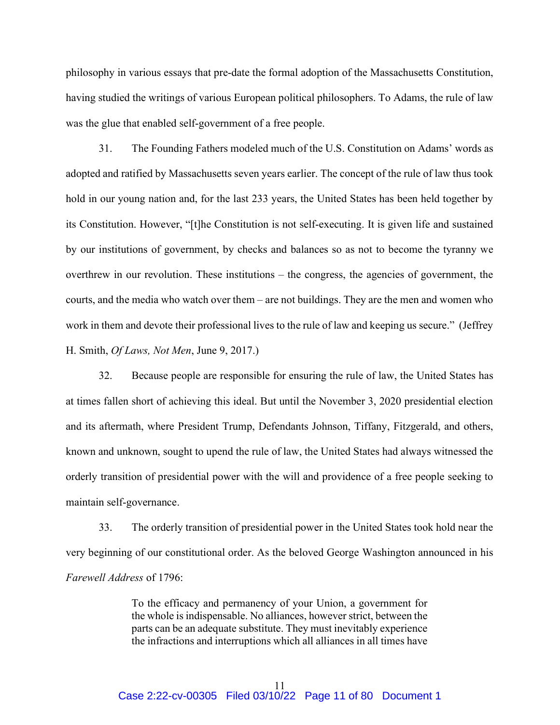philosophy in various essays that pre-date the formal adoption of the Massachusetts Constitution, having studied the writings of various European political philosophers. To Adams, the rule of law was the glue that enabled self-government of a free people.

31. The Founding Fathers modeled much of the U.S. Constitution on Adams' words as adopted and ratified by Massachusetts seven years earlier. The concept of the rule of law thus took hold in our young nation and, for the last 233 years, the United States has been held together by its Constitution. However, "[t]he Constitution is not self-executing. It is given life and sustained by our institutions of government, by checks and balances so as not to become the tyranny we overthrew in our revolution. These institutions – the congress, the agencies of government, the courts, and the media who watch over them – are not buildings. They are the men and women who work in them and devote their professional lives to the rule of law and keeping us secure." (Jeffrey H. Smith, Of Laws, Not Men, June 9, 2017.)

32. Because people are responsible for ensuring the rule of law, the United States has at times fallen short of achieving this ideal. But until the November 3, 2020 presidential election and its aftermath, where President Trump, Defendants Johnson, Tiffany, Fitzgerald, and others, known and unknown, sought to upend the rule of law, the United States had always witnessed the orderly transition of presidential power with the will and providence of a free people seeking to maintain self-governance.

33. The orderly transition of presidential power in the United States took hold near the very beginning of our constitutional order. As the beloved George Washington announced in his Farewell Address of 1796:

> To the efficacy and permanency of your Union, a government for the whole is indispensable. No alliances, however strict, between the parts can be an adequate substitute. They must inevitably experience the infractions and interruptions which all alliances in all times have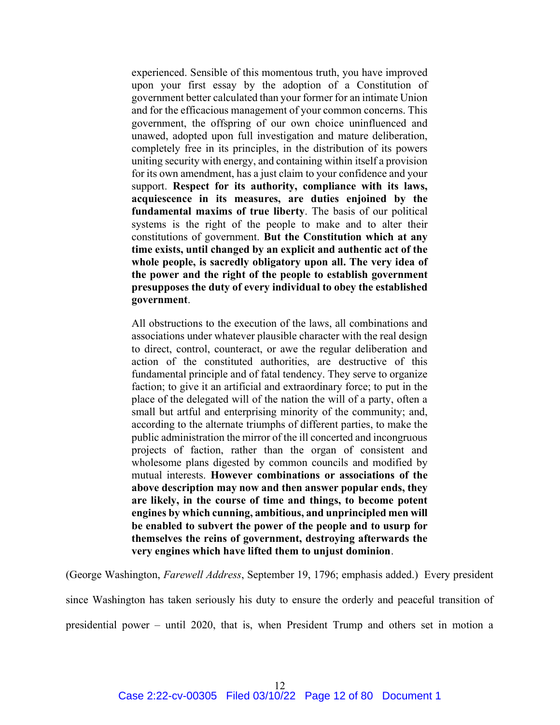experienced. Sensible of this momentous truth, you have improved upon your first essay by the adoption of a Constitution of government better calculated than your former for an intimate Union and for the efficacious management of your common concerns. This government, the offspring of our own choice uninfluenced and unawed, adopted upon full investigation and mature deliberation, completely free in its principles, in the distribution of its powers uniting security with energy, and containing within itself a provision for its own amendment, has a just claim to your confidence and your support. Respect for its authority, compliance with its laws, acquiescence in its measures, are duties enjoined by the fundamental maxims of true liberty. The basis of our political systems is the right of the people to make and to alter their constitutions of government. But the Constitution which at any time exists, until changed by an explicit and authentic act of the whole people, is sacredly obligatory upon all. The very idea of the power and the right of the people to establish government presupposes the duty of every individual to obey the established government.

All obstructions to the execution of the laws, all combinations and associations under whatever plausible character with the real design to direct, control, counteract, or awe the regular deliberation and action of the constituted authorities, are destructive of this fundamental principle and of fatal tendency. They serve to organize faction; to give it an artificial and extraordinary force; to put in the place of the delegated will of the nation the will of a party, often a small but artful and enterprising minority of the community; and, according to the alternate triumphs of different parties, to make the public administration the mirror of the ill concerted and incongruous projects of faction, rather than the organ of consistent and wholesome plans digested by common councils and modified by mutual interests. However combinations or associations of the above description may now and then answer popular ends, they are likely, in the course of time and things, to become potent engines by which cunning, ambitious, and unprincipled men will be enabled to subvert the power of the people and to usurp for themselves the reins of government, destroying afterwards the very engines which have lifted them to unjust dominion.

(George Washington, Farewell Address, September 19, 1796; emphasis added.) Every president

since Washington has taken seriously his duty to ensure the orderly and peaceful transition of presidential power – until 2020, that is, when President Trump and others set in motion a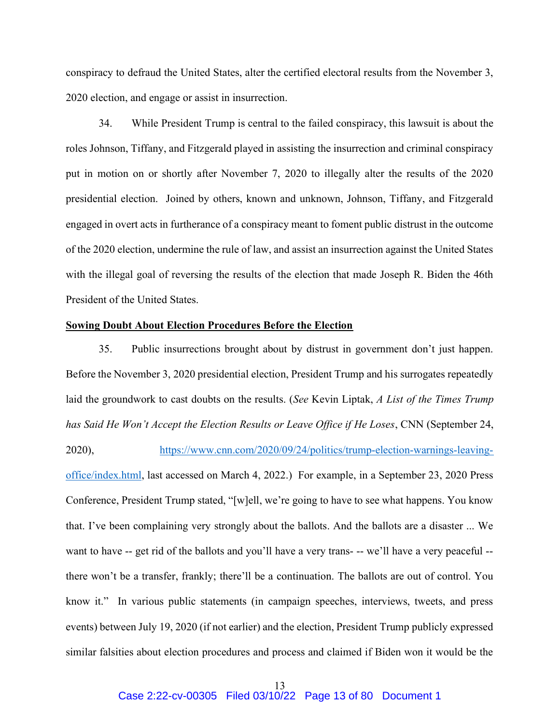conspiracy to defraud the United States, alter the certified electoral results from the November 3, 2020 election, and engage or assist in insurrection.

34. While President Trump is central to the failed conspiracy, this lawsuit is about the roles Johnson, Tiffany, and Fitzgerald played in assisting the insurrection and criminal conspiracy put in motion on or shortly after November 7, 2020 to illegally alter the results of the 2020 presidential election. Joined by others, known and unknown, Johnson, Tiffany, and Fitzgerald engaged in overt acts in furtherance of a conspiracy meant to foment public distrust in the outcome of the 2020 election, undermine the rule of law, and assist an insurrection against the United States with the illegal goal of reversing the results of the election that made Joseph R. Biden the 46th President of the United States.

### Sowing Doubt About Election Procedures Before the Election

35. Public insurrections brought about by distrust in government don't just happen. Before the November 3, 2020 presidential election, President Trump and his surrogates repeatedly laid the groundwork to cast doubts on the results. (See Kevin Liptak, A List of the Times Trump has Said He Won't Accept the Election Results or Leave Office if He Loses, CNN (September 24, 2020), https://www.cnn.com/2020/09/24/politics/trump-election-warnings-leavingoffice/index.html, last accessed on March 4, 2022.) For example, in a September 23, 2020 Press Conference, President Trump stated, "[w]ell, we're going to have to see what happens. You know that. I've been complaining very strongly about the ballots. And the ballots are a disaster ... We want to have -- get rid of the ballots and you'll have a very trans- -- we'll have a very peaceful - there won't be a transfer, frankly; there'll be a continuation. The ballots are out of control. You know it." In various public statements (in campaign speeches, interviews, tweets, and press events) between July 19, 2020 (if not earlier) and the election, President Trump publicly expressed similar falsities about election procedures and process and claimed if Biden won it would be the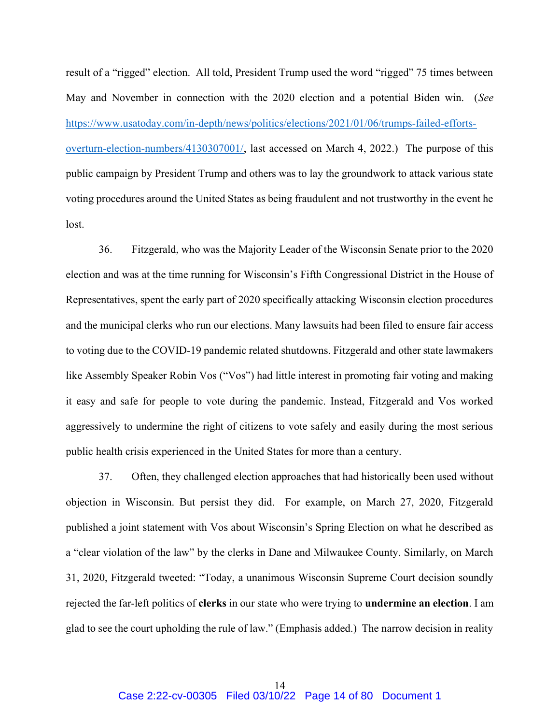result of a "rigged" election. All told, President Trump used the word "rigged" 75 times between May and November in connection with the 2020 election and a potential Biden win. (See https://www.usatoday.com/in-depth/news/politics/elections/2021/01/06/trumps-failed-effortsoverturn-election-numbers/4130307001/, last accessed on March 4, 2022.) The purpose of this public campaign by President Trump and others was to lay the groundwork to attack various state voting procedures around the United States as being fraudulent and not trustworthy in the event he lost.

36. Fitzgerald, who was the Majority Leader of the Wisconsin Senate prior to the 2020 election and was at the time running for Wisconsin's Fifth Congressional District in the House of Representatives, spent the early part of 2020 specifically attacking Wisconsin election procedures and the municipal clerks who run our elections. Many lawsuits had been filed to ensure fair access to voting due to the COVID-19 pandemic related shutdowns. Fitzgerald and other state lawmakers like Assembly Speaker Robin Vos ("Vos") had little interest in promoting fair voting and making it easy and safe for people to vote during the pandemic. Instead, Fitzgerald and Vos worked aggressively to undermine the right of citizens to vote safely and easily during the most serious public health crisis experienced in the United States for more than a century.

37. Often, they challenged election approaches that had historically been used without objection in Wisconsin. But persist they did. For example, on March 27, 2020, Fitzgerald published a joint statement with Vos about Wisconsin's Spring Election on what he described as a "clear violation of the law" by the clerks in Dane and Milwaukee County. Similarly, on March 31, 2020, Fitzgerald tweeted: "Today, a unanimous Wisconsin Supreme Court decision soundly rejected the far-left politics of clerks in our state who were trying to undermine an election. I am glad to see the court upholding the rule of law." (Emphasis added.) The narrow decision in reality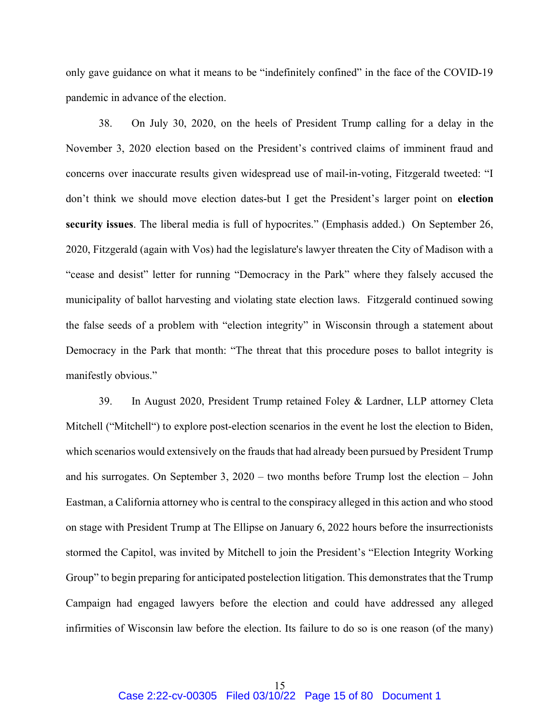only gave guidance on what it means to be "indefinitely confined" in the face of the COVID-19 pandemic in advance of the election.

38. On July 30, 2020, on the heels of President Trump calling for a delay in the November 3, 2020 election based on the President's contrived claims of imminent fraud and concerns over inaccurate results given widespread use of mail-in-voting, Fitzgerald tweeted: "I don't think we should move election dates-but I get the President's larger point on election security issues. The liberal media is full of hypocrites." (Emphasis added.) On September 26, 2020, Fitzgerald (again with Vos) had the legislature's lawyer threaten the City of Madison with a "cease and desist" letter for running "Democracy in the Park" where they falsely accused the municipality of ballot harvesting and violating state election laws. Fitzgerald continued sowing the false seeds of a problem with "election integrity" in Wisconsin through a statement about Democracy in the Park that month: "The threat that this procedure poses to ballot integrity is manifestly obvious."

39. In August 2020, President Trump retained Foley & Lardner, LLP attorney Cleta Mitchell ("Mitchell") to explore post-election scenarios in the event he lost the election to Biden, which scenarios would extensively on the frauds that had already been pursued by President Trump and his surrogates. On September 3, 2020 – two months before Trump lost the election – John Eastman, a California attorney who is central to the conspiracy alleged in this action and who stood on stage with President Trump at The Ellipse on January 6, 2022 hours before the insurrectionists stormed the Capitol, was invited by Mitchell to join the President's "Election Integrity Working Group" to begin preparing for anticipated postelection litigation. This demonstrates that the Trump Campaign had engaged lawyers before the election and could have addressed any alleged infirmities of Wisconsin law before the election. Its failure to do so is one reason (of the many)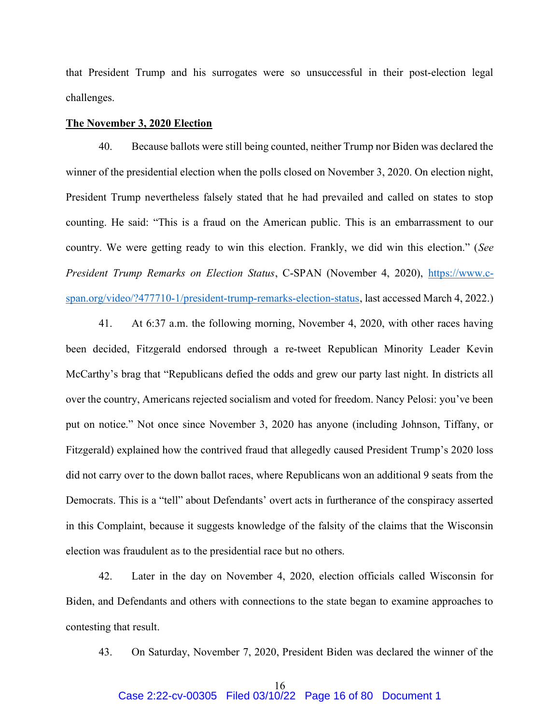that President Trump and his surrogates were so unsuccessful in their post-election legal challenges.

#### The November 3, 2020 Election

40. Because ballots were still being counted, neither Trump nor Biden was declared the winner of the presidential election when the polls closed on November 3, 2020. On election night, President Trump nevertheless falsely stated that he had prevailed and called on states to stop counting. He said: "This is a fraud on the American public. This is an embarrassment to our country. We were getting ready to win this election. Frankly, we did win this election." (See President Trump Remarks on Election Status, C-SPAN (November 4, 2020), https://www.cspan.org/video/?477710-1/president-trump-remarks-election-status, last accessed March 4, 2022.)

41. At 6:37 a.m. the following morning, November 4, 2020, with other races having been decided, Fitzgerald endorsed through a re-tweet Republican Minority Leader Kevin McCarthy's brag that "Republicans defied the odds and grew our party last night. In districts all over the country, Americans rejected socialism and voted for freedom. Nancy Pelosi: you've been put on notice." Not once since November 3, 2020 has anyone (including Johnson, Tiffany, or Fitzgerald) explained how the contrived fraud that allegedly caused President Trump's 2020 loss did not carry over to the down ballot races, where Republicans won an additional 9 seats from the Democrats. This is a "tell" about Defendants' overt acts in furtherance of the conspiracy asserted in this Complaint, because it suggests knowledge of the falsity of the claims that the Wisconsin election was fraudulent as to the presidential race but no others.

42. Later in the day on November 4, 2020, election officials called Wisconsin for Biden, and Defendants and others with connections to the state began to examine approaches to contesting that result.

43. On Saturday, November 7, 2020, President Biden was declared the winner of the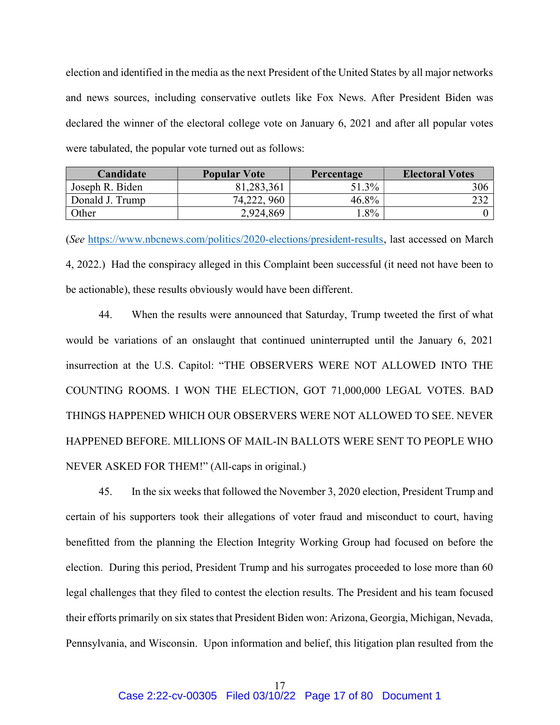election and identified in the media as the next President of the United States by all major networks and news sources, including conservative outlets like Fox News. After President Biden was declared the winner of the electoral college vote on January 6, 2021 and after all popular votes were tabulated, the popular vote turned out as follows:

| Candidate       | <b>Popular Vote</b> | Percentage | <b>Electoral Votes</b> |
|-----------------|---------------------|------------|------------------------|
| Joseph R. Biden | 81,283,361          | 51.3%      | 306                    |
| Donald J. Trump | 74,222, 960         | 46.8%      |                        |
| Other           | 2,924,869           | $.8\%$     |                        |

(See https://www.nbcnews.com/politics/2020-elections/president-results, last accessed on March 4, 2022.) Had the conspiracy alleged in this Complaint been successful (it need not have been to be actionable), these results obviously would have been different.

44. When the results were announced that Saturday, Trump tweeted the first of what would be variations of an onslaught that continued uninterrupted until the January 6, 2021 insurrection at the U.S. Capitol: "THE OBSERVERS WERE NOT ALLOWED INTO THE COUNTING ROOMS. I WON THE ELECTION, GOT 71,000,000 LEGAL VOTES. BAD THINGS HAPPENED WHICH OUR OBSERVERS WERE NOT ALLOWED TO SEE. NEVER HAPPENED BEFORE. MILLIONS OF MAIL-IN BALLOTS WERE SENT TO PEOPLE WHO NEVER ASKED FOR THEM!" (All-caps in original.)

45. In the six weeks that followed the November 3, 2020 election, President Trump and certain of his supporters took their allegations of voter fraud and misconduct to court, having benefitted from the planning the Election Integrity Working Group had focused on before the election. During this period, President Trump and his surrogates proceeded to lose more than 60 legal challenges that they filed to contest the election results. The President and his team focused their efforts primarily on six states that President Biden won: Arizona, Georgia, Michigan, Nevada, Pennsylvania, and Wisconsin. Upon information and belief, this litigation plan resulted from the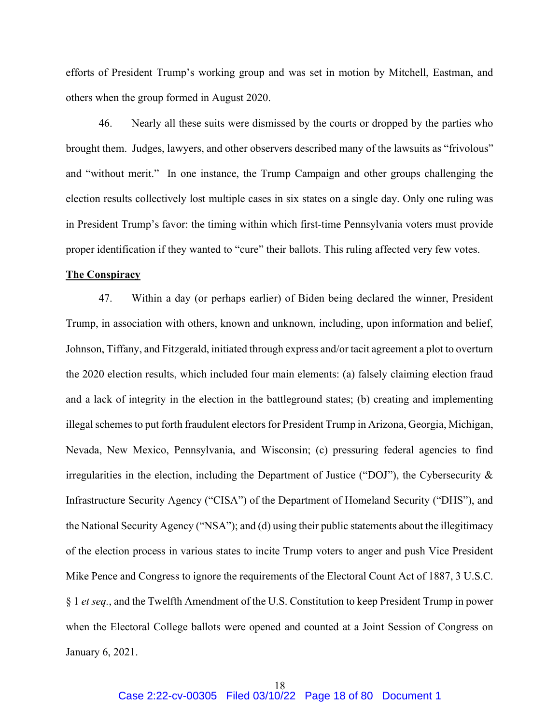efforts of President Trump's working group and was set in motion by Mitchell, Eastman, and others when the group formed in August 2020.

46. Nearly all these suits were dismissed by the courts or dropped by the parties who brought them. Judges, lawyers, and other observers described many of the lawsuits as "frivolous" and "without merit." In one instance, the Trump Campaign and other groups challenging the election results collectively lost multiple cases in six states on a single day. Only one ruling was in President Trump's favor: the timing within which first-time Pennsylvania voters must provide proper identification if they wanted to "cure" their ballots. This ruling affected very few votes.

#### The Conspiracy

47. Within a day (or perhaps earlier) of Biden being declared the winner, President Trump, in association with others, known and unknown, including, upon information and belief, Johnson, Tiffany, and Fitzgerald, initiated through express and/or tacit agreement a plot to overturn the 2020 election results, which included four main elements: (a) falsely claiming election fraud and a lack of integrity in the election in the battleground states; (b) creating and implementing illegal schemes to put forth fraudulent electors for President Trump in Arizona, Georgia, Michigan, Nevada, New Mexico, Pennsylvania, and Wisconsin; (c) pressuring federal agencies to find irregularities in the election, including the Department of Justice ("DOJ"), the Cybersecurity & Infrastructure Security Agency ("CISA") of the Department of Homeland Security ("DHS"), and the National Security Agency ("NSA"); and (d) using their public statements about the illegitimacy of the election process in various states to incite Trump voters to anger and push Vice President Mike Pence and Congress to ignore the requirements of the Electoral Count Act of 1887, 3 U.S.C. § 1 et seq., and the Twelfth Amendment of the U.S. Constitution to keep President Trump in power when the Electoral College ballots were opened and counted at a Joint Session of Congress on January 6, 2021.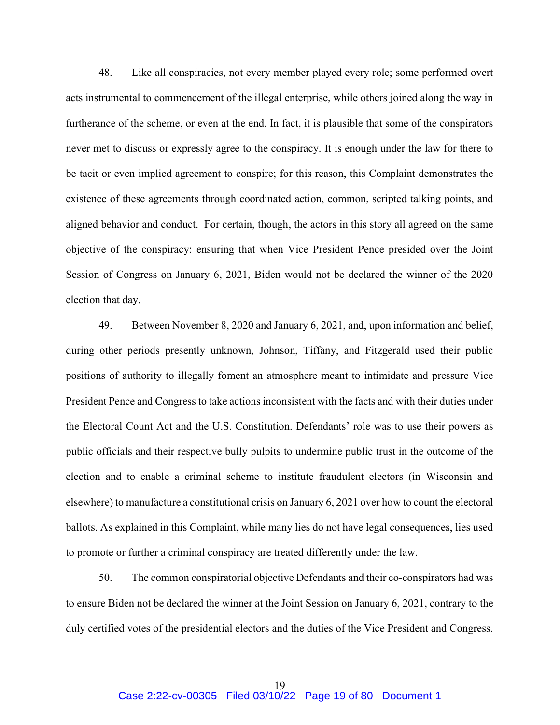48. Like all conspiracies, not every member played every role; some performed overt acts instrumental to commencement of the illegal enterprise, while others joined along the way in furtherance of the scheme, or even at the end. In fact, it is plausible that some of the conspirators never met to discuss or expressly agree to the conspiracy. It is enough under the law for there to be tacit or even implied agreement to conspire; for this reason, this Complaint demonstrates the existence of these agreements through coordinated action, common, scripted talking points, and aligned behavior and conduct. For certain, though, the actors in this story all agreed on the same objective of the conspiracy: ensuring that when Vice President Pence presided over the Joint Session of Congress on January 6, 2021, Biden would not be declared the winner of the 2020 election that day.

49. Between November 8, 2020 and January 6, 2021, and, upon information and belief, during other periods presently unknown, Johnson, Tiffany, and Fitzgerald used their public positions of authority to illegally foment an atmosphere meant to intimidate and pressure Vice President Pence and Congress to take actions inconsistent with the facts and with their duties under the Electoral Count Act and the U.S. Constitution. Defendants' role was to use their powers as public officials and their respective bully pulpits to undermine public trust in the outcome of the election and to enable a criminal scheme to institute fraudulent electors (in Wisconsin and elsewhere) to manufacture a constitutional crisis on January 6, 2021 over how to count the electoral ballots. As explained in this Complaint, while many lies do not have legal consequences, lies used to promote or further a criminal conspiracy are treated differently under the law.

50. The common conspiratorial objective Defendants and their co-conspirators had was to ensure Biden not be declared the winner at the Joint Session on January 6, 2021, contrary to the duly certified votes of the presidential electors and the duties of the Vice President and Congress.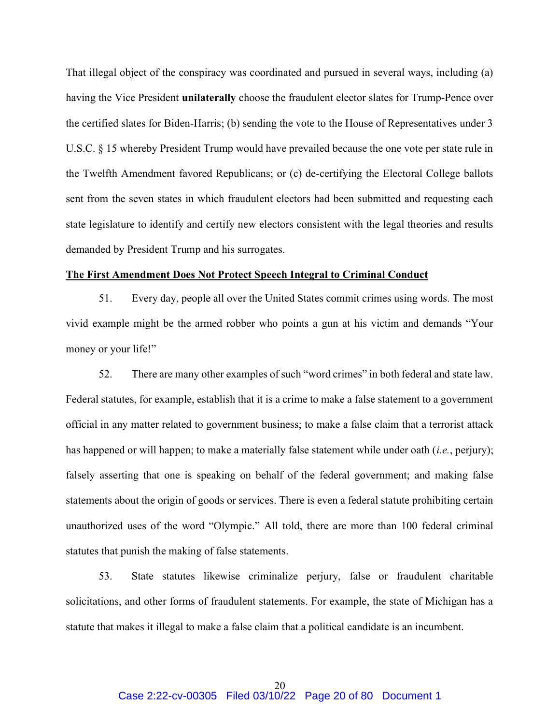That illegal object of the conspiracy was coordinated and pursued in several ways, including (a) having the Vice President **unilaterally** choose the fraudulent elector slates for Trump-Pence over the certified slates for Biden-Harris; (b) sending the vote to the House of Representatives under 3 U.S.C. § 15 whereby President Trump would have prevailed because the one vote per state rule in the Twelfth Amendment favored Republicans; or (c) de-certifying the Electoral College ballots sent from the seven states in which fraudulent electors had been submitted and requesting each state legislature to identify and certify new electors consistent with the legal theories and results demanded by President Trump and his surrogates.

### The First Amendment Does Not Protect Speech Integral to Criminal Conduct

51. Every day, people all over the United States commit crimes using words. The most vivid example might be the armed robber who points a gun at his victim and demands "Your money or your life!"

52. There are many other examples of such "word crimes" in both federal and state law. Federal statutes, for example, establish that it is a crime to make a false statement to a government official in any matter related to government business; to make a false claim that a terrorist attack has happened or will happen; to make a materially false statement while under oath (*i.e.*, perjury); falsely asserting that one is speaking on behalf of the federal government; and making false statements about the origin of goods or services. There is even a federal statute prohibiting certain unauthorized uses of the word "Olympic." All told, there are more than 100 federal criminal statutes that punish the making of false statements.

53. State statutes likewise criminalize perjury, false or fraudulent charitable solicitations, and other forms of fraudulent statements. For example, the state of Michigan has a statute that makes it illegal to make a false claim that a political candidate is an incumbent.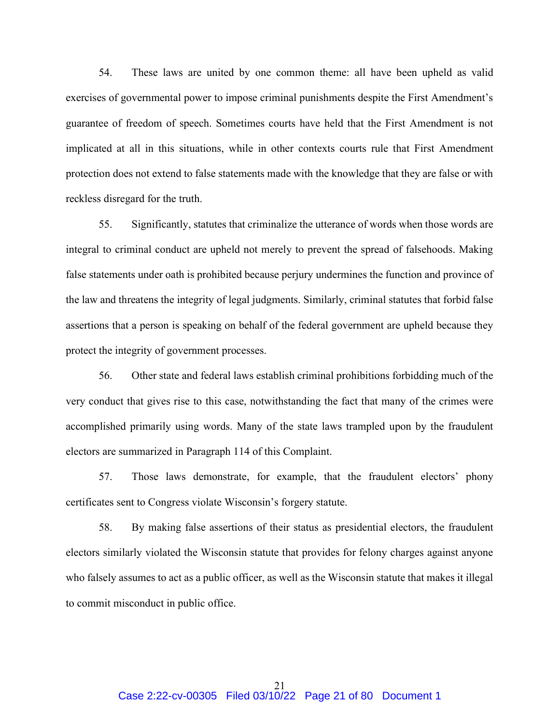54. These laws are united by one common theme: all have been upheld as valid exercises of governmental power to impose criminal punishments despite the First Amendment's guarantee of freedom of speech. Sometimes courts have held that the First Amendment is not implicated at all in this situations, while in other contexts courts rule that First Amendment protection does not extend to false statements made with the knowledge that they are false or with reckless disregard for the truth.

55. Significantly, statutes that criminalize the utterance of words when those words are integral to criminal conduct are upheld not merely to prevent the spread of falsehoods. Making false statements under oath is prohibited because perjury undermines the function and province of the law and threatens the integrity of legal judgments. Similarly, criminal statutes that forbid false assertions that a person is speaking on behalf of the federal government are upheld because they protect the integrity of government processes.

56. Other state and federal laws establish criminal prohibitions forbidding much of the very conduct that gives rise to this case, notwithstanding the fact that many of the crimes were accomplished primarily using words. Many of the state laws trampled upon by the fraudulent electors are summarized in Paragraph 114 of this Complaint.

57. Those laws demonstrate, for example, that the fraudulent electors' phony certificates sent to Congress violate Wisconsin's forgery statute.

58. By making false assertions of their status as presidential electors, the fraudulent electors similarly violated the Wisconsin statute that provides for felony charges against anyone who falsely assumes to act as a public officer, as well as the Wisconsin statute that makes it illegal to commit misconduct in public office.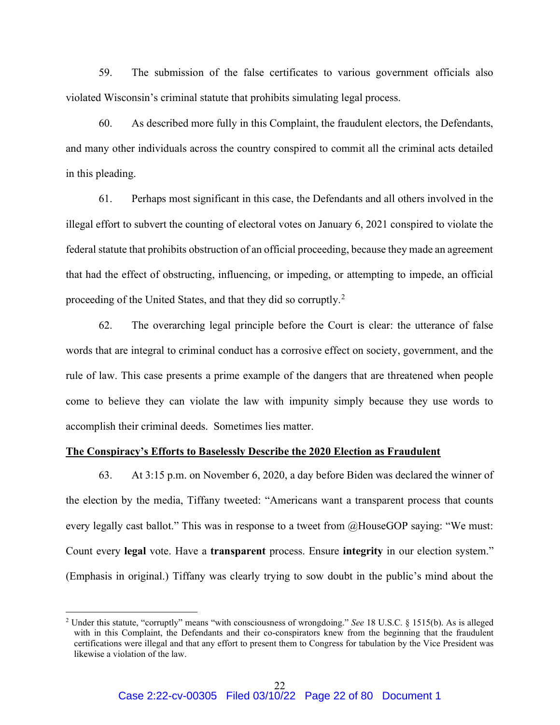59. The submission of the false certificates to various government officials also violated Wisconsin's criminal statute that prohibits simulating legal process.

60. As described more fully in this Complaint, the fraudulent electors, the Defendants, and many other individuals across the country conspired to commit all the criminal acts detailed in this pleading.

61. Perhaps most significant in this case, the Defendants and all others involved in the illegal effort to subvert the counting of electoral votes on January 6, 2021 conspired to violate the federal statute that prohibits obstruction of an official proceeding, because they made an agreement that had the effect of obstructing, influencing, or impeding, or attempting to impede, an official proceeding of the United States, and that they did so corruptly.<sup>2</sup>

62. The overarching legal principle before the Court is clear: the utterance of false words that are integral to criminal conduct has a corrosive effect on society, government, and the rule of law. This case presents a prime example of the dangers that are threatened when people come to believe they can violate the law with impunity simply because they use words to accomplish their criminal deeds. Sometimes lies matter.

### The Conspiracy's Efforts to Baselessly Describe the 2020 Election as Fraudulent

63. At 3:15 p.m. on November 6, 2020, a day before Biden was declared the winner of the election by the media, Tiffany tweeted: "Americans want a transparent process that counts every legally cast ballot." This was in response to a tweet from @HouseGOP saying: "We must: Count every legal vote. Have a transparent process. Ensure integrity in our election system." (Emphasis in original.) Tiffany was clearly trying to sow doubt in the public's mind about the

<sup>&</sup>lt;sup>2</sup> Under this statute, "corruptly" means "with consciousness of wrongdoing." See 18 U.S.C. § 1515(b). As is alleged with in this Complaint, the Defendants and their co-conspirators knew from the beginning that the fraudulent certifications were illegal and that any effort to present them to Congress for tabulation by the Vice President was likewise a violation of the law.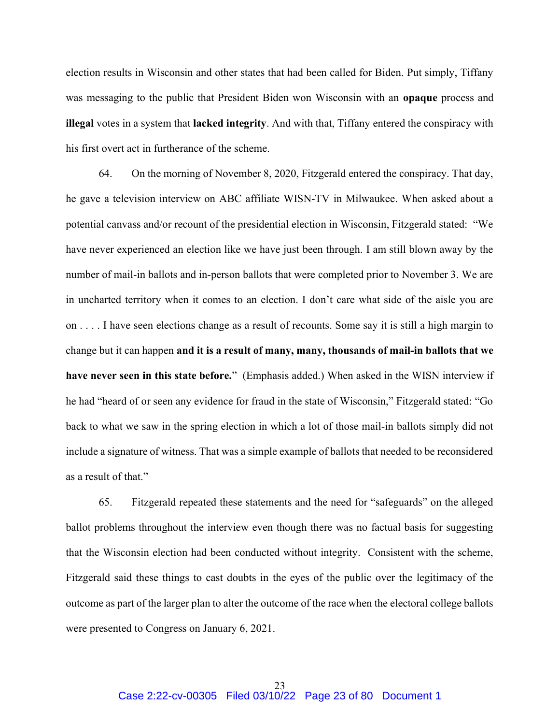election results in Wisconsin and other states that had been called for Biden. Put simply, Tiffany was messaging to the public that President Biden won Wisconsin with an opaque process and illegal votes in a system that lacked integrity. And with that, Tiffany entered the conspiracy with his first overt act in furtherance of the scheme.

64. On the morning of November 8, 2020, Fitzgerald entered the conspiracy. That day, he gave a television interview on ABC affiliate WISN-TV in Milwaukee. When asked about a potential canvass and/or recount of the presidential election in Wisconsin, Fitzgerald stated: "We have never experienced an election like we have just been through. I am still blown away by the number of mail-in ballots and in-person ballots that were completed prior to November 3. We are in uncharted territory when it comes to an election. I don't care what side of the aisle you are on . . . . I have seen elections change as a result of recounts. Some say it is still a high margin to change but it can happen and it is a result of many, many, thousands of mail-in ballots that we have never seen in this state before." (Emphasis added.) When asked in the WISN interview if he had "heard of or seen any evidence for fraud in the state of Wisconsin," Fitzgerald stated: "Go back to what we saw in the spring election in which a lot of those mail-in ballots simply did not include a signature of witness. That was a simple example of ballots that needed to be reconsidered as a result of that."

65. Fitzgerald repeated these statements and the need for "safeguards" on the alleged ballot problems throughout the interview even though there was no factual basis for suggesting that the Wisconsin election had been conducted without integrity. Consistent with the scheme, Fitzgerald said these things to cast doubts in the eyes of the public over the legitimacy of the outcome as part of the larger plan to alter the outcome of the race when the electoral college ballots were presented to Congress on January 6, 2021.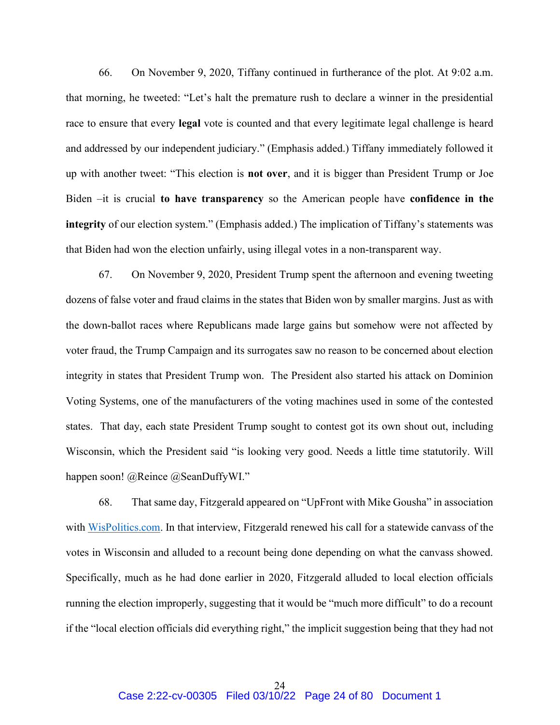66. On November 9, 2020, Tiffany continued in furtherance of the plot. At 9:02 a.m. that morning, he tweeted: "Let's halt the premature rush to declare a winner in the presidential race to ensure that every legal vote is counted and that every legitimate legal challenge is heard and addressed by our independent judiciary." (Emphasis added.) Tiffany immediately followed it up with another tweet: "This election is not over, and it is bigger than President Trump or Joe Biden –it is crucial to have transparency so the American people have confidence in the integrity of our election system." (Emphasis added.) The implication of Tiffany's statements was that Biden had won the election unfairly, using illegal votes in a non-transparent way.

67. On November 9, 2020, President Trump spent the afternoon and evening tweeting dozens of false voter and fraud claims in the states that Biden won by smaller margins. Just as with the down-ballot races where Republicans made large gains but somehow were not affected by voter fraud, the Trump Campaign and its surrogates saw no reason to be concerned about election integrity in states that President Trump won. The President also started his attack on Dominion Voting Systems, one of the manufacturers of the voting machines used in some of the contested states. That day, each state President Trump sought to contest got its own shout out, including Wisconsin, which the President said "is looking very good. Needs a little time statutorily. Will happen soon! @Reince @SeanDuffyWI."

68. That same day, Fitzgerald appeared on "UpFront with Mike Gousha" in association with WisPolitics.com. In that interview, Fitzgerald renewed his call for a statewide canvass of the votes in Wisconsin and alluded to a recount being done depending on what the canvass showed. Specifically, much as he had done earlier in 2020, Fitzgerald alluded to local election officials running the election improperly, suggesting that it would be "much more difficult" to do a recount if the "local election officials did everything right," the implicit suggestion being that they had not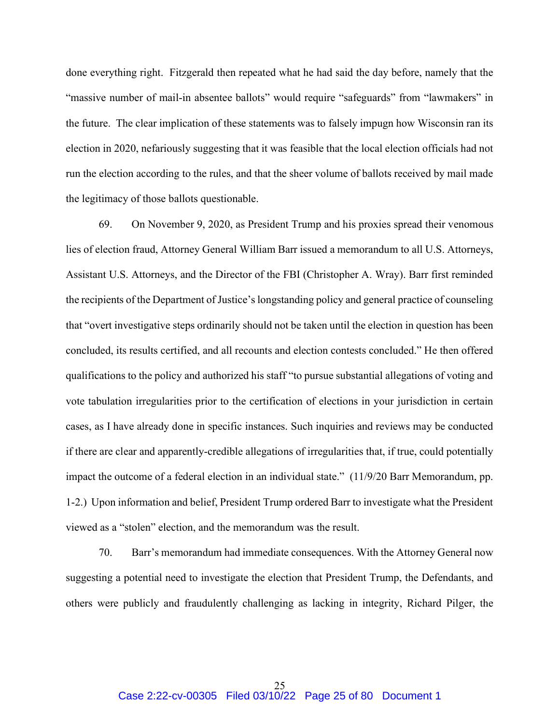done everything right. Fitzgerald then repeated what he had said the day before, namely that the "massive number of mail-in absentee ballots" would require "safeguards" from "lawmakers" in the future. The clear implication of these statements was to falsely impugn how Wisconsin ran its election in 2020, nefariously suggesting that it was feasible that the local election officials had not run the election according to the rules, and that the sheer volume of ballots received by mail made the legitimacy of those ballots questionable.

69. On November 9, 2020, as President Trump and his proxies spread their venomous lies of election fraud, Attorney General William Barr issued a memorandum to all U.S. Attorneys, Assistant U.S. Attorneys, and the Director of the FBI (Christopher A. Wray). Barr first reminded the recipients of the Department of Justice's longstanding policy and general practice of counseling that "overt investigative steps ordinarily should not be taken until the election in question has been concluded, its results certified, and all recounts and election contests concluded." He then offered qualifications to the policy and authorized his staff "to pursue substantial allegations of voting and vote tabulation irregularities prior to the certification of elections in your jurisdiction in certain cases, as I have already done in specific instances. Such inquiries and reviews may be conducted if there are clear and apparently-credible allegations of irregularities that, if true, could potentially impact the outcome of a federal election in an individual state." (11/9/20 Barr Memorandum, pp. 1-2.) Upon information and belief, President Trump ordered Barr to investigate what the President viewed as a "stolen" election, and the memorandum was the result.

70. Barr's memorandum had immediate consequences. With the Attorney General now suggesting a potential need to investigate the election that President Trump, the Defendants, and others were publicly and fraudulently challenging as lacking in integrity, Richard Pilger, the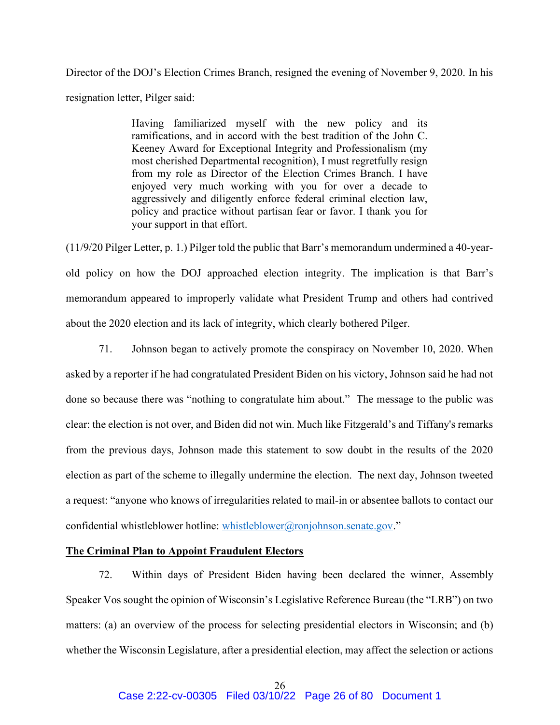Director of the DOJ's Election Crimes Branch, resigned the evening of November 9, 2020. In his resignation letter, Pilger said:

> Having familiarized myself with the new policy and its ramifications, and in accord with the best tradition of the John C. Keeney Award for Exceptional Integrity and Professionalism (my most cherished Departmental recognition), I must regretfully resign from my role as Director of the Election Crimes Branch. I have enjoyed very much working with you for over a decade to aggressively and diligently enforce federal criminal election law, policy and practice without partisan fear or favor. I thank you for your support in that effort.

(11/9/20 Pilger Letter, p. 1.) Pilger told the public that Barr's memorandum undermined a 40-yearold policy on how the DOJ approached election integrity. The implication is that Barr's memorandum appeared to improperly validate what President Trump and others had contrived about the 2020 election and its lack of integrity, which clearly bothered Pilger.

71. Johnson began to actively promote the conspiracy on November 10, 2020. When asked by a reporter if he had congratulated President Biden on his victory, Johnson said he had not done so because there was "nothing to congratulate him about." The message to the public was clear: the election is not over, and Biden did not win. Much like Fitzgerald's and Tiffany's remarks from the previous days, Johnson made this statement to sow doubt in the results of the 2020 election as part of the scheme to illegally undermine the election. The next day, Johnson tweeted a request: "anyone who knows of irregularities related to mail-in or absentee ballots to contact our confidential whistleblower hotline: whistleblower@ronjohnson.senate.gov."

## The Criminal Plan to Appoint Fraudulent Electors

72. Within days of President Biden having been declared the winner, Assembly Speaker Vos sought the opinion of Wisconsin's Legislative Reference Bureau (the "LRB") on two matters: (a) an overview of the process for selecting presidential electors in Wisconsin; and (b) whether the Wisconsin Legislature, after a presidential election, may affect the selection or actions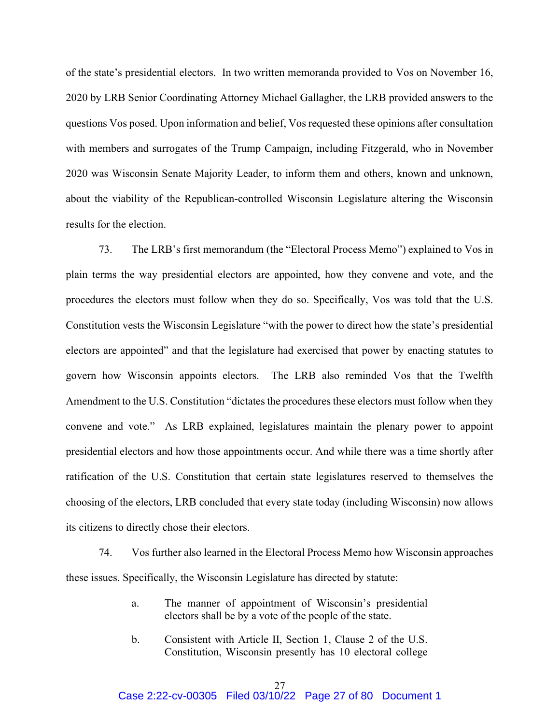of the state's presidential electors. In two written memoranda provided to Vos on November 16, 2020 by LRB Senior Coordinating Attorney Michael Gallagher, the LRB provided answers to the questions Vos posed. Upon information and belief, Vos requested these opinions after consultation with members and surrogates of the Trump Campaign, including Fitzgerald, who in November 2020 was Wisconsin Senate Majority Leader, to inform them and others, known and unknown, about the viability of the Republican-controlled Wisconsin Legislature altering the Wisconsin results for the election.

73. The LRB's first memorandum (the "Electoral Process Memo") explained to Vos in plain terms the way presidential electors are appointed, how they convene and vote, and the procedures the electors must follow when they do so. Specifically, Vos was told that the U.S. Constitution vests the Wisconsin Legislature "with the power to direct how the state's presidential electors are appointed" and that the legislature had exercised that power by enacting statutes to govern how Wisconsin appoints electors. The LRB also reminded Vos that the Twelfth Amendment to the U.S. Constitution "dictates the procedures these electors must follow when they convene and vote." As LRB explained, legislatures maintain the plenary power to appoint presidential electors and how those appointments occur. And while there was a time shortly after ratification of the U.S. Constitution that certain state legislatures reserved to themselves the choosing of the electors, LRB concluded that every state today (including Wisconsin) now allows its citizens to directly chose their electors.

74. Vos further also learned in the Electoral Process Memo how Wisconsin approaches these issues. Specifically, the Wisconsin Legislature has directed by statute:

- a. The manner of appointment of Wisconsin's presidential electors shall be by a vote of the people of the state.
- b. Consistent with Article II, Section 1, Clause 2 of the U.S. Constitution, Wisconsin presently has 10 electoral college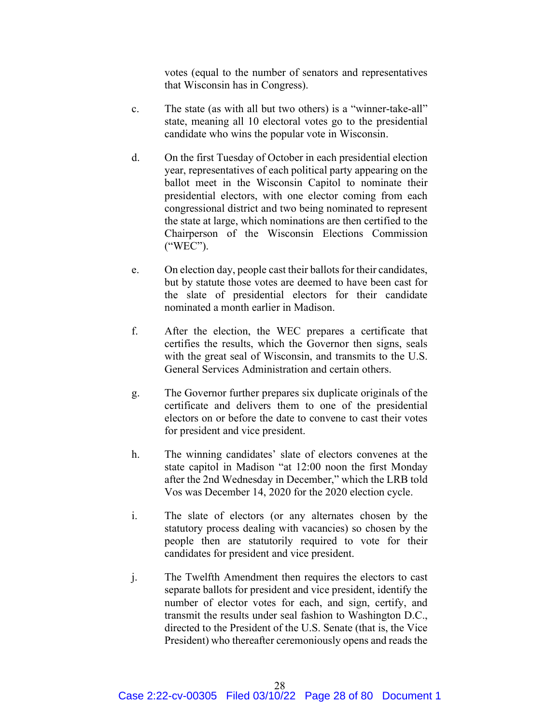votes (equal to the number of senators and representatives that Wisconsin has in Congress).

- c. The state (as with all but two others) is a "winner-take-all" state, meaning all 10 electoral votes go to the presidential candidate who wins the popular vote in Wisconsin.
- d. On the first Tuesday of October in each presidential election year, representatives of each political party appearing on the ballot meet in the Wisconsin Capitol to nominate their presidential electors, with one elector coming from each congressional district and two being nominated to represent the state at large, which nominations are then certified to the Chairperson of the Wisconsin Elections Commission ("WEC").
- e. On election day, people cast their ballots for their candidates, but by statute those votes are deemed to have been cast for the slate of presidential electors for their candidate nominated a month earlier in Madison.
- f. After the election, the WEC prepares a certificate that certifies the results, which the Governor then signs, seals with the great seal of Wisconsin, and transmits to the U.S. General Services Administration and certain others.
- g. The Governor further prepares six duplicate originals of the certificate and delivers them to one of the presidential electors on or before the date to convene to cast their votes for president and vice president.
- h. The winning candidates' slate of electors convenes at the state capitol in Madison "at 12:00 noon the first Monday after the 2nd Wednesday in December," which the LRB told Vos was December 14, 2020 for the 2020 election cycle.
- i. The slate of electors (or any alternates chosen by the statutory process dealing with vacancies) so chosen by the people then are statutorily required to vote for their candidates for president and vice president.
- j. The Twelfth Amendment then requires the electors to cast separate ballots for president and vice president, identify the number of elector votes for each, and sign, certify, and transmit the results under seal fashion to Washington D.C., directed to the President of the U.S. Senate (that is, the Vice President) who thereafter ceremoniously opens and reads the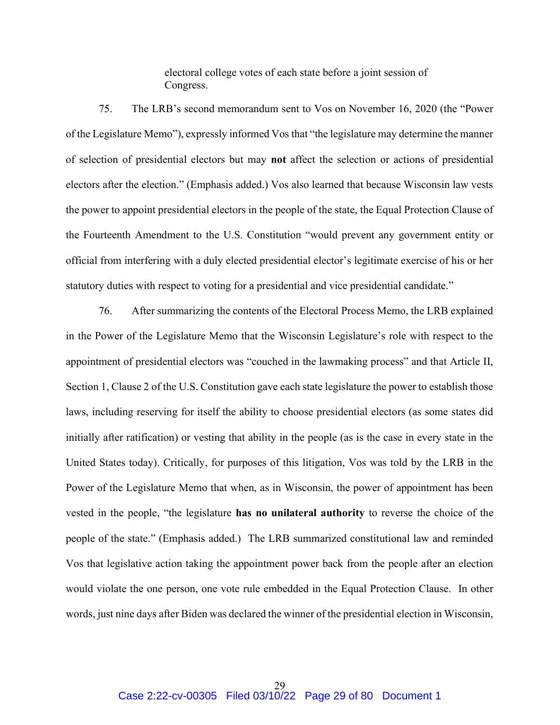electoral college votes of each state before a joint session of Congress.

75. The LRB's second memorandum sent to Vos on November 16, 2020 (the "Power of the Legislature Memo"), expressly informed Vos that "the legislature may determine the manner of selection of presidential electors but may not affect the selection or actions of presidential electors after the election." (Emphasis added.) Vos also learned that because Wisconsin law vests the power to appoint presidential electors in the people of the state, the Equal Protection Clause of the Fourteenth Amendment to the U.S. Constitution "would prevent any government entity or official from interfering with a duly elected presidential elector's legitimate exercise of his or her statutory duties with respect to voting for a presidential and vice presidential candidate."

76. After summarizing the contents of the Electoral Process Memo, the LRB explained in the Power of the Legislature Memo that the Wisconsin Legislature's role with respect to the appointment of presidential electors was "couched in the lawmaking process" and that Article II, Section 1, Clause 2 of the U.S. Constitution gave each state legislature the power to establish those laws, including reserving for itself the ability to choose presidential electors (as some states did initially after ratification) or vesting that ability in the people (as is the case in every state in the United States today). Critically, for purposes of this litigation, Vos was told by the LRB in the Power of the Legislature Memo that when, as in Wisconsin, the power of appointment has been vested in the people, "the legislature has no unilateral authority to reverse the choice of the people of the state." (Emphasis added.) The LRB summarized constitutional law and reminded Vos that legislative action taking the appointment power back from the people after an election would violate the one person, one vote rule embedded in the Equal Protection Clause. In other words, just nine days after Biden was declared the winner of the presidential election in Wisconsin,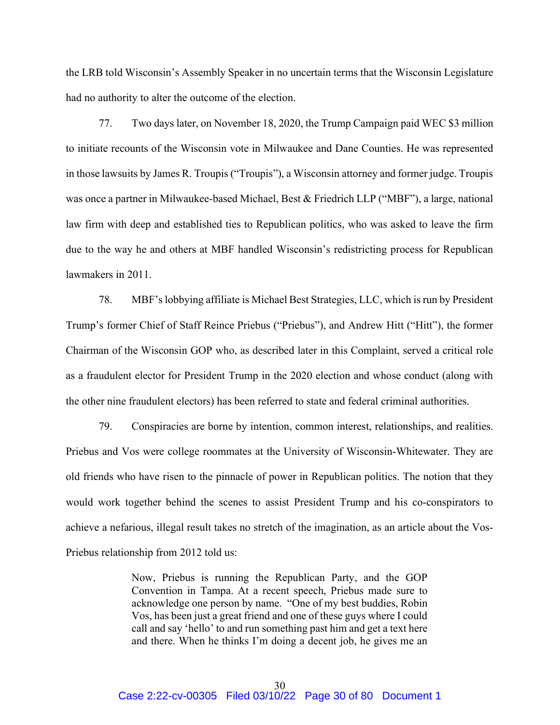the LRB told Wisconsin's Assembly Speaker in no uncertain terms that the Wisconsin Legislature had no authority to alter the outcome of the election.

77. Two days later, on November 18, 2020, the Trump Campaign paid WEC \$3 million to initiate recounts of the Wisconsin vote in Milwaukee and Dane Counties. He was represented in those lawsuits by James R. Troupis ("Troupis"), a Wisconsin attorney and former judge. Troupis was once a partner in Milwaukee-based Michael, Best & Friedrich LLP ("MBF"), a large, national law firm with deep and established ties to Republican politics, who was asked to leave the firm due to the way he and others at MBF handled Wisconsin's redistricting process for Republican lawmakers in 2011.

78. MBF's lobbying affiliate is Michael Best Strategies, LLC, which is run by President Trump's former Chief of Staff Reince Priebus ("Priebus"), and Andrew Hitt ("Hitt"), the former Chairman of the Wisconsin GOP who, as described later in this Complaint, served a critical role as a fraudulent elector for President Trump in the 2020 election and whose conduct (along with the other nine fraudulent electors) has been referred to state and federal criminal authorities.

79. Conspiracies are borne by intention, common interest, relationships, and realities. Priebus and Vos were college roommates at the University of Wisconsin-Whitewater. They are old friends who have risen to the pinnacle of power in Republican politics. The notion that they would work together behind the scenes to assist President Trump and his co-conspirators to achieve a nefarious, illegal result takes no stretch of the imagination, as an article about the Vos-Priebus relationship from 2012 told us:

> Now, Priebus is running the Republican Party, and the GOP Convention in Tampa. At a recent speech, Priebus made sure to acknowledge one person by name. "One of my best buddies, Robin Vos, has been just a great friend and one of these guys where I could call and say 'hello' to and run something past him and get a text here and there. When he thinks I'm doing a decent job, he gives me an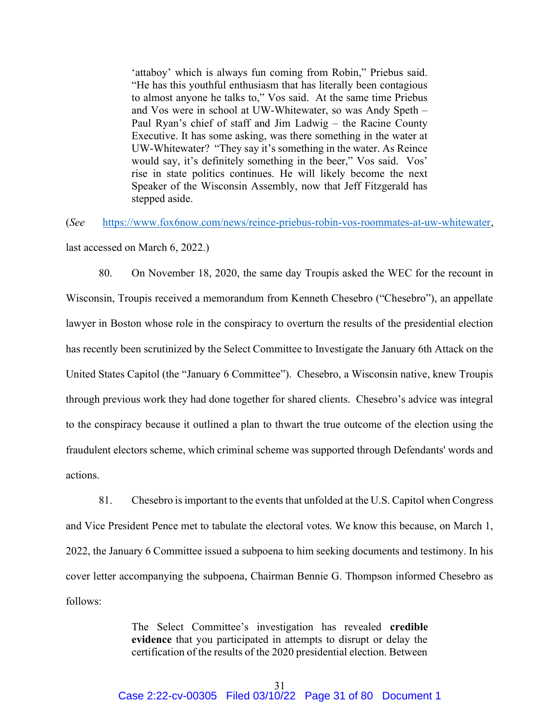'attaboy' which is always fun coming from Robin," Priebus said. "He has this youthful enthusiasm that has literally been contagious to almost anyone he talks to," Vos said. At the same time Priebus and Vos were in school at UW-Whitewater, so was Andy Speth – Paul Ryan's chief of staff and Jim Ladwig – the Racine County Executive. It has some asking, was there something in the water at UW-Whitewater? "They say it's something in the water. As Reince would say, it's definitely something in the beer," Vos said. Vos' rise in state politics continues. He will likely become the next Speaker of the Wisconsin Assembly, now that Jeff Fitzgerald has stepped aside.

(See https://www.fox6now.com/news/reince-priebus-robin-vos-roommates-at-uw-whitewater,

last accessed on March 6, 2022.)

80. On November 18, 2020, the same day Troupis asked the WEC for the recount in Wisconsin, Troupis received a memorandum from Kenneth Chesebro ("Chesebro"), an appellate lawyer in Boston whose role in the conspiracy to overturn the results of the presidential election has recently been scrutinized by the Select Committee to Investigate the January 6th Attack on the United States Capitol (the "January 6 Committee"). Chesebro, a Wisconsin native, knew Troupis through previous work they had done together for shared clients. Chesebro's advice was integral to the conspiracy because it outlined a plan to thwart the true outcome of the election using the fraudulent electors scheme, which criminal scheme was supported through Defendants' words and actions.

81. Chesebro is important to the events that unfolded at the U.S. Capitol when Congress and Vice President Pence met to tabulate the electoral votes. We know this because, on March 1, 2022, the January 6 Committee issued a subpoena to him seeking documents and testimony. In his cover letter accompanying the subpoena, Chairman Bennie G. Thompson informed Chesebro as follows:

> The Select Committee's investigation has revealed credible evidence that you participated in attempts to disrupt or delay the certification of the results of the 2020 presidential election. Between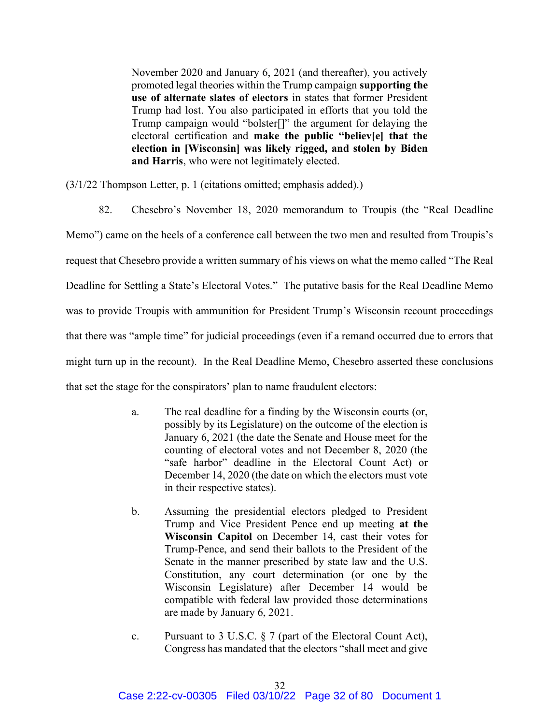November 2020 and January 6, 2021 (and thereafter), you actively promoted legal theories within the Trump campaign supporting the use of alternate slates of electors in states that former President Trump had lost. You also participated in efforts that you told the Trump campaign would "bolster[]" the argument for delaying the electoral certification and make the public "believ[e] that the election in [Wisconsin] was likely rigged, and stolen by Biden and Harris, who were not legitimately elected.

(3/1/22 Thompson Letter, p. 1 (citations omitted; emphasis added).)

82. Chesebro's November 18, 2020 memorandum to Troupis (the "Real Deadline Memo") came on the heels of a conference call between the two men and resulted from Troupis's request that Chesebro provide a written summary of his views on what the memo called "The Real Deadline for Settling a State's Electoral Votes." The putative basis for the Real Deadline Memo was to provide Troupis with ammunition for President Trump's Wisconsin recount proceedings that there was "ample time" for judicial proceedings (even if a remand occurred due to errors that might turn up in the recount). In the Real Deadline Memo, Chesebro asserted these conclusions that set the stage for the conspirators' plan to name fraudulent electors:

- a. The real deadline for a finding by the Wisconsin courts (or, possibly by its Legislature) on the outcome of the election is January 6, 2021 (the date the Senate and House meet for the counting of electoral votes and not December 8, 2020 (the "safe harbor" deadline in the Electoral Count Act) or December 14, 2020 (the date on which the electors must vote in their respective states).
- b. Assuming the presidential electors pledged to President Trump and Vice President Pence end up meeting at the Wisconsin Capitol on December 14, cast their votes for Trump-Pence, and send their ballots to the President of the Senate in the manner prescribed by state law and the U.S. Constitution, any court determination (or one by the Wisconsin Legislature) after December 14 would be compatible with federal law provided those determinations are made by January 6, 2021.
- c. Pursuant to 3 U.S.C. § 7 (part of the Electoral Count Act), Congress has mandated that the electors "shall meet and give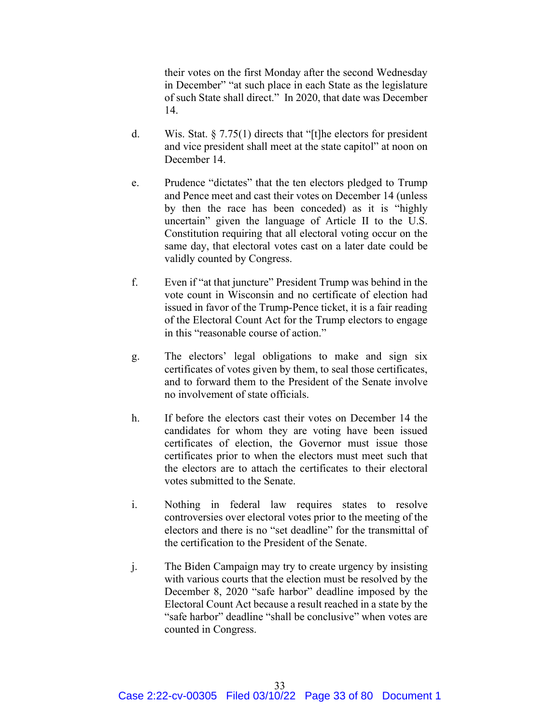their votes on the first Monday after the second Wednesday in December" "at such place in each State as the legislature of such State shall direct." In 2020, that date was December 14.

- d. Wis. Stat. § 7.75(1) directs that "[t]he electors for president and vice president shall meet at the state capitol" at noon on December 14.
- e. Prudence "dictates" that the ten electors pledged to Trump and Pence meet and cast their votes on December 14 (unless by then the race has been conceded) as it is "highly uncertain" given the language of Article II to the U.S. Constitution requiring that all electoral voting occur on the same day, that electoral votes cast on a later date could be validly counted by Congress.
- f. Even if "at that juncture" President Trump was behind in the vote count in Wisconsin and no certificate of election had issued in favor of the Trump-Pence ticket, it is a fair reading of the Electoral Count Act for the Trump electors to engage in this "reasonable course of action."
- g. The electors' legal obligations to make and sign six certificates of votes given by them, to seal those certificates, and to forward them to the President of the Senate involve no involvement of state officials.
- h. If before the electors cast their votes on December 14 the candidates for whom they are voting have been issued certificates of election, the Governor must issue those certificates prior to when the electors must meet such that the electors are to attach the certificates to their electoral votes submitted to the Senate.
- i. Nothing in federal law requires states to resolve controversies over electoral votes prior to the meeting of the electors and there is no "set deadline" for the transmittal of the certification to the President of the Senate.
- j. The Biden Campaign may try to create urgency by insisting with various courts that the election must be resolved by the December 8, 2020 "safe harbor" deadline imposed by the Electoral Count Act because a result reached in a state by the "safe harbor" deadline "shall be conclusive" when votes are counted in Congress.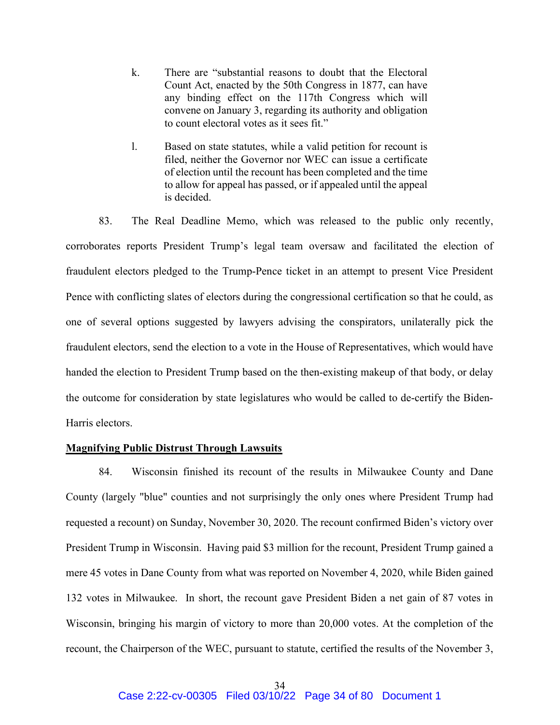- k. There are "substantial reasons to doubt that the Electoral Count Act, enacted by the 50th Congress in 1877, can have any binding effect on the 117th Congress which will convene on January 3, regarding its authority and obligation to count electoral votes as it sees fit."
- l. Based on state statutes, while a valid petition for recount is filed, neither the Governor nor WEC can issue a certificate of election until the recount has been completed and the time to allow for appeal has passed, or if appealed until the appeal is decided.

83. The Real Deadline Memo, which was released to the public only recently, corroborates reports President Trump's legal team oversaw and facilitated the election of fraudulent electors pledged to the Trump-Pence ticket in an attempt to present Vice President Pence with conflicting slates of electors during the congressional certification so that he could, as one of several options suggested by lawyers advising the conspirators, unilaterally pick the fraudulent electors, send the election to a vote in the House of Representatives, which would have handed the election to President Trump based on the then-existing makeup of that body, or delay the outcome for consideration by state legislatures who would be called to de-certify the Biden-Harris electors.

## Magnifying Public Distrust Through Lawsuits

84. Wisconsin finished its recount of the results in Milwaukee County and Dane County (largely "blue" counties and not surprisingly the only ones where President Trump had requested a recount) on Sunday, November 30, 2020. The recount confirmed Biden's victory over President Trump in Wisconsin. Having paid \$3 million for the recount, President Trump gained a mere 45 votes in Dane County from what was reported on November 4, 2020, while Biden gained 132 votes in Milwaukee. In short, the recount gave President Biden a net gain of 87 votes in Wisconsin, bringing his margin of victory to more than 20,000 votes. At the completion of the recount, the Chairperson of the WEC, pursuant to statute, certified the results of the November 3,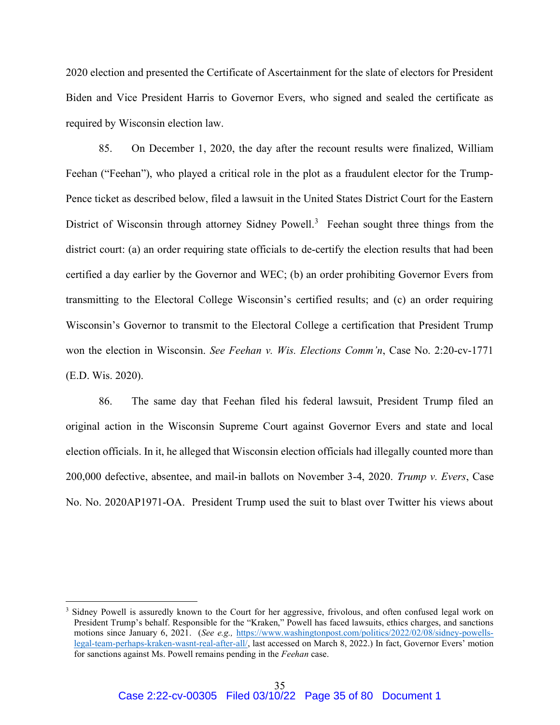2020 election and presented the Certificate of Ascertainment for the slate of electors for President Biden and Vice President Harris to Governor Evers, who signed and sealed the certificate as required by Wisconsin election law.

85. On December 1, 2020, the day after the recount results were finalized, William Feehan ("Feehan"), who played a critical role in the plot as a fraudulent elector for the Trump-Pence ticket as described below, filed a lawsuit in the United States District Court for the Eastern District of Wisconsin through attorney Sidney Powell.<sup>3</sup> Feehan sought three things from the district court: (a) an order requiring state officials to de-certify the election results that had been certified a day earlier by the Governor and WEC; (b) an order prohibiting Governor Evers from transmitting to the Electoral College Wisconsin's certified results; and (c) an order requiring Wisconsin's Governor to transmit to the Electoral College a certification that President Trump won the election in Wisconsin. See Feehan v. Wis. Elections Comm'n, Case No. 2:20-cv-1771 (E.D. Wis. 2020).

86. The same day that Feehan filed his federal lawsuit, President Trump filed an original action in the Wisconsin Supreme Court against Governor Evers and state and local election officials. In it, he alleged that Wisconsin election officials had illegally counted more than 200,000 defective, absentee, and mail-in ballots on November 3-4, 2020. Trump v. Evers, Case No. No. 2020AP1971-OA. President Trump used the suit to blast over Twitter his views about

<sup>&</sup>lt;sup>3</sup> Sidney Powell is assuredly known to the Court for her aggressive, frivolous, and often confused legal work on President Trump's behalf. Responsible for the "Kraken," Powell has faced lawsuits, ethics charges, and sanctions motions since January 6, 2021. (See e.g., https://www.washingtonpost.com/politics/2022/02/08/sidney-powellslegal-team-perhaps-kraken-wasnt-real-after-all/, last accessed on March 8, 2022.) In fact, Governor Evers' motion for sanctions against Ms. Powell remains pending in the Feehan case.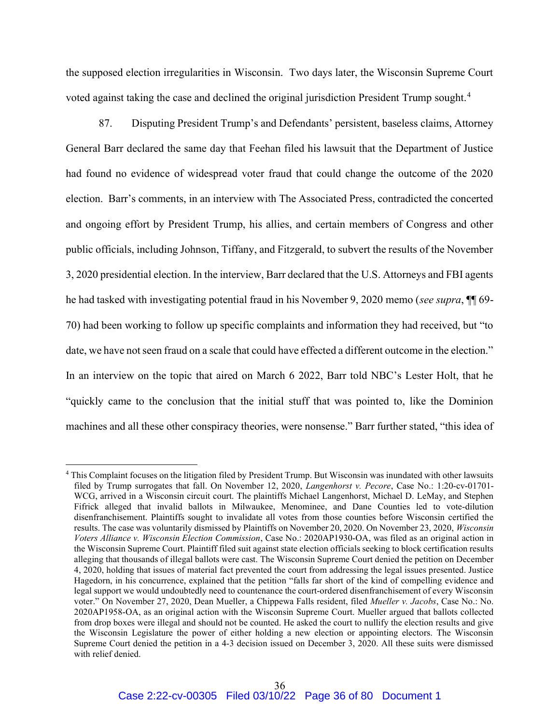the supposed election irregularities in Wisconsin. Two days later, the Wisconsin Supreme Court voted against taking the case and declined the original jurisdiction President Trump sought.<sup>4</sup>

87. Disputing President Trump's and Defendants' persistent, baseless claims, Attorney General Barr declared the same day that Feehan filed his lawsuit that the Department of Justice had found no evidence of widespread voter fraud that could change the outcome of the 2020 election. Barr's comments, in an interview with The Associated Press, contradicted the concerted and ongoing effort by President Trump, his allies, and certain members of Congress and other public officials, including Johnson, Tiffany, and Fitzgerald, to subvert the results of the November 3, 2020 presidential election. In the interview, Barr declared that the U.S. Attorneys and FBI agents he had tasked with investigating potential fraud in his November 9, 2020 memo (see supra,  $\P$  69-70) had been working to follow up specific complaints and information they had received, but "to date, we have not seen fraud on a scale that could have effected a different outcome in the election." In an interview on the topic that aired on March 6 2022, Barr told NBC's Lester Holt, that he "quickly came to the conclusion that the initial stuff that was pointed to, like the Dominion machines and all these other conspiracy theories, were nonsense." Barr further stated, "this idea of

<sup>&</sup>lt;sup>4</sup> This Complaint focuses on the litigation filed by President Trump. But Wisconsin was inundated with other lawsuits filed by Trump surrogates that fall. On November 12, 2020, Langenhorst v. Pecore, Case No.: 1:20-cv-01701- WCG, arrived in a Wisconsin circuit court. The plaintiffs Michael Langenhorst, Michael D. LeMay, and Stephen Fifrick alleged that invalid ballots in Milwaukee, Menominee, and Dane Counties led to vote-dilution disenfranchisement. Plaintiffs sought to invalidate all votes from those counties before Wisconsin certified the results. The case was voluntarily dismissed by Plaintiffs on November 20, 2020. On November 23, 2020, Wisconsin Voters Alliance v. Wisconsin Election Commission, Case No.: 2020AP1930-OA, was filed as an original action in the Wisconsin Supreme Court. Plaintiff filed suit against state election officials seeking to block certification results alleging that thousands of illegal ballots were cast. The Wisconsin Supreme Court denied the petition on December 4, 2020, holding that issues of material fact prevented the court from addressing the legal issues presented. Justice Hagedorn, in his concurrence, explained that the petition "falls far short of the kind of compelling evidence and legal support we would undoubtedly need to countenance the court-ordered disenfranchisement of every Wisconsin voter." On November 27, 2020, Dean Mueller, a Chippewa Falls resident, filed Mueller v. Jacobs, Case No.: No. 2020AP1958-OA, as an original action with the Wisconsin Supreme Court. Mueller argued that ballots collected from drop boxes were illegal and should not be counted. He asked the court to nullify the election results and give the Wisconsin Legislature the power of either holding a new election or appointing electors. The Wisconsin Supreme Court denied the petition in a 4-3 decision issued on December 3, 2020. All these suits were dismissed with relief denied.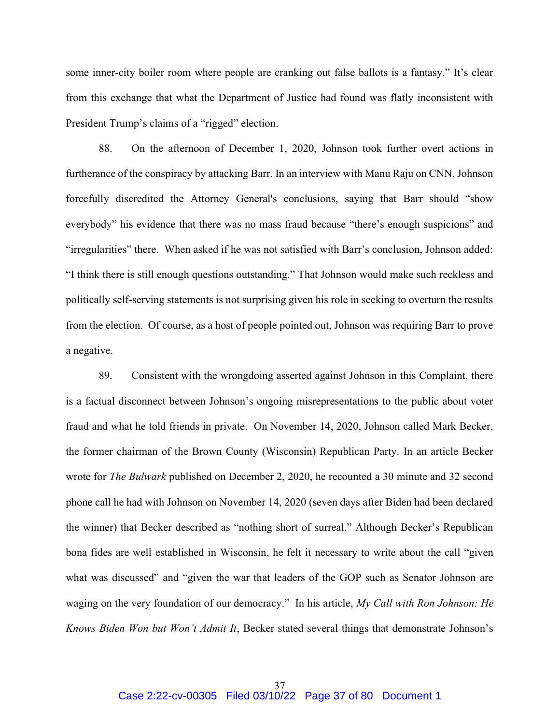some inner-city boiler room where people are cranking out false ballots is a fantasy." It's clear from this exchange that what the Department of Justice had found was flatly inconsistent with President Trump's claims of a "rigged" election.

88. On the afternoon of December 1, 2020, Johnson took further overt actions in furtherance of the conspiracy by attacking Barr. In an interview with Manu Raju on CNN, Johnson forcefully discredited the Attorney General's conclusions, saying that Barr should "show everybody" his evidence that there was no mass fraud because "there's enough suspicions" and "irregularities" there. When asked if he was not satisfied with Barr's conclusion, Johnson added: "I think there is still enough questions outstanding." That Johnson would make such reckless and politically self-serving statements is not surprising given his role in seeking to overturn the results from the election. Of course, as a host of people pointed out, Johnson was requiring Barr to prove a negative.

89. Consistent with the wrongdoing asserted against Johnson in this Complaint, there is a factual disconnect between Johnson's ongoing misrepresentations to the public about voter fraud and what he told friends in private. On November 14, 2020, Johnson called Mark Becker, the former chairman of the Brown County (Wisconsin) Republican Party. In an article Becker wrote for The Bulwark published on December 2, 2020, he recounted a 30 minute and 32 second phone call he had with Johnson on November 14, 2020 (seven days after Biden had been declared the winner) that Becker described as "nothing short of surreal." Although Becker's Republican bona fides are well established in Wisconsin, he felt it necessary to write about the call "given what was discussed" and "given the war that leaders of the GOP such as Senator Johnson are waging on the very foundation of our democracy." In his article, My Call with Ron Johnson: He Knows Biden Won but Won't Admit It, Becker stated several things that demonstrate Johnson's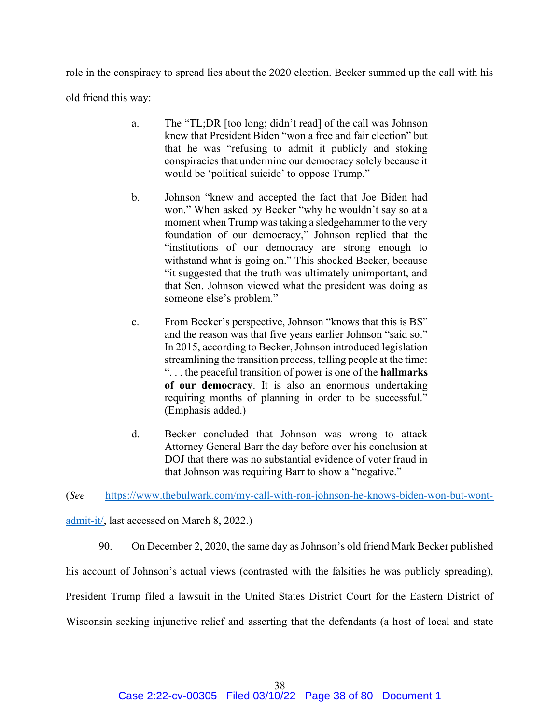role in the conspiracy to spread lies about the 2020 election. Becker summed up the call with his old friend this way:

- a. The "TL;DR [too long; didn't read] of the call was Johnson knew that President Biden "won a free and fair election" but that he was "refusing to admit it publicly and stoking conspiracies that undermine our democracy solely because it would be 'political suicide' to oppose Trump."
- b. Johnson "knew and accepted the fact that Joe Biden had won." When asked by Becker "why he wouldn't say so at a moment when Trump was taking a sledgehammer to the very foundation of our democracy," Johnson replied that the "institutions of our democracy are strong enough to withstand what is going on." This shocked Becker, because "it suggested that the truth was ultimately unimportant, and that Sen. Johnson viewed what the president was doing as someone else's problem."
- c. From Becker's perspective, Johnson "knows that this is BS" and the reason was that five years earlier Johnson "said so." In 2015, according to Becker, Johnson introduced legislation streamlining the transition process, telling people at the time: ". . . the peaceful transition of power is one of the hallmarks of our democracy. It is also an enormous undertaking requiring months of planning in order to be successful." (Emphasis added.)
- d. Becker concluded that Johnson was wrong to attack Attorney General Barr the day before over his conclusion at DOJ that there was no substantial evidence of voter fraud in that Johnson was requiring Barr to show a "negative."

(See https://www.thebulwark.com/my-call-with-ron-johnson-he-knows-biden-won-but-wontadmit-it/, last accessed on March 8, 2022.)

90. On December 2, 2020, the same day as Johnson's old friend Mark Becker published his account of Johnson's actual views (contrasted with the falsities he was publicly spreading), President Trump filed a lawsuit in the United States District Court for the Eastern District of Wisconsin seeking injunctive relief and asserting that the defendants (a host of local and state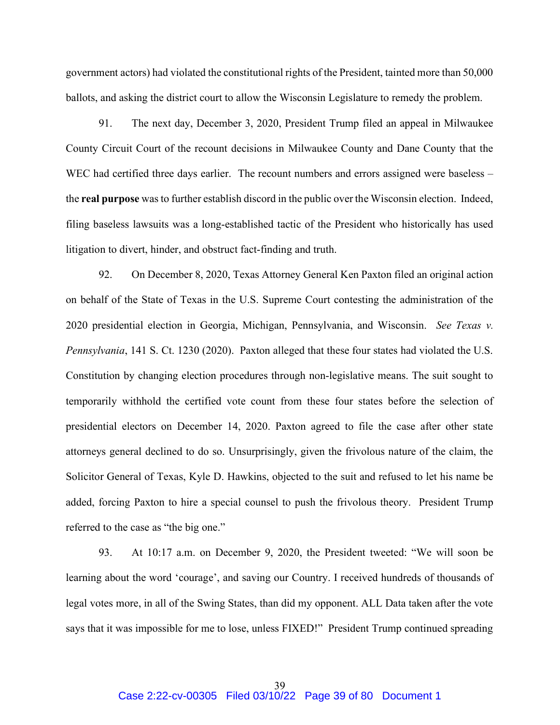government actors) had violated the constitutional rights of the President, tainted more than 50,000 ballots, and asking the district court to allow the Wisconsin Legislature to remedy the problem.

91. The next day, December 3, 2020, President Trump filed an appeal in Milwaukee County Circuit Court of the recount decisions in Milwaukee County and Dane County that the WEC had certified three days earlier. The recount numbers and errors assigned were baseless – the real purpose was to further establish discord in the public over the Wisconsin election. Indeed, filing baseless lawsuits was a long-established tactic of the President who historically has used litigation to divert, hinder, and obstruct fact-finding and truth.

92. On December 8, 2020, Texas Attorney General Ken Paxton filed an original action on behalf of the State of Texas in the U.S. Supreme Court contesting the administration of the 2020 presidential election in Georgia, Michigan, Pennsylvania, and Wisconsin. See Texas v. Pennsylvania, 141 S. Ct. 1230 (2020). Paxton alleged that these four states had violated the U.S. Constitution by changing election procedures through non-legislative means. The suit sought to temporarily withhold the certified vote count from these four states before the selection of presidential electors on December 14, 2020. Paxton agreed to file the case after other state attorneys general declined to do so. Unsurprisingly, given the frivolous nature of the claim, the Solicitor General of Texas, Kyle D. Hawkins, objected to the suit and refused to let his name be added, forcing Paxton to hire a special counsel to push the frivolous theory. President Trump referred to the case as "the big one."

93. At 10:17 a.m. on December 9, 2020, the President tweeted: "We will soon be learning about the word 'courage', and saving our Country. I received hundreds of thousands of legal votes more, in all of the Swing States, than did my opponent. ALL Data taken after the vote says that it was impossible for me to lose, unless FIXED!" President Trump continued spreading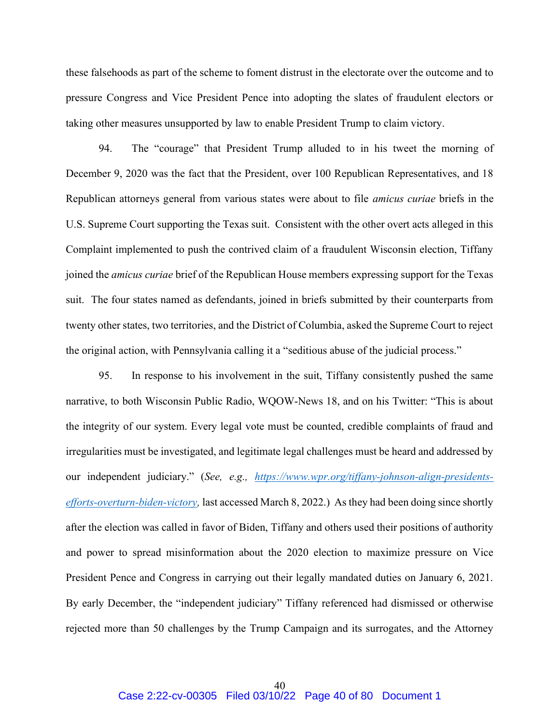these falsehoods as part of the scheme to foment distrust in the electorate over the outcome and to pressure Congress and Vice President Pence into adopting the slates of fraudulent electors or taking other measures unsupported by law to enable President Trump to claim victory.

94. The "courage" that President Trump alluded to in his tweet the morning of December 9, 2020 was the fact that the President, over 100 Republican Representatives, and 18 Republican attorneys general from various states were about to file amicus curiae briefs in the U.S. Supreme Court supporting the Texas suit. Consistent with the other overt acts alleged in this Complaint implemented to push the contrived claim of a fraudulent Wisconsin election, Tiffany joined the amicus curiae brief of the Republican House members expressing support for the Texas suit. The four states named as defendants, joined in briefs submitted by their counterparts from twenty other states, two territories, and the District of Columbia, asked the Supreme Court to reject the original action, with Pennsylvania calling it a "seditious abuse of the judicial process."

95. In response to his involvement in the suit, Tiffany consistently pushed the same narrative, to both Wisconsin Public Radio, WQOW-News 18, and on his Twitter: "This is about the integrity of our system. Every legal vote must be counted, credible complaints of fraud and irregularities must be investigated, and legitimate legal challenges must be heard and addressed by our independent judiciary." (See, e.g., https://www.wpr.org/tiffany-johnson-align-presidentsefforts-overturn-biden-victory, last accessed March 8, 2022.) As they had been doing since shortly after the election was called in favor of Biden, Tiffany and others used their positions of authority and power to spread misinformation about the 2020 election to maximize pressure on Vice President Pence and Congress in carrying out their legally mandated duties on January 6, 2021. By early December, the "independent judiciary" Tiffany referenced had dismissed or otherwise rejected more than 50 challenges by the Trump Campaign and its surrogates, and the Attorney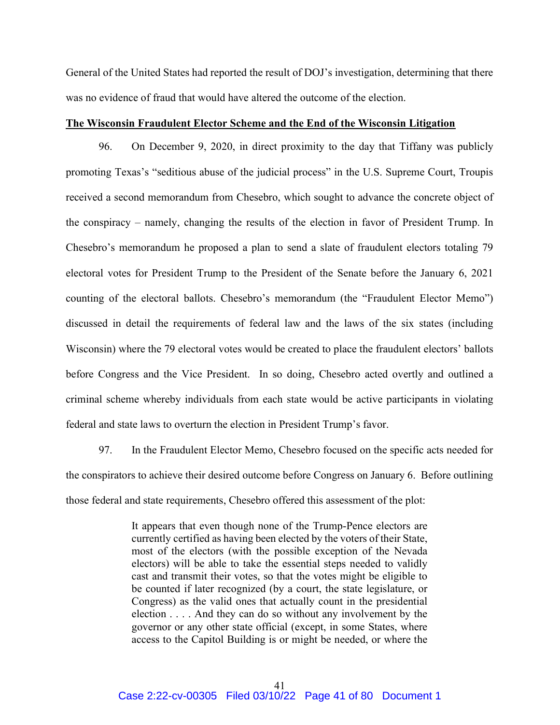General of the United States had reported the result of DOJ's investigation, determining that there was no evidence of fraud that would have altered the outcome of the election.

## The Wisconsin Fraudulent Elector Scheme and the End of the Wisconsin Litigation

96. On December 9, 2020, in direct proximity to the day that Tiffany was publicly promoting Texas's "seditious abuse of the judicial process" in the U.S. Supreme Court, Troupis received a second memorandum from Chesebro, which sought to advance the concrete object of the conspiracy – namely, changing the results of the election in favor of President Trump. In Chesebro's memorandum he proposed a plan to send a slate of fraudulent electors totaling 79 electoral votes for President Trump to the President of the Senate before the January 6, 2021 counting of the electoral ballots. Chesebro's memorandum (the "Fraudulent Elector Memo") discussed in detail the requirements of federal law and the laws of the six states (including Wisconsin) where the 79 electoral votes would be created to place the fraudulent electors' ballots before Congress and the Vice President. In so doing, Chesebro acted overtly and outlined a criminal scheme whereby individuals from each state would be active participants in violating federal and state laws to overturn the election in President Trump's favor.

97. In the Fraudulent Elector Memo, Chesebro focused on the specific acts needed for the conspirators to achieve their desired outcome before Congress on January 6. Before outlining those federal and state requirements, Chesebro offered this assessment of the plot:

> It appears that even though none of the Trump-Pence electors are currently certified as having been elected by the voters of their State, most of the electors (with the possible exception of the Nevada electors) will be able to take the essential steps needed to validly cast and transmit their votes, so that the votes might be eligible to be counted if later recognized (by a court, the state legislature, or Congress) as the valid ones that actually count in the presidential election . . . . And they can do so without any involvement by the governor or any other state official (except, in some States, where access to the Capitol Building is or might be needed, or where the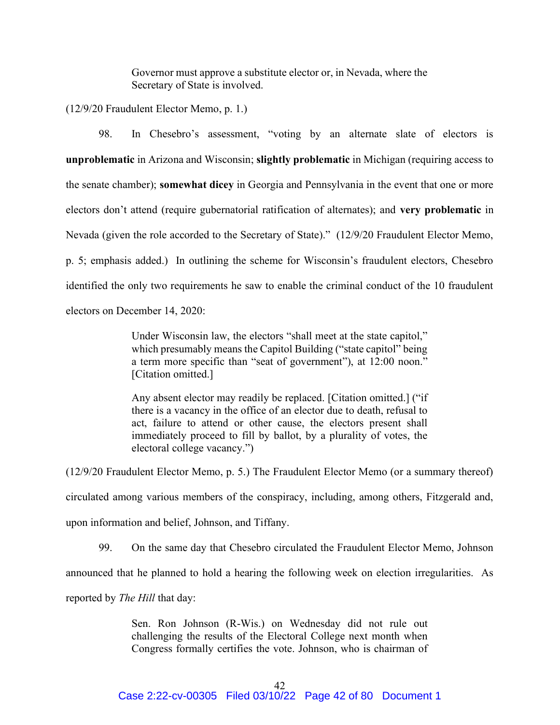Governor must approve a substitute elector or, in Nevada, where the Secretary of State is involved.

(12/9/20 Fraudulent Elector Memo, p. 1.)

98. In Chesebro's assessment, "voting by an alternate slate of electors is unproblematic in Arizona and Wisconsin; slightly problematic in Michigan (requiring access to the senate chamber); somewhat dicey in Georgia and Pennsylvania in the event that one or more electors don't attend (require gubernatorial ratification of alternates); and very problematic in Nevada (given the role accorded to the Secretary of State)." (12/9/20 Fraudulent Elector Memo, p. 5; emphasis added.) In outlining the scheme for Wisconsin's fraudulent electors, Chesebro identified the only two requirements he saw to enable the criminal conduct of the 10 fraudulent electors on December 14, 2020:

> Under Wisconsin law, the electors "shall meet at the state capitol," which presumably means the Capitol Building ("state capitol" being a term more specific than "seat of government"), at 12:00 noon." [Citation omitted.]

> Any absent elector may readily be replaced. [Citation omitted.] ("if there is a vacancy in the office of an elector due to death, refusal to act, failure to attend or other cause, the electors present shall immediately proceed to fill by ballot, by a plurality of votes, the electoral college vacancy.")

(12/9/20 Fraudulent Elector Memo, p. 5.) The Fraudulent Elector Memo (or a summary thereof) circulated among various members of the conspiracy, including, among others, Fitzgerald and, upon information and belief, Johnson, and Tiffany.

99. On the same day that Chesebro circulated the Fraudulent Elector Memo, Johnson

announced that he planned to hold a hearing the following week on election irregularities. As

reported by The Hill that day:

Sen. Ron Johnson (R-Wis.) on Wednesday did not rule out challenging the results of the Electoral College next month when Congress formally certifies the vote. Johnson, who is chairman of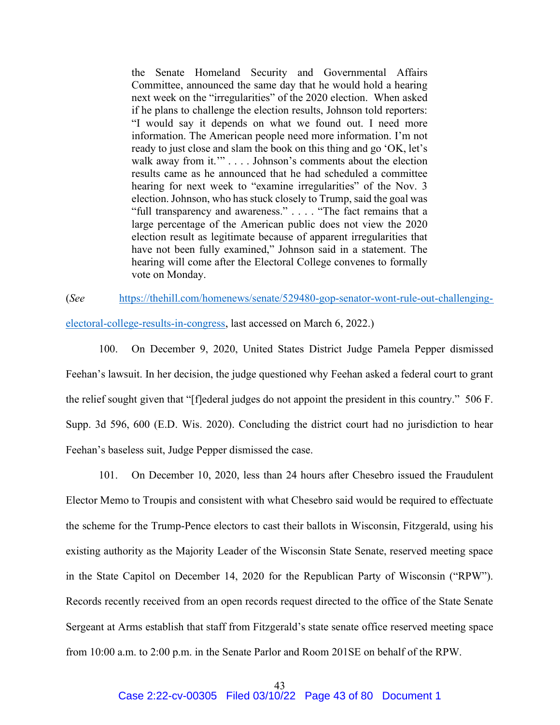the Senate Homeland Security and Governmental Affairs Committee, announced the same day that he would hold a hearing next week on the "irregularities" of the 2020 election. When asked if he plans to challenge the election results, Johnson told reporters: "I would say it depends on what we found out. I need more information. The American people need more information. I'm not ready to just close and slam the book on this thing and go 'OK, let's walk away from it."" . . . . Johnson's comments about the election results came as he announced that he had scheduled a committee hearing for next week to "examine irregularities" of the Nov. 3 election. Johnson, who has stuck closely to Trump, said the goal was "full transparency and awareness." . . . . "The fact remains that a large percentage of the American public does not view the 2020 election result as legitimate because of apparent irregularities that have not been fully examined," Johnson said in a statement. The hearing will come after the Electoral College convenes to formally vote on Monday.

## (See https://thehill.com/homenews/senate/529480-gop-senator-wont-rule-out-challenging-

electoral-college-results-in-congress, last accessed on March 6, 2022.)

100. On December 9, 2020, United States District Judge Pamela Pepper dismissed Feehan's lawsuit. In her decision, the judge questioned why Feehan asked a federal court to grant the relief sought given that "[f]ederal judges do not appoint the president in this country." 506 F. Supp. 3d 596, 600 (E.D. Wis. 2020). Concluding the district court had no jurisdiction to hear Feehan's baseless suit, Judge Pepper dismissed the case.

101. On December 10, 2020, less than 24 hours after Chesebro issued the Fraudulent Elector Memo to Troupis and consistent with what Chesebro said would be required to effectuate the scheme for the Trump-Pence electors to cast their ballots in Wisconsin, Fitzgerald, using his existing authority as the Majority Leader of the Wisconsin State Senate, reserved meeting space in the State Capitol on December 14, 2020 for the Republican Party of Wisconsin ("RPW"). Records recently received from an open records request directed to the office of the State Senate Sergeant at Arms establish that staff from Fitzgerald's state senate office reserved meeting space from 10:00 a.m. to 2:00 p.m. in the Senate Parlor and Room 201SE on behalf of the RPW.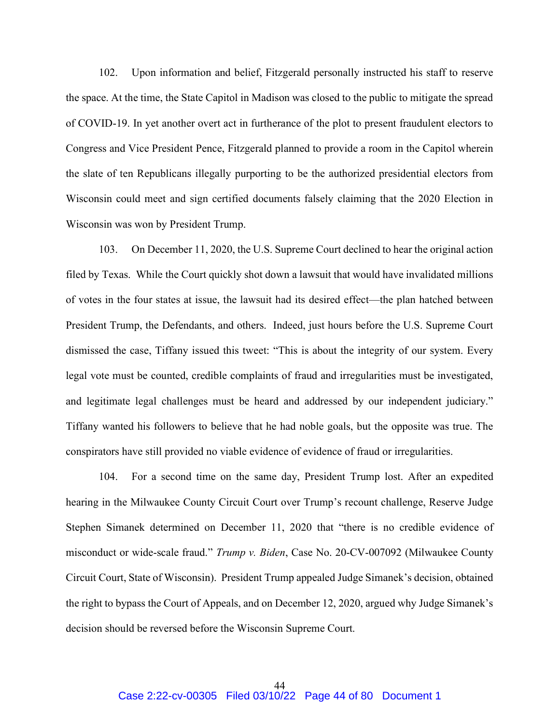102. Upon information and belief, Fitzgerald personally instructed his staff to reserve the space. At the time, the State Capitol in Madison was closed to the public to mitigate the spread of COVID-19. In yet another overt act in furtherance of the plot to present fraudulent electors to Congress and Vice President Pence, Fitzgerald planned to provide a room in the Capitol wherein the slate of ten Republicans illegally purporting to be the authorized presidential electors from Wisconsin could meet and sign certified documents falsely claiming that the 2020 Election in Wisconsin was won by President Trump.

103. On December 11, 2020, the U.S. Supreme Court declined to hear the original action filed by Texas. While the Court quickly shot down a lawsuit that would have invalidated millions of votes in the four states at issue, the lawsuit had its desired effect—the plan hatched between President Trump, the Defendants, and others. Indeed, just hours before the U.S. Supreme Court dismissed the case, Tiffany issued this tweet: "This is about the integrity of our system. Every legal vote must be counted, credible complaints of fraud and irregularities must be investigated, and legitimate legal challenges must be heard and addressed by our independent judiciary." Tiffany wanted his followers to believe that he had noble goals, but the opposite was true. The conspirators have still provided no viable evidence of evidence of fraud or irregularities.

104. For a second time on the same day, President Trump lost. After an expedited hearing in the Milwaukee County Circuit Court over Trump's recount challenge, Reserve Judge Stephen Simanek determined on December 11, 2020 that "there is no credible evidence of misconduct or wide-scale fraud." Trump v. Biden, Case No. 20-CV-007092 (Milwaukee County Circuit Court, State of Wisconsin). President Trump appealed Judge Simanek's decision, obtained the right to bypass the Court of Appeals, and on December 12, 2020, argued why Judge Simanek's decision should be reversed before the Wisconsin Supreme Court.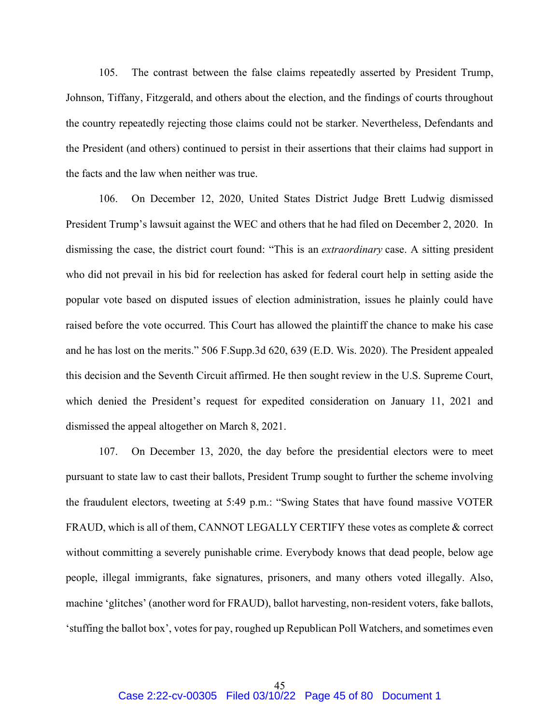105. The contrast between the false claims repeatedly asserted by President Trump, Johnson, Tiffany, Fitzgerald, and others about the election, and the findings of courts throughout the country repeatedly rejecting those claims could not be starker. Nevertheless, Defendants and the President (and others) continued to persist in their assertions that their claims had support in the facts and the law when neither was true.

106. On December 12, 2020, United States District Judge Brett Ludwig dismissed President Trump's lawsuit against the WEC and others that he had filed on December 2, 2020. In dismissing the case, the district court found: "This is an *extraordinary* case. A sitting president who did not prevail in his bid for reelection has asked for federal court help in setting aside the popular vote based on disputed issues of election administration, issues he plainly could have raised before the vote occurred. This Court has allowed the plaintiff the chance to make his case and he has lost on the merits." 506 F.Supp.3d 620, 639 (E.D. Wis. 2020). The President appealed this decision and the Seventh Circuit affirmed. He then sought review in the U.S. Supreme Court, which denied the President's request for expedited consideration on January 11, 2021 and dismissed the appeal altogether on March 8, 2021.

107. On December 13, 2020, the day before the presidential electors were to meet pursuant to state law to cast their ballots, President Trump sought to further the scheme involving the fraudulent electors, tweeting at 5:49 p.m.: "Swing States that have found massive VOTER FRAUD, which is all of them, CANNOT LEGALLY CERTIFY these votes as complete & correct without committing a severely punishable crime. Everybody knows that dead people, below age people, illegal immigrants, fake signatures, prisoners, and many others voted illegally. Also, machine 'glitches' (another word for FRAUD), ballot harvesting, non-resident voters, fake ballots, 'stuffing the ballot box', votes for pay, roughed up Republican Poll Watchers, and sometimes even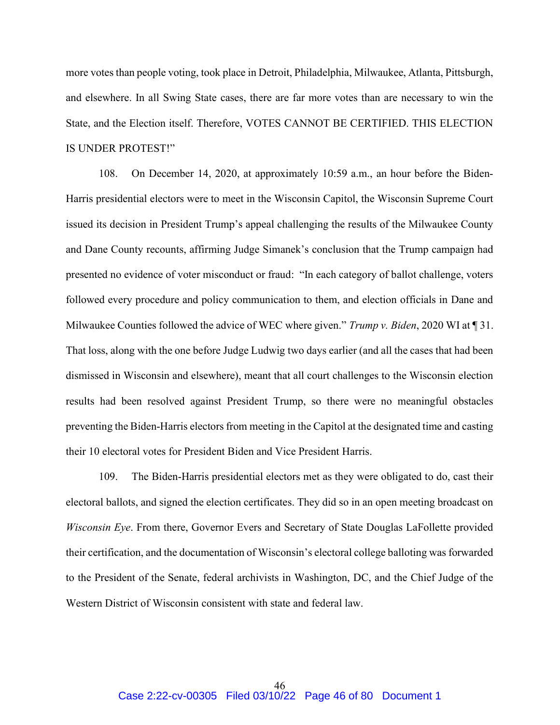more votes than people voting, took place in Detroit, Philadelphia, Milwaukee, Atlanta, Pittsburgh, and elsewhere. In all Swing State cases, there are far more votes than are necessary to win the State, and the Election itself. Therefore, VOTES CANNOT BE CERTIFIED. THIS ELECTION IS UNDER PROTEST!"

108. On December 14, 2020, at approximately 10:59 a.m., an hour before the Biden-Harris presidential electors were to meet in the Wisconsin Capitol, the Wisconsin Supreme Court issued its decision in President Trump's appeal challenging the results of the Milwaukee County and Dane County recounts, affirming Judge Simanek's conclusion that the Trump campaign had presented no evidence of voter misconduct or fraud: "In each category of ballot challenge, voters followed every procedure and policy communication to them, and election officials in Dane and Milwaukee Counties followed the advice of WEC where given." Trump v. Biden, 2020 WI at  $\P$  31. That loss, along with the one before Judge Ludwig two days earlier (and all the cases that had been dismissed in Wisconsin and elsewhere), meant that all court challenges to the Wisconsin election results had been resolved against President Trump, so there were no meaningful obstacles preventing the Biden-Harris electors from meeting in the Capitol at the designated time and casting their 10 electoral votes for President Biden and Vice President Harris.

109. The Biden-Harris presidential electors met as they were obligated to do, cast their electoral ballots, and signed the election certificates. They did so in an open meeting broadcast on Wisconsin Eye. From there, Governor Evers and Secretary of State Douglas LaFollette provided their certification, and the documentation of Wisconsin's electoral college balloting was forwarded to the President of the Senate, federal archivists in Washington, DC, and the Chief Judge of the Western District of Wisconsin consistent with state and federal law.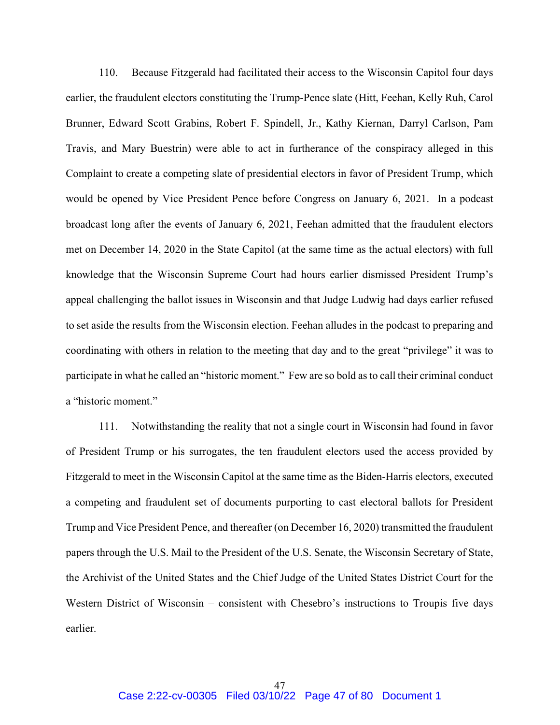110. Because Fitzgerald had facilitated their access to the Wisconsin Capitol four days earlier, the fraudulent electors constituting the Trump-Pence slate (Hitt, Feehan, Kelly Ruh, Carol Brunner, Edward Scott Grabins, Robert F. Spindell, Jr., Kathy Kiernan, Darryl Carlson, Pam Travis, and Mary Buestrin) were able to act in furtherance of the conspiracy alleged in this Complaint to create a competing slate of presidential electors in favor of President Trump, which would be opened by Vice President Pence before Congress on January 6, 2021. In a podcast broadcast long after the events of January 6, 2021, Feehan admitted that the fraudulent electors met on December 14, 2020 in the State Capitol (at the same time as the actual electors) with full knowledge that the Wisconsin Supreme Court had hours earlier dismissed President Trump's appeal challenging the ballot issues in Wisconsin and that Judge Ludwig had days earlier refused to set aside the results from the Wisconsin election. Feehan alludes in the podcast to preparing and coordinating with others in relation to the meeting that day and to the great "privilege" it was to participate in what he called an "historic moment." Few are so bold as to call their criminal conduct a "historic moment."

111. Notwithstanding the reality that not a single court in Wisconsin had found in favor of President Trump or his surrogates, the ten fraudulent electors used the access provided by Fitzgerald to meet in the Wisconsin Capitol at the same time as the Biden-Harris electors, executed a competing and fraudulent set of documents purporting to cast electoral ballots for President Trump and Vice President Pence, and thereafter (on December 16, 2020) transmitted the fraudulent papers through the U.S. Mail to the President of the U.S. Senate, the Wisconsin Secretary of State, the Archivist of the United States and the Chief Judge of the United States District Court for the Western District of Wisconsin – consistent with Chesebro's instructions to Troupis five days earlier.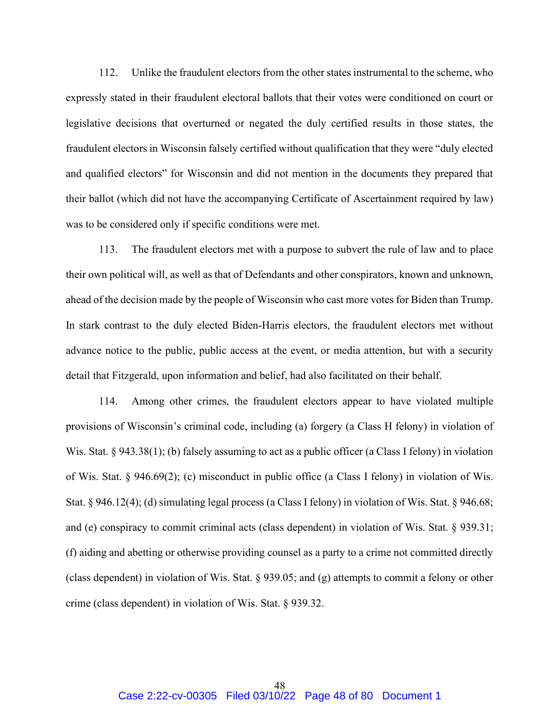112. Unlike the fraudulent electors from the other states instrumental to the scheme, who expressly stated in their fraudulent electoral ballots that their votes were conditioned on court or legislative decisions that overturned or negated the duly certified results in those states, the fraudulent electors in Wisconsin falsely certified without qualification that they were "duly elected and qualified electors" for Wisconsin and did not mention in the documents they prepared that their ballot (which did not have the accompanying Certificate of Ascertainment required by law) was to be considered only if specific conditions were met.

113. The fraudulent electors met with a purpose to subvert the rule of law and to place their own political will, as well as that of Defendants and other conspirators, known and unknown, ahead of the decision made by the people of Wisconsin who cast more votes for Biden than Trump. In stark contrast to the duly elected Biden-Harris electors, the fraudulent electors met without advance notice to the public, public access at the event, or media attention, but with a security detail that Fitzgerald, upon information and belief, had also facilitated on their behalf.

114. Among other crimes, the fraudulent electors appear to have violated multiple provisions of Wisconsin's criminal code, including (a) forgery (a Class H felony) in violation of Wis. Stat. § 943.38(1); (b) falsely assuming to act as a public officer (a Class I felony) in violation of Wis. Stat. § 946.69(2); (c) misconduct in public office (a Class I felony) in violation of Wis. Stat. § 946.12(4); (d) simulating legal process (a Class I felony) in violation of Wis. Stat. § 946.68; and (e) conspiracy to commit criminal acts (class dependent) in violation of Wis. Stat. § 939.31; (f) aiding and abetting or otherwise providing counsel as a party to a crime not committed directly (class dependent) in violation of Wis. Stat. § 939.05; and (g) attempts to commit a felony or other crime (class dependent) in violation of Wis. Stat. § 939.32.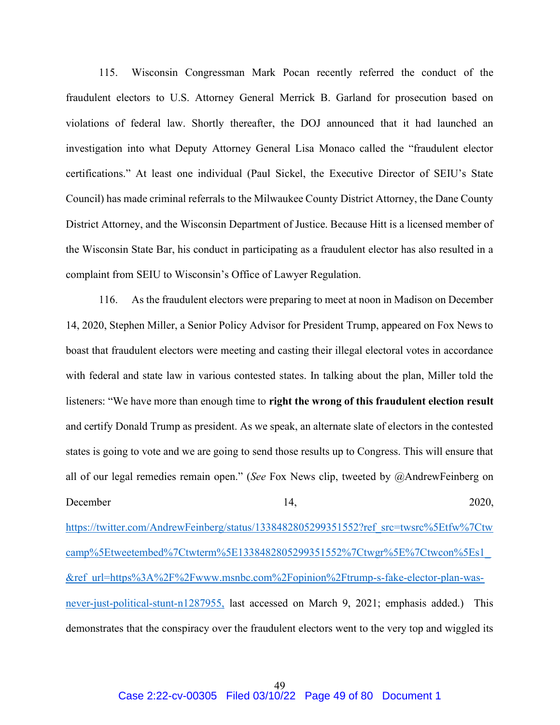115. Wisconsin Congressman Mark Pocan recently referred the conduct of the fraudulent electors to U.S. Attorney General Merrick B. Garland for prosecution based on violations of federal law. Shortly thereafter, the DOJ announced that it had launched an investigation into what Deputy Attorney General Lisa Monaco called the "fraudulent elector certifications." At least one individual (Paul Sickel, the Executive Director of SEIU's State Council) has made criminal referrals to the Milwaukee County District Attorney, the Dane County District Attorney, and the Wisconsin Department of Justice. Because Hitt is a licensed member of the Wisconsin State Bar, his conduct in participating as a fraudulent elector has also resulted in a complaint from SEIU to Wisconsin's Office of Lawyer Regulation.

116. As the fraudulent electors were preparing to meet at noon in Madison on December 14, 2020, Stephen Miller, a Senior Policy Advisor for President Trump, appeared on Fox News to boast that fraudulent electors were meeting and casting their illegal electoral votes in accordance with federal and state law in various contested states. In talking about the plan, Miller told the listeners: "We have more than enough time to right the wrong of this fraudulent election result and certify Donald Trump as president. As we speak, an alternate slate of electors in the contested states is going to vote and we are going to send those results up to Congress. This will ensure that all of our legal remedies remain open." (See Fox News clip, tweeted by @AndrewFeinberg on December  $14$ ,  $2020$ , https://twitter.com/AndrewFeinberg/status/1338482805299351552?ref\_src=twsrc%5Etfw%7Ctw camp%5Etweetembed%7Ctwterm%5E1338482805299351552%7Ctwgr%5E%7Ctwcon%5Es1\_ &ref\_url=https%3A%2F%2Fwww.msnbc.com%2Fopinion%2Ftrump-s-fake-elector-plan-was-

never-just-political-stunt-n1287955, last accessed on March 9, 2021; emphasis added.) This demonstrates that the conspiracy over the fraudulent electors went to the very top and wiggled its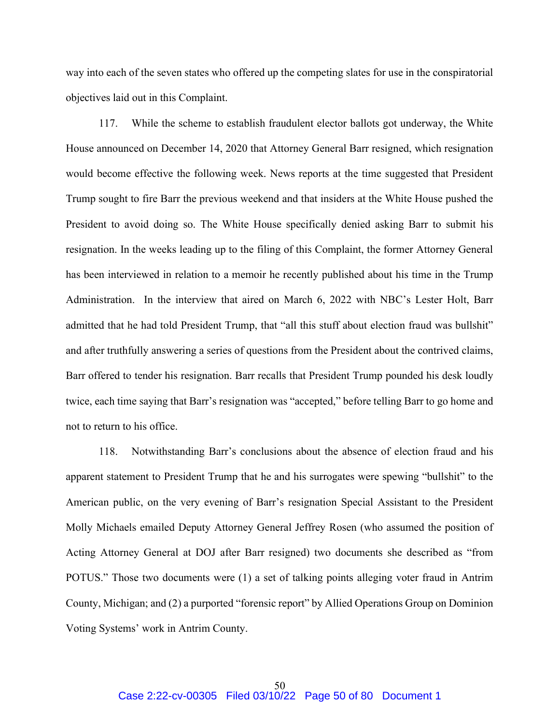way into each of the seven states who offered up the competing slates for use in the conspiratorial objectives laid out in this Complaint.

117. While the scheme to establish fraudulent elector ballots got underway, the White House announced on December 14, 2020 that Attorney General Barr resigned, which resignation would become effective the following week. News reports at the time suggested that President Trump sought to fire Barr the previous weekend and that insiders at the White House pushed the President to avoid doing so. The White House specifically denied asking Barr to submit his resignation. In the weeks leading up to the filing of this Complaint, the former Attorney General has been interviewed in relation to a memoir he recently published about his time in the Trump Administration. In the interview that aired on March 6, 2022 with NBC's Lester Holt, Barr admitted that he had told President Trump, that "all this stuff about election fraud was bullshit" and after truthfully answering a series of questions from the President about the contrived claims, Barr offered to tender his resignation. Barr recalls that President Trump pounded his desk loudly twice, each time saying that Barr's resignation was "accepted," before telling Barr to go home and not to return to his office.

118. Notwithstanding Barr's conclusions about the absence of election fraud and his apparent statement to President Trump that he and his surrogates were spewing "bullshit" to the American public, on the very evening of Barr's resignation Special Assistant to the President Molly Michaels emailed Deputy Attorney General Jeffrey Rosen (who assumed the position of Acting Attorney General at DOJ after Barr resigned) two documents she described as "from POTUS." Those two documents were (1) a set of talking points alleging voter fraud in Antrim County, Michigan; and (2) a purported "forensic report" by Allied Operations Group on Dominion Voting Systems' work in Antrim County.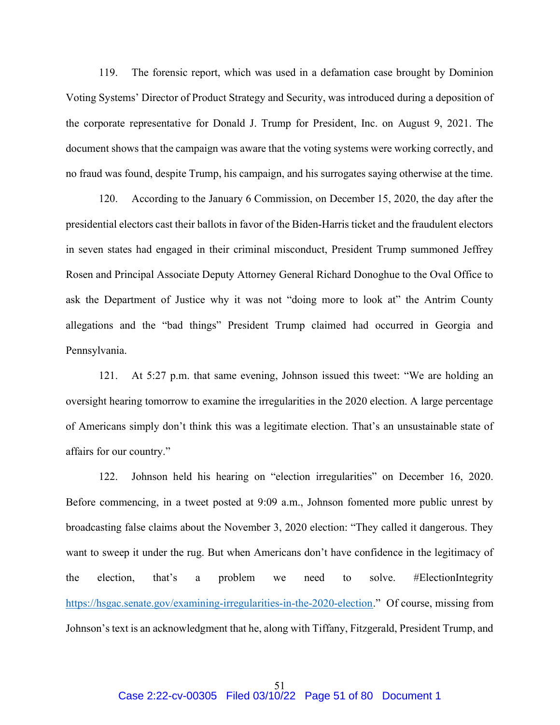119. The forensic report, which was used in a defamation case brought by Dominion Voting Systems' Director of Product Strategy and Security, was introduced during a deposition of the corporate representative for Donald J. Trump for President, Inc. on August 9, 2021. The document shows that the campaign was aware that the voting systems were working correctly, and no fraud was found, despite Trump, his campaign, and his surrogates saying otherwise at the time.

120. According to the January 6 Commission, on December 15, 2020, the day after the presidential electors cast their ballots in favor of the Biden-Harris ticket and the fraudulent electors in seven states had engaged in their criminal misconduct, President Trump summoned Jeffrey Rosen and Principal Associate Deputy Attorney General Richard Donoghue to the Oval Office to ask the Department of Justice why it was not "doing more to look at" the Antrim County allegations and the "bad things" President Trump claimed had occurred in Georgia and Pennsylvania.

121. At 5:27 p.m. that same evening, Johnson issued this tweet: "We are holding an oversight hearing tomorrow to examine the irregularities in the 2020 election. A large percentage of Americans simply don't think this was a legitimate election. That's an unsustainable state of affairs for our country."

122. Johnson held his hearing on "election irregularities" on December 16, 2020. Before commencing, in a tweet posted at 9:09 a.m., Johnson fomented more public unrest by broadcasting false claims about the November 3, 2020 election: "They called it dangerous. They want to sweep it under the rug. But when Americans don't have confidence in the legitimacy of the election, that's a problem we need to solve. #ElectionIntegrity https://hsgac.senate.gov/examining-irregularities-in-the-2020-election." Of course, missing from Johnson's text is an acknowledgment that he, along with Tiffany, Fitzgerald, President Trump, and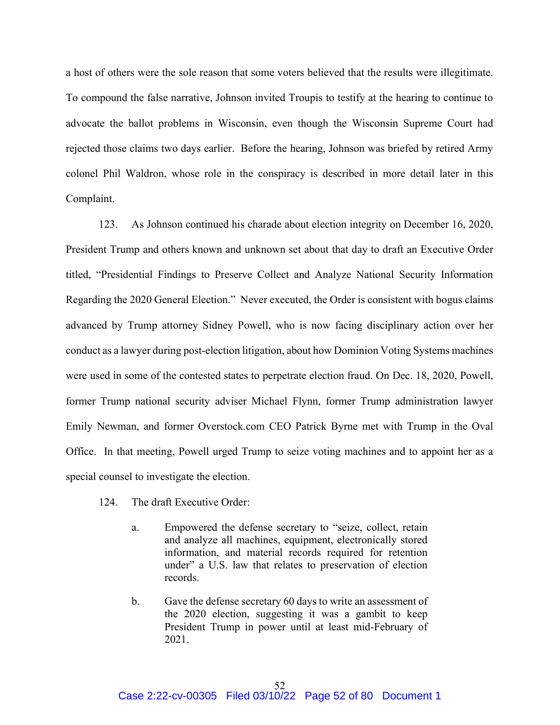a host of others were the sole reason that some voters believed that the results were illegitimate. To compound the false narrative, Johnson invited Troupis to testify at the hearing to continue to advocate the ballot problems in Wisconsin, even though the Wisconsin Supreme Court had rejected those claims two days earlier. Before the hearing, Johnson was briefed by retired Army colonel Phil Waldron, whose role in the conspiracy is described in more detail later in this Complaint.

123. As Johnson continued his charade about election integrity on December 16, 2020, President Trump and others known and unknown set about that day to draft an Executive Order titled, "Presidential Findings to Preserve Collect and Analyze National Security Information Regarding the 2020 General Election." Never executed, the Order is consistent with bogus claims advanced by Trump attorney Sidney Powell, who is now facing disciplinary action over her conduct as a lawyer during post-election litigation, about how Dominion Voting Systems machines were used in some of the contested states to perpetrate election fraud. On Dec. 18, 2020, Powell, former Trump national security adviser Michael Flynn, former Trump administration lawyer Emily Newman, and former Overstock.com CEO Patrick Byrne met with Trump in the Oval Office. In that meeting, Powell urged Trump to seize voting machines and to appoint her as a special counsel to investigate the election.

- 124. The draft Executive Order:
	- a. Empowered the defense secretary to "seize, collect, retain and analyze all machines, equipment, electronically stored information, and material records required for retention under" a U.S. law that relates to preservation of election records.
	- b. Gave the defense secretary 60 days to write an assessment of the 2020 election, suggesting it was a gambit to keep President Trump in power until at least mid-February of 2021.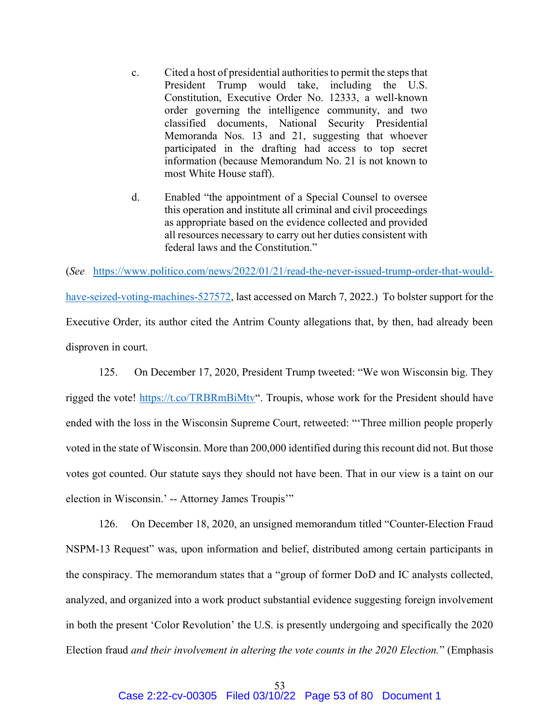- c. Cited a host of presidential authorities to permit the steps that President Trump would take, including the U.S. Constitution, Executive Order No. 12333, a well-known order governing the intelligence community, and two classified documents, National Security Presidential Memoranda Nos. 13 and 21, suggesting that whoever participated in the drafting had access to top secret information (because Memorandum No. 21 is not known to most White House staff).
- d. Enabled "the appointment of a Special Counsel to oversee this operation and institute all criminal and civil proceedings as appropriate based on the evidence collected and provided all resources necessary to carry out her duties consistent with federal laws and the Constitution."

(See https://www.politico.com/news/2022/01/21/read-the-never-issued-trump-order-that-wouldhave-seized-voting-machines-527572, last accessed on March 7, 2022.) To bolster support for the Executive Order, its author cited the Antrim County allegations that, by then, had already been disproven in court.

125. On December 17, 2020, President Trump tweeted: "We won Wisconsin big. They rigged the vote! https://t.co/TRBRmBiMtv". Troupis, whose work for the President should have ended with the loss in the Wisconsin Supreme Court, retweeted: "'Three million people properly voted in the state of Wisconsin. More than 200,000 identified during this recount did not. But those votes got counted. Our statute says they should not have been. That in our view is a taint on our election in Wisconsin.' -- Attorney James Troupis'"

126. On December 18, 2020, an unsigned memorandum titled "Counter-Election Fraud NSPM-13 Request" was, upon information and belief, distributed among certain participants in the conspiracy. The memorandum states that a "group of former DoD and IC analysts collected, analyzed, and organized into a work product substantial evidence suggesting foreign involvement in both the present 'Color Revolution' the U.S. is presently undergoing and specifically the 2020 Election fraud and their involvement in altering the vote counts in the 2020 Election." (Emphasis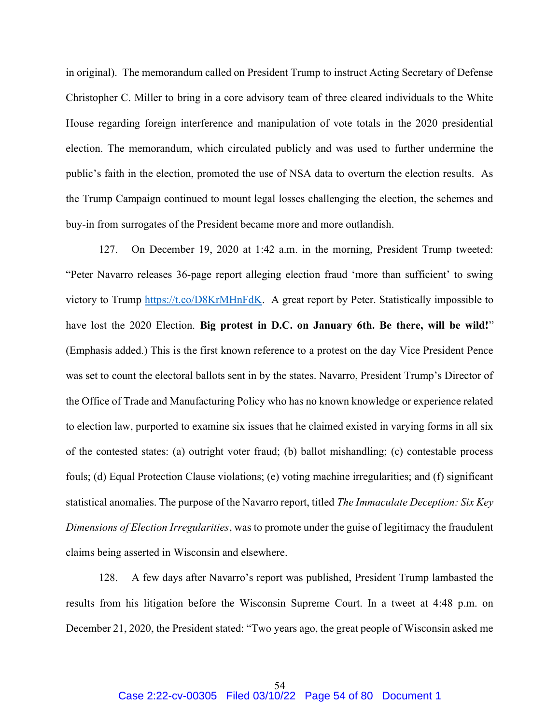in original). The memorandum called on President Trump to instruct Acting Secretary of Defense Christopher C. Miller to bring in a core advisory team of three cleared individuals to the White House regarding foreign interference and manipulation of vote totals in the 2020 presidential election. The memorandum, which circulated publicly and was used to further undermine the public's faith in the election, promoted the use of NSA data to overturn the election results. As the Trump Campaign continued to mount legal losses challenging the election, the schemes and buy-in from surrogates of the President became more and more outlandish.

127. On December 19, 2020 at 1:42 a.m. in the morning, President Trump tweeted: "Peter Navarro releases 36-page report alleging election fraud 'more than sufficient' to swing victory to Trump https://t.co/D8KrMHnFdK. A great report by Peter. Statistically impossible to have lost the 2020 Election. Big protest in D.C. on January 6th. Be there, will be wild!" (Emphasis added.) This is the first known reference to a protest on the day Vice President Pence was set to count the electoral ballots sent in by the states. Navarro, President Trump's Director of the Office of Trade and Manufacturing Policy who has no known knowledge or experience related to election law, purported to examine six issues that he claimed existed in varying forms in all six of the contested states: (a) outright voter fraud; (b) ballot mishandling; (c) contestable process fouls; (d) Equal Protection Clause violations; (e) voting machine irregularities; and (f) significant statistical anomalies. The purpose of the Navarro report, titled The Immaculate Deception: Six Key Dimensions of Election Irregularities, was to promote under the guise of legitimacy the fraudulent claims being asserted in Wisconsin and elsewhere.

128. A few days after Navarro's report was published, President Trump lambasted the results from his litigation before the Wisconsin Supreme Court. In a tweet at 4:48 p.m. on December 21, 2020, the President stated: "Two years ago, the great people of Wisconsin asked me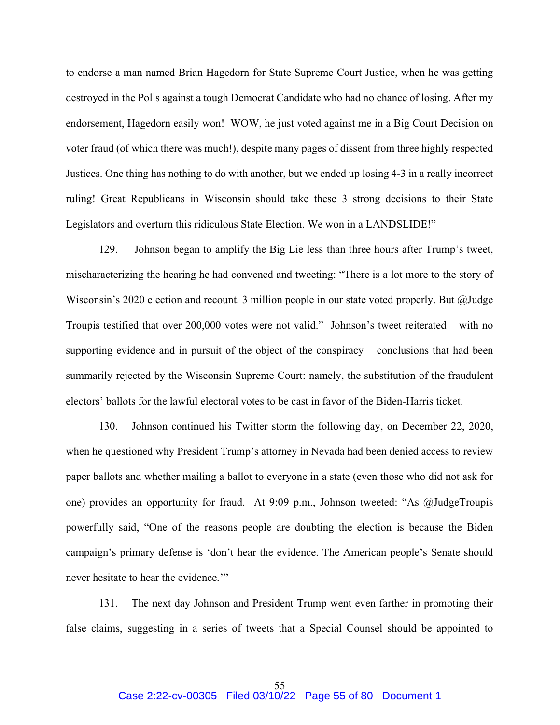to endorse a man named Brian Hagedorn for State Supreme Court Justice, when he was getting destroyed in the Polls against a tough Democrat Candidate who had no chance of losing. After my endorsement, Hagedorn easily won! WOW, he just voted against me in a Big Court Decision on voter fraud (of which there was much!), despite many pages of dissent from three highly respected Justices. One thing has nothing to do with another, but we ended up losing 4-3 in a really incorrect ruling! Great Republicans in Wisconsin should take these 3 strong decisions to their State Legislators and overturn this ridiculous State Election. We won in a LANDSLIDE!"

129. Johnson began to amplify the Big Lie less than three hours after Trump's tweet, mischaracterizing the hearing he had convened and tweeting: "There is a lot more to the story of Wisconsin's 2020 election and recount. 3 million people in our state voted properly. But @Judge Troupis testified that over 200,000 votes were not valid." Johnson's tweet reiterated – with no supporting evidence and in pursuit of the object of the conspiracy – conclusions that had been summarily rejected by the Wisconsin Supreme Court: namely, the substitution of the fraudulent electors' ballots for the lawful electoral votes to be cast in favor of the Biden-Harris ticket.

130. Johnson continued his Twitter storm the following day, on December 22, 2020, when he questioned why President Trump's attorney in Nevada had been denied access to review paper ballots and whether mailing a ballot to everyone in a state (even those who did not ask for one) provides an opportunity for fraud. At 9:09 p.m., Johnson tweeted: "As @JudgeTroupis powerfully said, "One of the reasons people are doubting the election is because the Biden campaign's primary defense is 'don't hear the evidence. The American people's Senate should never hesitate to hear the evidence."

131. The next day Johnson and President Trump went even farther in promoting their false claims, suggesting in a series of tweets that a Special Counsel should be appointed to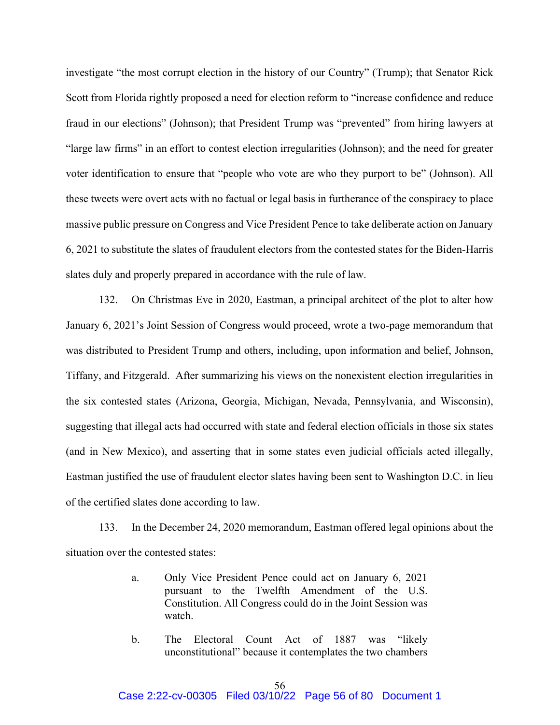investigate "the most corrupt election in the history of our Country" (Trump); that Senator Rick Scott from Florida rightly proposed a need for election reform to "increase confidence and reduce fraud in our elections" (Johnson); that President Trump was "prevented" from hiring lawyers at "large law firms" in an effort to contest election irregularities (Johnson); and the need for greater voter identification to ensure that "people who vote are who they purport to be" (Johnson). All these tweets were overt acts with no factual or legal basis in furtherance of the conspiracy to place massive public pressure on Congress and Vice President Pence to take deliberate action on January 6, 2021 to substitute the slates of fraudulent electors from the contested states for the Biden-Harris slates duly and properly prepared in accordance with the rule of law.

132. On Christmas Eve in 2020, Eastman, a principal architect of the plot to alter how January 6, 2021's Joint Session of Congress would proceed, wrote a two-page memorandum that was distributed to President Trump and others, including, upon information and belief, Johnson, Tiffany, and Fitzgerald. After summarizing his views on the nonexistent election irregularities in the six contested states (Arizona, Georgia, Michigan, Nevada, Pennsylvania, and Wisconsin), suggesting that illegal acts had occurred with state and federal election officials in those six states (and in New Mexico), and asserting that in some states even judicial officials acted illegally, Eastman justified the use of fraudulent elector slates having been sent to Washington D.C. in lieu of the certified slates done according to law.

133. In the December 24, 2020 memorandum, Eastman offered legal opinions about the situation over the contested states:

- a. Only Vice President Pence could act on January 6, 2021 pursuant to the Twelfth Amendment of the U.S. Constitution. All Congress could do in the Joint Session was watch.
- b. The Electoral Count Act of 1887 was "likely unconstitutional" because it contemplates the two chambers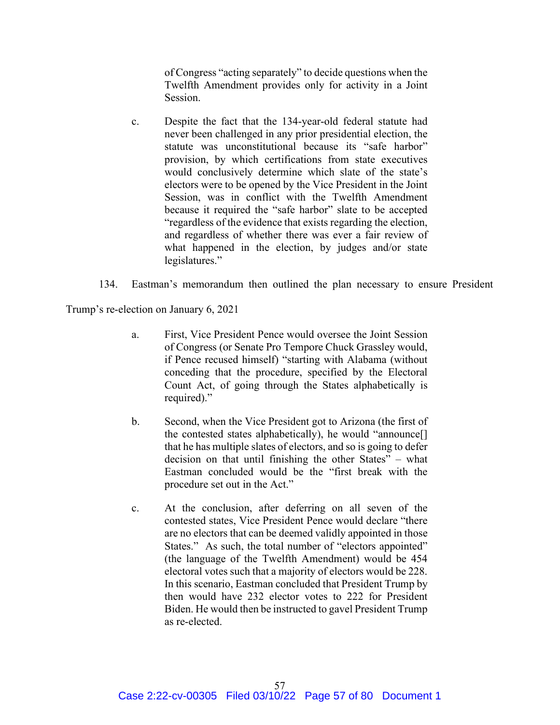of Congress "acting separately" to decide questions when the Twelfth Amendment provides only for activity in a Joint Session.

- c. Despite the fact that the 134-year-old federal statute had never been challenged in any prior presidential election, the statute was unconstitutional because its "safe harbor" provision, by which certifications from state executives would conclusively determine which slate of the state's electors were to be opened by the Vice President in the Joint Session, was in conflict with the Twelfth Amendment because it required the "safe harbor" slate to be accepted "regardless of the evidence that exists regarding the election, and regardless of whether there was ever a fair review of what happened in the election, by judges and/or state legislatures."
- 134. Eastman's memorandum then outlined the plan necessary to ensure President

Trump's re-election on January 6, 2021

- a. First, Vice President Pence would oversee the Joint Session of Congress (or Senate Pro Tempore Chuck Grassley would, if Pence recused himself) "starting with Alabama (without conceding that the procedure, specified by the Electoral Count Act, of going through the States alphabetically is required)."
- b. Second, when the Vice President got to Arizona (the first of the contested states alphabetically), he would "announce[] that he has multiple slates of electors, and so is going to defer decision on that until finishing the other States" – what Eastman concluded would be the "first break with the procedure set out in the Act."
- c. At the conclusion, after deferring on all seven of the contested states, Vice President Pence would declare "there are no electors that can be deemed validly appointed in those States." As such, the total number of "electors appointed" (the language of the Twelfth Amendment) would be 454 electoral votes such that a majority of electors would be 228. In this scenario, Eastman concluded that President Trump by then would have 232 elector votes to 222 for President Biden. He would then be instructed to gavel President Trump as re-elected.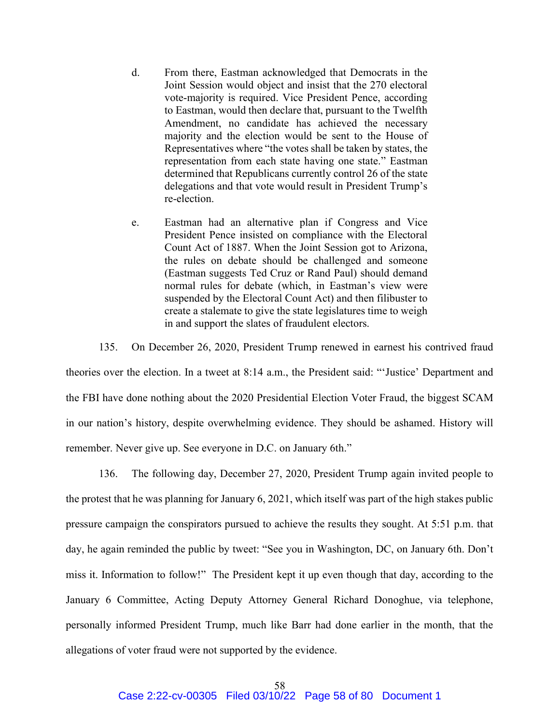- d. From there, Eastman acknowledged that Democrats in the Joint Session would object and insist that the 270 electoral vote-majority is required. Vice President Pence, according to Eastman, would then declare that, pursuant to the Twelfth Amendment, no candidate has achieved the necessary majority and the election would be sent to the House of Representatives where "the votes shall be taken by states, the representation from each state having one state." Eastman determined that Republicans currently control 26 of the state delegations and that vote would result in President Trump's re-election.
- e. Eastman had an alternative plan if Congress and Vice President Pence insisted on compliance with the Electoral Count Act of 1887. When the Joint Session got to Arizona, the rules on debate should be challenged and someone (Eastman suggests Ted Cruz or Rand Paul) should demand normal rules for debate (which, in Eastman's view were suspended by the Electoral Count Act) and then filibuster to create a stalemate to give the state legislatures time to weigh in and support the slates of fraudulent electors.

135. On December 26, 2020, President Trump renewed in earnest his contrived fraud theories over the election. In a tweet at 8:14 a.m., the President said: "'Justice' Department and the FBI have done nothing about the 2020 Presidential Election Voter Fraud, the biggest SCAM in our nation's history, despite overwhelming evidence. They should be ashamed. History will remember. Never give up. See everyone in D.C. on January 6th."

136. The following day, December 27, 2020, President Trump again invited people to the protest that he was planning for January 6, 2021, which itself was part of the high stakes public pressure campaign the conspirators pursued to achieve the results they sought. At 5:51 p.m. that day, he again reminded the public by tweet: "See you in Washington, DC, on January 6th. Don't miss it. Information to follow!" The President kept it up even though that day, according to the January 6 Committee, Acting Deputy Attorney General Richard Donoghue, via telephone, personally informed President Trump, much like Barr had done earlier in the month, that the allegations of voter fraud were not supported by the evidence.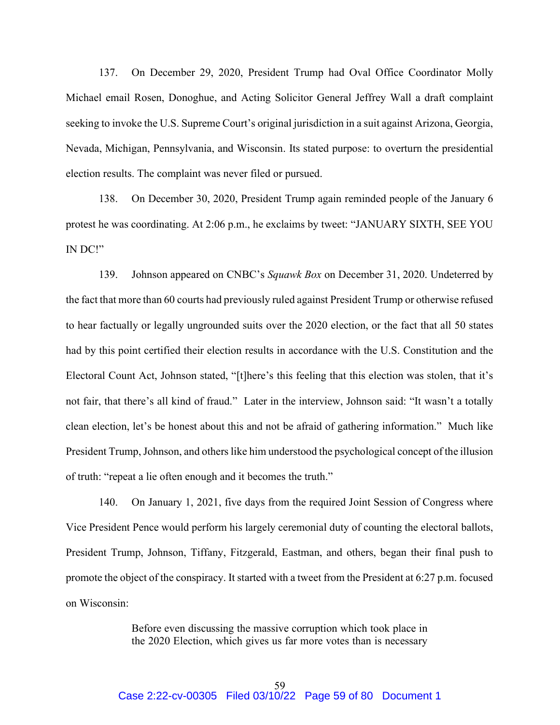137. On December 29, 2020, President Trump had Oval Office Coordinator Molly Michael email Rosen, Donoghue, and Acting Solicitor General Jeffrey Wall a draft complaint seeking to invoke the U.S. Supreme Court's original jurisdiction in a suit against Arizona, Georgia, Nevada, Michigan, Pennsylvania, and Wisconsin. Its stated purpose: to overturn the presidential election results. The complaint was never filed or pursued.

138. On December 30, 2020, President Trump again reminded people of the January 6 protest he was coordinating. At 2:06 p.m., he exclaims by tweet: "JANUARY SIXTH, SEE YOU IN DC!"

139. Johnson appeared on CNBC's Squawk Box on December 31, 2020. Undeterred by the fact that more than 60 courts had previously ruled against President Trump or otherwise refused to hear factually or legally ungrounded suits over the 2020 election, or the fact that all 50 states had by this point certified their election results in accordance with the U.S. Constitution and the Electoral Count Act, Johnson stated, "[t]here's this feeling that this election was stolen, that it's not fair, that there's all kind of fraud." Later in the interview, Johnson said: "It wasn't a totally clean election, let's be honest about this and not be afraid of gathering information." Much like President Trump, Johnson, and others like him understood the psychological concept of the illusion of truth: "repeat a lie often enough and it becomes the truth."

140. On January 1, 2021, five days from the required Joint Session of Congress where Vice President Pence would perform his largely ceremonial duty of counting the electoral ballots, President Trump, Johnson, Tiffany, Fitzgerald, Eastman, and others, began their final push to promote the object of the conspiracy. It started with a tweet from the President at 6:27 p.m. focused on Wisconsin:

> Before even discussing the massive corruption which took place in the 2020 Election, which gives us far more votes than is necessary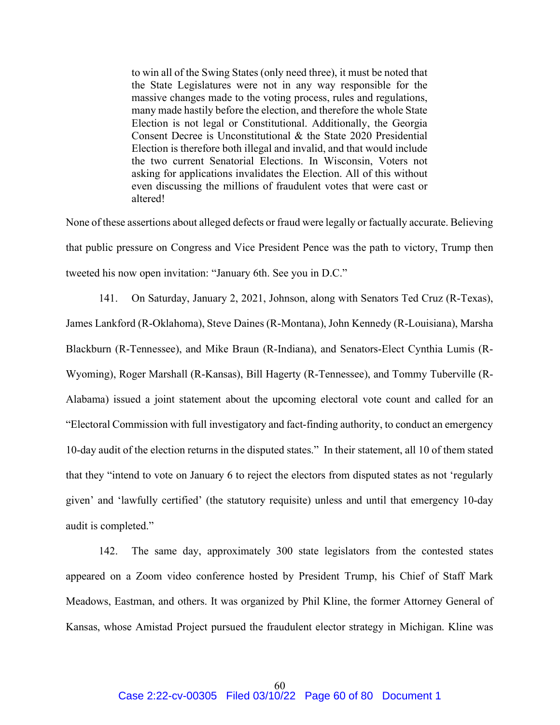to win all of the Swing States (only need three), it must be noted that the State Legislatures were not in any way responsible for the massive changes made to the voting process, rules and regulations, many made hastily before the election, and therefore the whole State Election is not legal or Constitutional. Additionally, the Georgia Consent Decree is Unconstitutional & the State 2020 Presidential Election is therefore both illegal and invalid, and that would include the two current Senatorial Elections. In Wisconsin, Voters not asking for applications invalidates the Election. All of this without even discussing the millions of fraudulent votes that were cast or altered!

None of these assertions about alleged defects or fraud were legally or factually accurate. Believing that public pressure on Congress and Vice President Pence was the path to victory, Trump then tweeted his now open invitation: "January 6th. See you in D.C."

141. On Saturday, January 2, 2021, Johnson, along with Senators Ted Cruz (R-Texas), James Lankford (R-Oklahoma), Steve Daines (R-Montana), John Kennedy (R-Louisiana), Marsha Blackburn (R-Tennessee), and Mike Braun (R-Indiana), and Senators-Elect Cynthia Lumis (R-Wyoming), Roger Marshall (R-Kansas), Bill Hagerty (R-Tennessee), and Tommy Tuberville (R-Alabama) issued a joint statement about the upcoming electoral vote count and called for an "Electoral Commission with full investigatory and fact-finding authority, to conduct an emergency 10-day audit of the election returns in the disputed states." In their statement, all 10 of them stated that they "intend to vote on January 6 to reject the electors from disputed states as not 'regularly given' and 'lawfully certified' (the statutory requisite) unless and until that emergency 10-day audit is completed."

142. The same day, approximately 300 state legislators from the contested states appeared on a Zoom video conference hosted by President Trump, his Chief of Staff Mark Meadows, Eastman, and others. It was organized by Phil Kline, the former Attorney General of Kansas, whose Amistad Project pursued the fraudulent elector strategy in Michigan. Kline was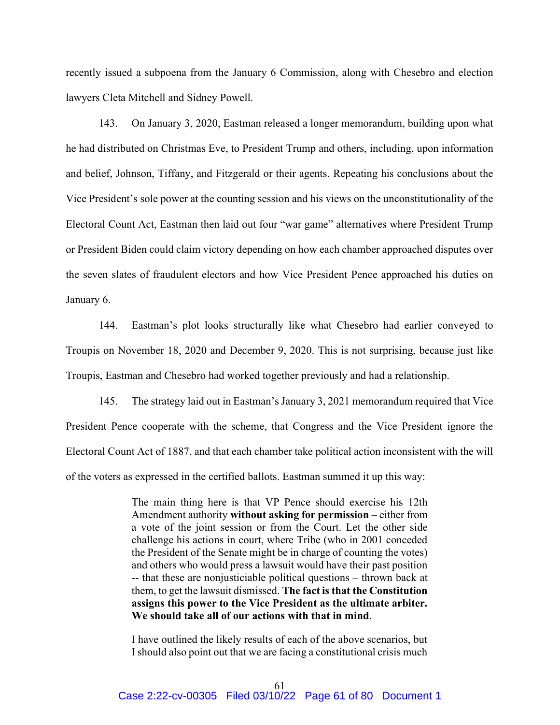recently issued a subpoena from the January 6 Commission, along with Chesebro and election lawyers Cleta Mitchell and Sidney Powell.

143. On January 3, 2020, Eastman released a longer memorandum, building upon what he had distributed on Christmas Eve, to President Trump and others, including, upon information and belief, Johnson, Tiffany, and Fitzgerald or their agents. Repeating his conclusions about the Vice President's sole power at the counting session and his views on the unconstitutionality of the Electoral Count Act, Eastman then laid out four "war game" alternatives where President Trump or President Biden could claim victory depending on how each chamber approached disputes over the seven slates of fraudulent electors and how Vice President Pence approached his duties on January 6.

144. Eastman's plot looks structurally like what Chesebro had earlier conveyed to Troupis on November 18, 2020 and December 9, 2020. This is not surprising, because just like Troupis, Eastman and Chesebro had worked together previously and had a relationship.

145. The strategy laid out in Eastman's January 3, 2021 memorandum required that Vice President Pence cooperate with the scheme, that Congress and the Vice President ignore the Electoral Count Act of 1887, and that each chamber take political action inconsistent with the will of the voters as expressed in the certified ballots. Eastman summed it up this way:

> The main thing here is that VP Pence should exercise his 12th Amendment authority without asking for permission – either from a vote of the joint session or from the Court. Let the other side challenge his actions in court, where Tribe (who in 2001 conceded the President of the Senate might be in charge of counting the votes) and others who would press a lawsuit would have their past position -- that these are nonjusticiable political questions – thrown back at them, to get the lawsuit dismissed. The fact is that the Constitution assigns this power to the Vice President as the ultimate arbiter. We should take all of our actions with that in mind.

> I have outlined the likely results of each of the above scenarios, but I should also point out that we are facing a constitutional crisis much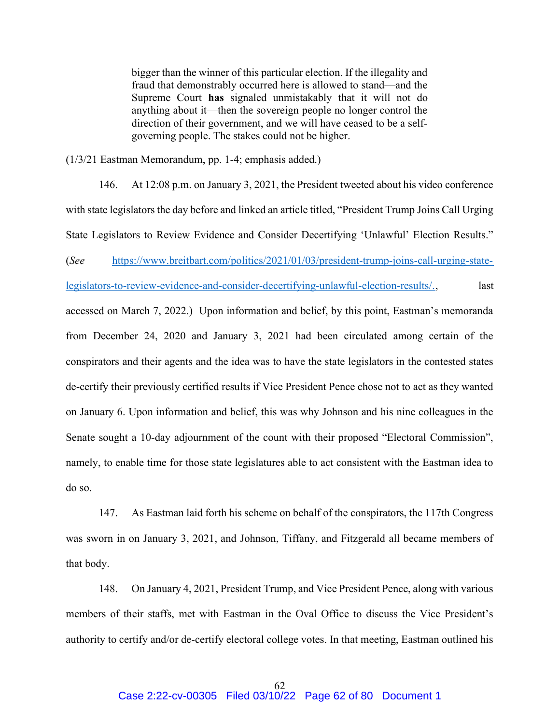bigger than the winner of this particular election. If the illegality and fraud that demonstrably occurred here is allowed to stand—and the Supreme Court has signaled unmistakably that it will not do anything about it—then the sovereign people no longer control the direction of their government, and we will have ceased to be a selfgoverning people. The stakes could not be higher.

(1/3/21 Eastman Memorandum, pp. 1-4; emphasis added.)

146. At 12:08 p.m. on January 3, 2021, the President tweeted about his video conference with state legislators the day before and linked an article titled, "President Trump Joins Call Urging State Legislators to Review Evidence and Consider Decertifying 'Unlawful' Election Results." (See https://www.breitbart.com/politics/2021/01/03/president-trump-joins-call-urging-statelegislators-to-review-evidence-and-consider-decertifying-unlawful-election-results/., last accessed on March 7, 2022.) Upon information and belief, by this point, Eastman's memoranda from December 24, 2020 and January 3, 2021 had been circulated among certain of the conspirators and their agents and the idea was to have the state legislators in the contested states de-certify their previously certified results if Vice President Pence chose not to act as they wanted on January 6. Upon information and belief, this was why Johnson and his nine colleagues in the Senate sought a 10-day adjournment of the count with their proposed "Electoral Commission", namely, to enable time for those state legislatures able to act consistent with the Eastman idea to do so.

147. As Eastman laid forth his scheme on behalf of the conspirators, the 117th Congress was sworn in on January 3, 2021, and Johnson, Tiffany, and Fitzgerald all became members of that body.

148. On January 4, 2021, President Trump, and Vice President Pence, along with various members of their staffs, met with Eastman in the Oval Office to discuss the Vice President's authority to certify and/or de-certify electoral college votes. In that meeting, Eastman outlined his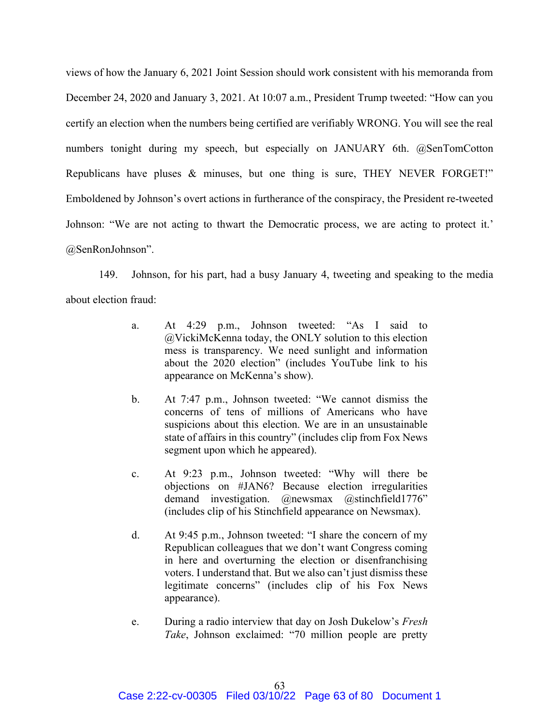views of how the January 6, 2021 Joint Session should work consistent with his memoranda from December 24, 2020 and January 3, 2021. At 10:07 a.m., President Trump tweeted: "How can you certify an election when the numbers being certified are verifiably WRONG. You will see the real numbers tonight during my speech, but especially on JANUARY 6th. @SenTomCotton Republicans have pluses & minuses, but one thing is sure, THEY NEVER FORGET!" Emboldened by Johnson's overt actions in furtherance of the conspiracy, the President re-tweeted Johnson: "We are not acting to thwart the Democratic process, we are acting to protect it.' @SenRonJohnson".

149. Johnson, for his part, had a busy January 4, tweeting and speaking to the media about election fraud:

- a. At 4:29 p.m., Johnson tweeted: "As I said to @VickiMcKenna today, the ONLY solution to this election mess is transparency. We need sunlight and information about the 2020 election" (includes YouTube link to his appearance on McKenna's show).
- b. At 7:47 p.m., Johnson tweeted: "We cannot dismiss the concerns of tens of millions of Americans who have suspicions about this election. We are in an unsustainable state of affairs in this country" (includes clip from Fox News segment upon which he appeared).
- c. At 9:23 p.m., Johnson tweeted: "Why will there be objections on #JAN6? Because election irregularities demand investigation. @newsmax @stinchfield1776" (includes clip of his Stinchfield appearance on Newsmax).
- d. At 9:45 p.m., Johnson tweeted: "I share the concern of my Republican colleagues that we don't want Congress coming in here and overturning the election or disenfranchising voters. I understand that. But we also can't just dismiss these legitimate concerns" (includes clip of his Fox News appearance).
- e. During a radio interview that day on Josh Dukelow's Fresh Take, Johnson exclaimed: "70 million people are pretty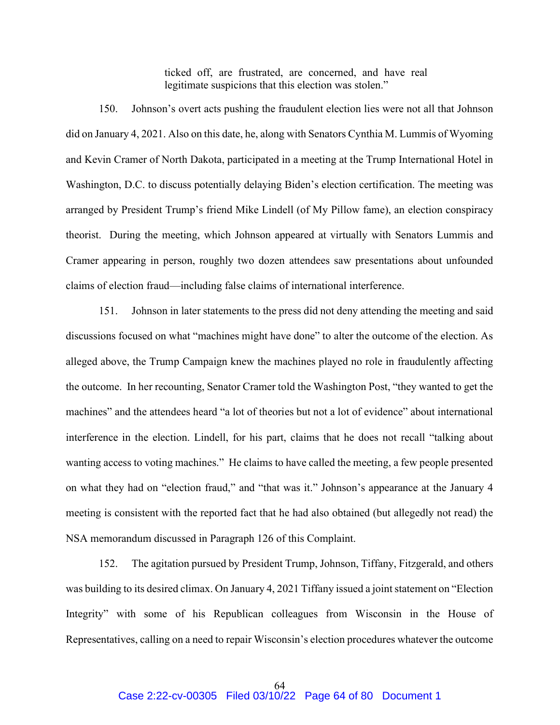ticked off, are frustrated, are concerned, and have real legitimate suspicions that this election was stolen."

150. Johnson's overt acts pushing the fraudulent election lies were not all that Johnson did on January 4, 2021. Also on this date, he, along with Senators Cynthia M. Lummis of Wyoming and Kevin Cramer of North Dakota, participated in a meeting at the Trump International Hotel in Washington, D.C. to discuss potentially delaying Biden's election certification. The meeting was arranged by President Trump's friend Mike Lindell (of My Pillow fame), an election conspiracy theorist. During the meeting, which Johnson appeared at virtually with Senators Lummis and Cramer appearing in person, roughly two dozen attendees saw presentations about unfounded claims of election fraud—including false claims of international interference.

151. Johnson in later statements to the press did not deny attending the meeting and said discussions focused on what "machines might have done" to alter the outcome of the election. As alleged above, the Trump Campaign knew the machines played no role in fraudulently affecting the outcome. In her recounting, Senator Cramer told the Washington Post, "they wanted to get the machines" and the attendees heard "a lot of theories but not a lot of evidence" about international interference in the election. Lindell, for his part, claims that he does not recall "talking about wanting access to voting machines." He claims to have called the meeting, a few people presented on what they had on "election fraud," and "that was it." Johnson's appearance at the January 4 meeting is consistent with the reported fact that he had also obtained (but allegedly not read) the NSA memorandum discussed in Paragraph 126 of this Complaint.

152. The agitation pursued by President Trump, Johnson, Tiffany, Fitzgerald, and others was building to its desired climax. On January 4, 2021 Tiffany issued a joint statement on "Election Integrity" with some of his Republican colleagues from Wisconsin in the House of Representatives, calling on a need to repair Wisconsin's election procedures whatever the outcome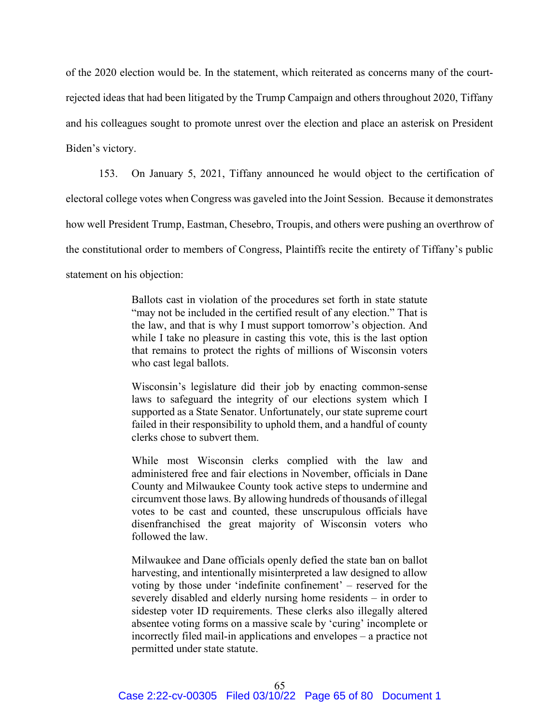of the 2020 election would be. In the statement, which reiterated as concerns many of the courtrejected ideas that had been litigated by the Trump Campaign and others throughout 2020, Tiffany and his colleagues sought to promote unrest over the election and place an asterisk on President Biden's victory.

153. On January 5, 2021, Tiffany announced he would object to the certification of electoral college votes when Congress was gaveled into the Joint Session. Because it demonstrates how well President Trump, Eastman, Chesebro, Troupis, and others were pushing an overthrow of the constitutional order to members of Congress, Plaintiffs recite the entirety of Tiffany's public statement on his objection:

> Ballots cast in violation of the procedures set forth in state statute "may not be included in the certified result of any election." That is the law, and that is why I must support tomorrow's objection. And while I take no pleasure in casting this vote, this is the last option that remains to protect the rights of millions of Wisconsin voters who cast legal ballots.

> Wisconsin's legislature did their job by enacting common-sense laws to safeguard the integrity of our elections system which I supported as a State Senator. Unfortunately, our state supreme court failed in their responsibility to uphold them, and a handful of county clerks chose to subvert them.

> While most Wisconsin clerks complied with the law and administered free and fair elections in November, officials in Dane County and Milwaukee County took active steps to undermine and circumvent those laws. By allowing hundreds of thousands of illegal votes to be cast and counted, these unscrupulous officials have disenfranchised the great majority of Wisconsin voters who followed the law.

> Milwaukee and Dane officials openly defied the state ban on ballot harvesting, and intentionally misinterpreted a law designed to allow voting by those under 'indefinite confinement' – reserved for the severely disabled and elderly nursing home residents – in order to sidestep voter ID requirements. These clerks also illegally altered absentee voting forms on a massive scale by 'curing' incomplete or incorrectly filed mail-in applications and envelopes – a practice not permitted under state statute.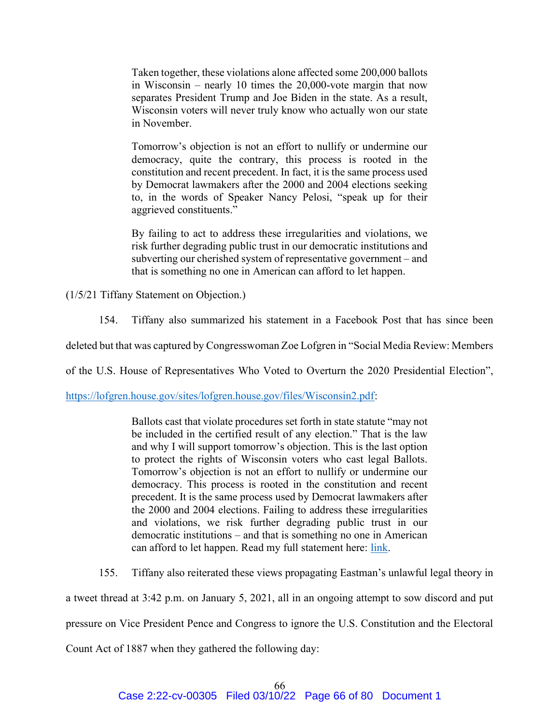Taken together, these violations alone affected some 200,000 ballots in Wisconsin – nearly 10 times the 20,000-vote margin that now separates President Trump and Joe Biden in the state. As a result, Wisconsin voters will never truly know who actually won our state in November.

Tomorrow's objection is not an effort to nullify or undermine our democracy, quite the contrary, this process is rooted in the constitution and recent precedent. In fact, it is the same process used by Democrat lawmakers after the 2000 and 2004 elections seeking to, in the words of Speaker Nancy Pelosi, "speak up for their aggrieved constituents."

By failing to act to address these irregularities and violations, we risk further degrading public trust in our democratic institutions and subverting our cherished system of representative government – and that is something no one in American can afford to let happen.

(1/5/21 Tiffany Statement on Objection.)

154. Tiffany also summarized his statement in a Facebook Post that has since been

deleted but that was captured by Congresswoman Zoe Lofgren in "Social Media Review: Members

of the U.S. House of Representatives Who Voted to Overturn the 2020 Presidential Election",

https://lofgren.house.gov/sites/lofgren.house.gov/files/Wisconsin2.pdf:

Ballots cast that violate procedures set forth in state statute "may not be included in the certified result of any election." That is the law and why I will support tomorrow's objection. This is the last option to protect the rights of Wisconsin voters who cast legal Ballots. Tomorrow's objection is not an effort to nullify or undermine our democracy. This process is rooted in the constitution and recent precedent. It is the same process used by Democrat lawmakers after the 2000 and 2004 elections. Failing to address these irregularities and violations, we risk further degrading public trust in our democratic institutions – and that is something no one in American can afford to let happen. Read my full statement here: link.

155. Tiffany also reiterated these views propagating Eastman's unlawful legal theory in

a tweet thread at 3:42 p.m. on January 5, 2021, all in an ongoing attempt to sow discord and put

pressure on Vice President Pence and Congress to ignore the U.S. Constitution and the Electoral

Count Act of 1887 when they gathered the following day: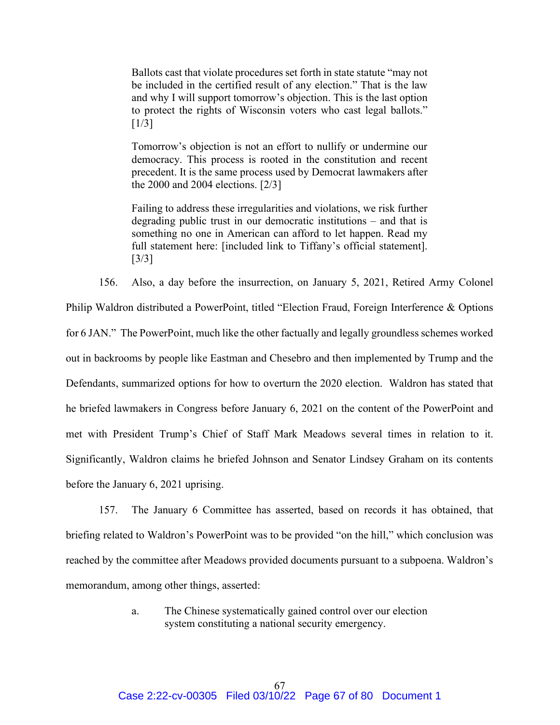Ballots cast that violate procedures set forth in state statute "may not be included in the certified result of any election." That is the law and why I will support tomorrow's objection. This is the last option to protect the rights of Wisconsin voters who cast legal ballots."  $[1/3]$ 

Tomorrow's objection is not an effort to nullify or undermine our democracy. This process is rooted in the constitution and recent precedent. It is the same process used by Democrat lawmakers after the 2000 and 2004 elections. [2/3]

Failing to address these irregularities and violations, we risk further degrading public trust in our democratic institutions – and that is something no one in American can afford to let happen. Read my full statement here: [included link to Tiffany's official statement]. [3/3]

156. Also, a day before the insurrection, on January 5, 2021, Retired Army Colonel Philip Waldron distributed a PowerPoint, titled "Election Fraud, Foreign Interference & Options for 6 JAN." The PowerPoint, much like the other factually and legally groundless schemes worked out in backrooms by people like Eastman and Chesebro and then implemented by Trump and the Defendants, summarized options for how to overturn the 2020 election. Waldron has stated that he briefed lawmakers in Congress before January 6, 2021 on the content of the PowerPoint and met with President Trump's Chief of Staff Mark Meadows several times in relation to it. Significantly, Waldron claims he briefed Johnson and Senator Lindsey Graham on its contents before the January 6, 2021 uprising.

157. The January 6 Committee has asserted, based on records it has obtained, that briefing related to Waldron's PowerPoint was to be provided "on the hill," which conclusion was reached by the committee after Meadows provided documents pursuant to a subpoena. Waldron's memorandum, among other things, asserted:

> a. The Chinese systematically gained control over our election system constituting a national security emergency.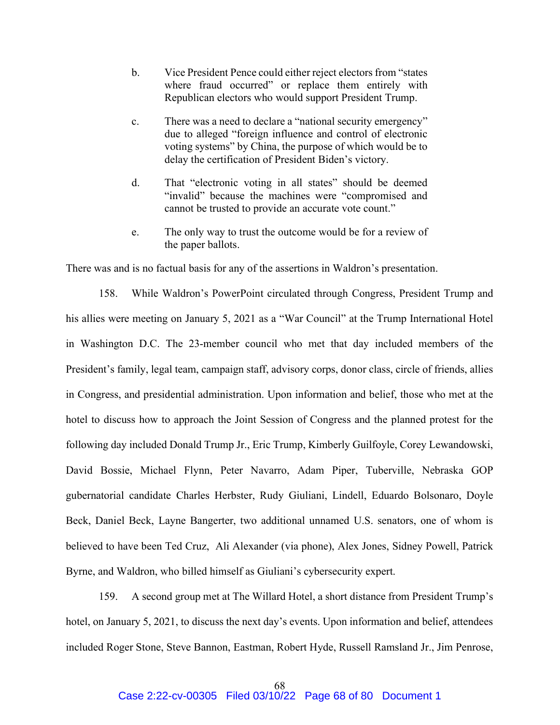- b. Vice President Pence could either reject electors from "states where fraud occurred" or replace them entirely with Republican electors who would support President Trump.
- c. There was a need to declare a "national security emergency" due to alleged "foreign influence and control of electronic voting systems" by China, the purpose of which would be to delay the certification of President Biden's victory.
- d. That "electronic voting in all states" should be deemed "invalid" because the machines were "compromised and cannot be trusted to provide an accurate vote count."
- e. The only way to trust the outcome would be for a review of the paper ballots.

There was and is no factual basis for any of the assertions in Waldron's presentation.

158. While Waldron's PowerPoint circulated through Congress, President Trump and his allies were meeting on January 5, 2021 as a "War Council" at the Trump International Hotel in Washington D.C. The 23-member council who met that day included members of the President's family, legal team, campaign staff, advisory corps, donor class, circle of friends, allies in Congress, and presidential administration. Upon information and belief, those who met at the hotel to discuss how to approach the Joint Session of Congress and the planned protest for the following day included Donald Trump Jr., Eric Trump, Kimberly Guilfoyle, Corey Lewandowski, David Bossie, Michael Flynn, Peter Navarro, Adam Piper, Tuberville, Nebraska GOP gubernatorial candidate Charles Herbster, Rudy Giuliani, Lindell, Eduardo Bolsonaro, Doyle Beck, Daniel Beck, Layne Bangerter, two additional unnamed U.S. senators, one of whom is believed to have been Ted Cruz, Ali Alexander (via phone), Alex Jones, Sidney Powell, Patrick Byrne, and Waldron, who billed himself as Giuliani's cybersecurity expert.

159. A second group met at The Willard Hotel, a short distance from President Trump's hotel, on January 5, 2021, to discuss the next day's events. Upon information and belief, attendees included Roger Stone, Steve Bannon, Eastman, Robert Hyde, Russell Ramsland Jr., Jim Penrose,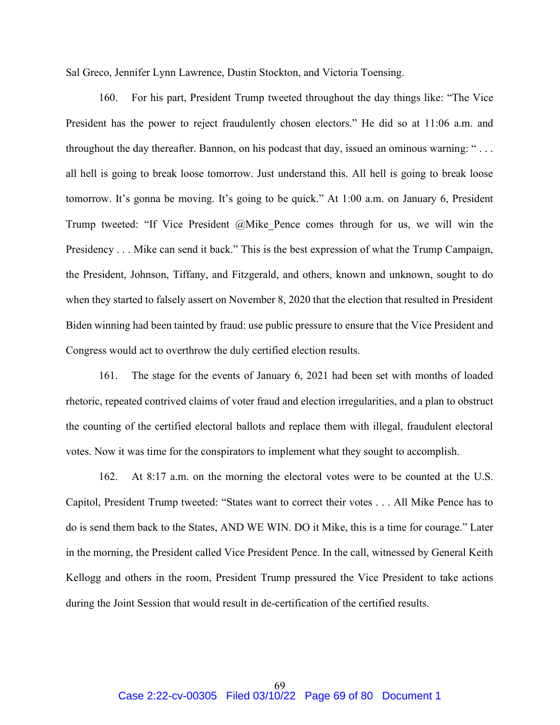Sal Greco, Jennifer Lynn Lawrence, Dustin Stockton, and Victoria Toensing.

160. For his part, President Trump tweeted throughout the day things like: "The Vice President has the power to reject fraudulently chosen electors." He did so at 11:06 a.m. and throughout the day thereafter. Bannon, on his podcast that day, issued an ominous warning: " . . . all hell is going to break loose tomorrow. Just understand this. All hell is going to break loose tomorrow. It's gonna be moving. It's going to be quick." At 1:00 a.m. on January 6, President Trump tweeted: "If Vice President @Mike\_Pence comes through for us, we will win the Presidency . . . Mike can send it back." This is the best expression of what the Trump Campaign, the President, Johnson, Tiffany, and Fitzgerald, and others, known and unknown, sought to do when they started to falsely assert on November 8, 2020 that the election that resulted in President Biden winning had been tainted by fraud: use public pressure to ensure that the Vice President and Congress would act to overthrow the duly certified election results.

161. The stage for the events of January 6, 2021 had been set with months of loaded rhetoric, repeated contrived claims of voter fraud and election irregularities, and a plan to obstruct the counting of the certified electoral ballots and replace them with illegal, fraudulent electoral votes. Now it was time for the conspirators to implement what they sought to accomplish.

162. At 8:17 a.m. on the morning the electoral votes were to be counted at the U.S. Capitol, President Trump tweeted: "States want to correct their votes . . . All Mike Pence has to do is send them back to the States, AND WE WIN. DO it Mike, this is a time for courage." Later in the morning, the President called Vice President Pence. In the call, witnessed by General Keith Kellogg and others in the room, President Trump pressured the Vice President to take actions during the Joint Session that would result in de-certification of the certified results.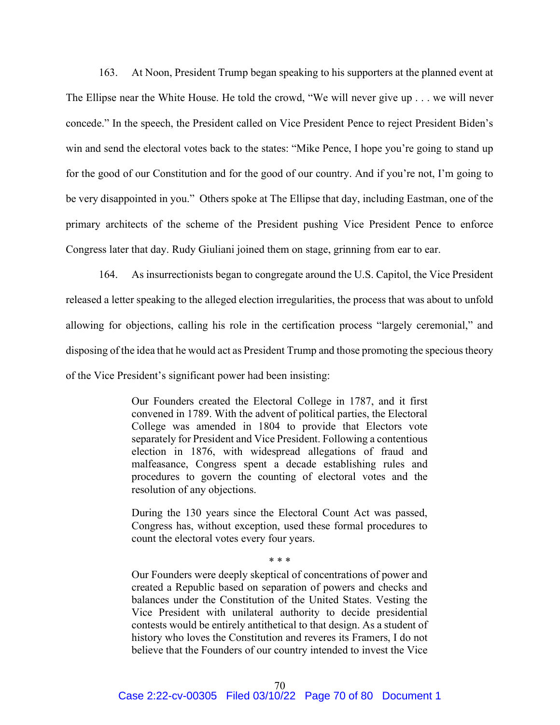163. At Noon, President Trump began speaking to his supporters at the planned event at The Ellipse near the White House. He told the crowd, "We will never give up . . . we will never concede." In the speech, the President called on Vice President Pence to reject President Biden's win and send the electoral votes back to the states: "Mike Pence, I hope you're going to stand up for the good of our Constitution and for the good of our country. And if you're not, I'm going to be very disappointed in you." Others spoke at The Ellipse that day, including Eastman, one of the primary architects of the scheme of the President pushing Vice President Pence to enforce Congress later that day. Rudy Giuliani joined them on stage, grinning from ear to ear.

164. As insurrectionists began to congregate around the U.S. Capitol, the Vice President released a letter speaking to the alleged election irregularities, the process that was about to unfold allowing for objections, calling his role in the certification process "largely ceremonial," and disposing of the idea that he would act as President Trump and those promoting the specious theory of the Vice President's significant power had been insisting:

> Our Founders created the Electoral College in 1787, and it first convened in 1789. With the advent of political parties, the Electoral College was amended in 1804 to provide that Electors vote separately for President and Vice President. Following a contentious election in 1876, with widespread allegations of fraud and malfeasance, Congress spent a decade establishing rules and procedures to govern the counting of electoral votes and the resolution of any objections.

> During the 130 years since the Electoral Count Act was passed, Congress has, without exception, used these formal procedures to count the electoral votes every four years.

> > \* \* \*

Our Founders were deeply skeptical of concentrations of power and created a Republic based on separation of powers and checks and balances under the Constitution of the United States. Vesting the Vice President with unilateral authority to decide presidential contests would be entirely antithetical to that design. As a student of history who loves the Constitution and reveres its Framers, I do not believe that the Founders of our country intended to invest the Vice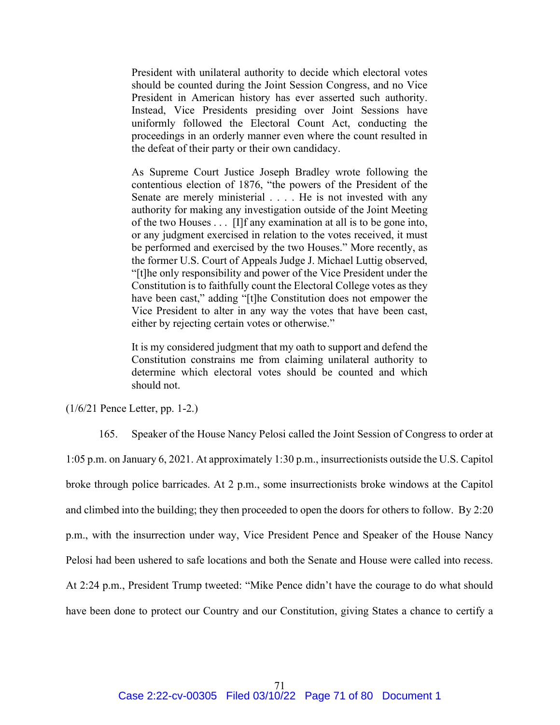President with unilateral authority to decide which electoral votes should be counted during the Joint Session Congress, and no Vice President in American history has ever asserted such authority. Instead, Vice Presidents presiding over Joint Sessions have uniformly followed the Electoral Count Act, conducting the proceedings in an orderly manner even where the count resulted in the defeat of their party or their own candidacy.

As Supreme Court Justice Joseph Bradley wrote following the contentious election of 1876, "the powers of the President of the Senate are merely ministerial . . . . He is not invested with any authority for making any investigation outside of the Joint Meeting of the two Houses . . . [I]f any examination at all is to be gone into, or any judgment exercised in relation to the votes received, it must be performed and exercised by the two Houses." More recently, as the former U.S. Court of Appeals Judge J. Michael Luttig observed, "[t]he only responsibility and power of the Vice President under the Constitution is to faithfully count the Electoral College votes as they have been cast," adding "[t]he Constitution does not empower the Vice President to alter in any way the votes that have been cast, either by rejecting certain votes or otherwise."

It is my considered judgment that my oath to support and defend the Constitution constrains me from claiming unilateral authority to determine which electoral votes should be counted and which should not.

(1/6/21 Pence Letter, pp. 1-2.)

165. Speaker of the House Nancy Pelosi called the Joint Session of Congress to order at 1:05 p.m. on January 6, 2021. At approximately 1:30 p.m., insurrectionists outside the U.S. Capitol broke through police barricades. At 2 p.m., some insurrectionists broke windows at the Capitol and climbed into the building; they then proceeded to open the doors for others to follow. By 2:20 p.m., with the insurrection under way, Vice President Pence and Speaker of the House Nancy Pelosi had been ushered to safe locations and both the Senate and House were called into recess. At 2:24 p.m., President Trump tweeted: "Mike Pence didn't have the courage to do what should have been done to protect our Country and our Constitution, giving States a chance to certify a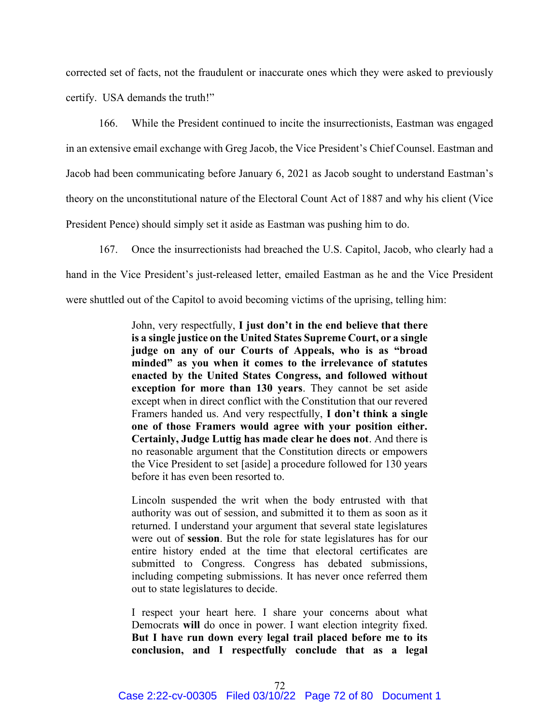corrected set of facts, not the fraudulent or inaccurate ones which they were asked to previously certify. USA demands the truth!"

166. While the President continued to incite the insurrectionists, Eastman was engaged in an extensive email exchange with Greg Jacob, the Vice President's Chief Counsel. Eastman and Jacob had been communicating before January 6, 2021 as Jacob sought to understand Eastman's theory on the unconstitutional nature of the Electoral Count Act of 1887 and why his client (Vice President Pence) should simply set it aside as Eastman was pushing him to do.

167. Once the insurrectionists had breached the U.S. Capitol, Jacob, who clearly had a hand in the Vice President's just-released letter, emailed Eastman as he and the Vice President were shuttled out of the Capitol to avoid becoming victims of the uprising, telling him:

> John, very respectfully, I just don't in the end believe that there is a single justice on the United States Supreme Court, or a single judge on any of our Courts of Appeals, who is as "broad minded" as you when it comes to the irrelevance of statutes enacted by the United States Congress, and followed without exception for more than 130 years. They cannot be set aside except when in direct conflict with the Constitution that our revered Framers handed us. And very respectfully, I don't think a single one of those Framers would agree with your position either. Certainly, Judge Luttig has made clear he does not. And there is no reasonable argument that the Constitution directs or empowers the Vice President to set [aside] a procedure followed for 130 years before it has even been resorted to.

> Lincoln suspended the writ when the body entrusted with that authority was out of session, and submitted it to them as soon as it returned. I understand your argument that several state legislatures were out of session. But the role for state legislatures has for our entire history ended at the time that electoral certificates are submitted to Congress. Congress has debated submissions, including competing submissions. It has never once referred them out to state legislatures to decide.

> I respect your heart here. I share your concerns about what Democrats will do once in power. I want election integrity fixed. But I have run down every legal trail placed before me to its conclusion, and I respectfully conclude that as a legal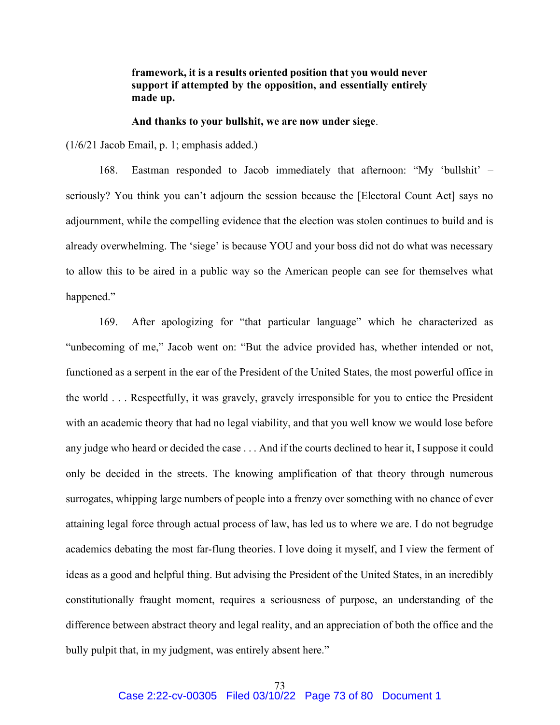## framework, it is a results oriented position that you would never support if attempted by the opposition, and essentially entirely made up.

## And thanks to your bullshit, we are now under siege.

(1/6/21 Jacob Email, p. 1; emphasis added.)

168. Eastman responded to Jacob immediately that afternoon: "My 'bullshit' – seriously? You think you can't adjourn the session because the [Electoral Count Act] says no adjournment, while the compelling evidence that the election was stolen continues to build and is already overwhelming. The 'siege' is because YOU and your boss did not do what was necessary to allow this to be aired in a public way so the American people can see for themselves what happened."

169. After apologizing for "that particular language" which he characterized as "unbecoming of me," Jacob went on: "But the advice provided has, whether intended or not, functioned as a serpent in the ear of the President of the United States, the most powerful office in the world . . . Respectfully, it was gravely, gravely irresponsible for you to entice the President with an academic theory that had no legal viability, and that you well know we would lose before any judge who heard or decided the case . . . And if the courts declined to hear it, I suppose it could only be decided in the streets. The knowing amplification of that theory through numerous surrogates, whipping large numbers of people into a frenzy over something with no chance of ever attaining legal force through actual process of law, has led us to where we are. I do not begrudge academics debating the most far-flung theories. I love doing it myself, and I view the ferment of ideas as a good and helpful thing. But advising the President of the United States, in an incredibly constitutionally fraught moment, requires a seriousness of purpose, an understanding of the difference between abstract theory and legal reality, and an appreciation of both the office and the bully pulpit that, in my judgment, was entirely absent here."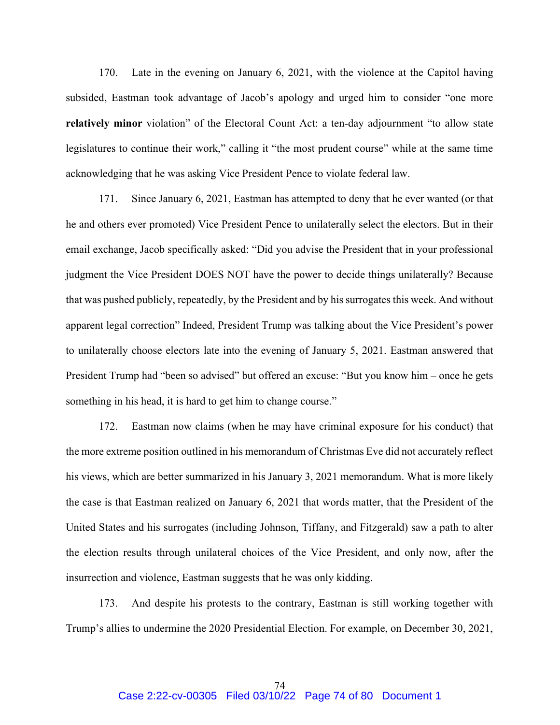170. Late in the evening on January 6, 2021, with the violence at the Capitol having subsided, Eastman took advantage of Jacob's apology and urged him to consider "one more relatively minor violation" of the Electoral Count Act: a ten-day adjournment "to allow state legislatures to continue their work," calling it "the most prudent course" while at the same time acknowledging that he was asking Vice President Pence to violate federal law.

171. Since January 6, 2021, Eastman has attempted to deny that he ever wanted (or that he and others ever promoted) Vice President Pence to unilaterally select the electors. But in their email exchange, Jacob specifically asked: "Did you advise the President that in your professional judgment the Vice President DOES NOT have the power to decide things unilaterally? Because that was pushed publicly, repeatedly, by the President and by his surrogates this week. And without apparent legal correction" Indeed, President Trump was talking about the Vice President's power to unilaterally choose electors late into the evening of January 5, 2021. Eastman answered that President Trump had "been so advised" but offered an excuse: "But you know him – once he gets something in his head, it is hard to get him to change course."

172. Eastman now claims (when he may have criminal exposure for his conduct) that the more extreme position outlined in his memorandum of Christmas Eve did not accurately reflect his views, which are better summarized in his January 3, 2021 memorandum. What is more likely the case is that Eastman realized on January 6, 2021 that words matter, that the President of the United States and his surrogates (including Johnson, Tiffany, and Fitzgerald) saw a path to alter the election results through unilateral choices of the Vice President, and only now, after the insurrection and violence, Eastman suggests that he was only kidding.

173. And despite his protests to the contrary, Eastman is still working together with Trump's allies to undermine the 2020 Presidential Election. For example, on December 30, 2021,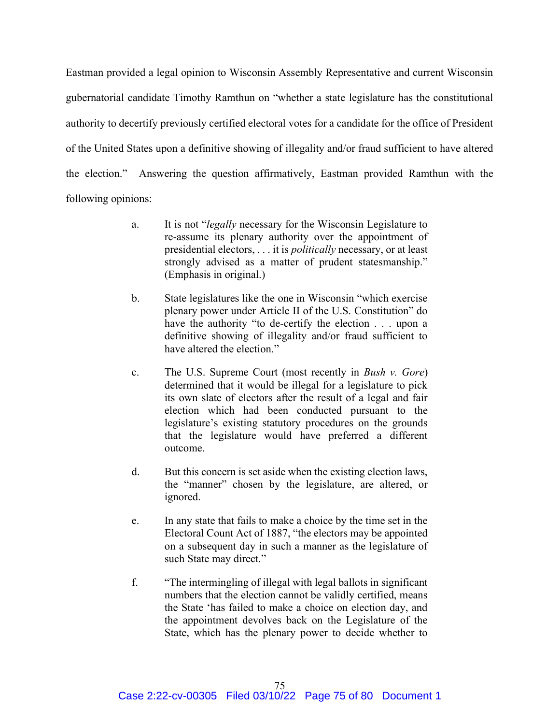Eastman provided a legal opinion to Wisconsin Assembly Representative and current Wisconsin gubernatorial candidate Timothy Ramthun on "whether a state legislature has the constitutional authority to decertify previously certified electoral votes for a candidate for the office of President of the United States upon a definitive showing of illegality and/or fraud sufficient to have altered the election." Answering the question affirmatively, Eastman provided Ramthun with the following opinions:

- a. It is not "*legally* necessary for the Wisconsin Legislature to re-assume its plenary authority over the appointment of presidential electors, . . . it is politically necessary, or at least strongly advised as a matter of prudent statesmanship." (Emphasis in original.)
- b. State legislatures like the one in Wisconsin "which exercise plenary power under Article II of the U.S. Constitution" do have the authority "to de-certify the election . . . upon a definitive showing of illegality and/or fraud sufficient to have altered the election."
- c. The U.S. Supreme Court (most recently in Bush v. Gore) determined that it would be illegal for a legislature to pick its own slate of electors after the result of a legal and fair election which had been conducted pursuant to the legislature's existing statutory procedures on the grounds that the legislature would have preferred a different outcome.
- d. But this concern is set aside when the existing election laws, the "manner" chosen by the legislature, are altered, or ignored.
- e. In any state that fails to make a choice by the time set in the Electoral Count Act of 1887, "the electors may be appointed on a subsequent day in such a manner as the legislature of such State may direct."
- f. "The intermingling of illegal with legal ballots in significant numbers that the election cannot be validly certified, means the State 'has failed to make a choice on election day, and the appointment devolves back on the Legislature of the State, which has the plenary power to decide whether to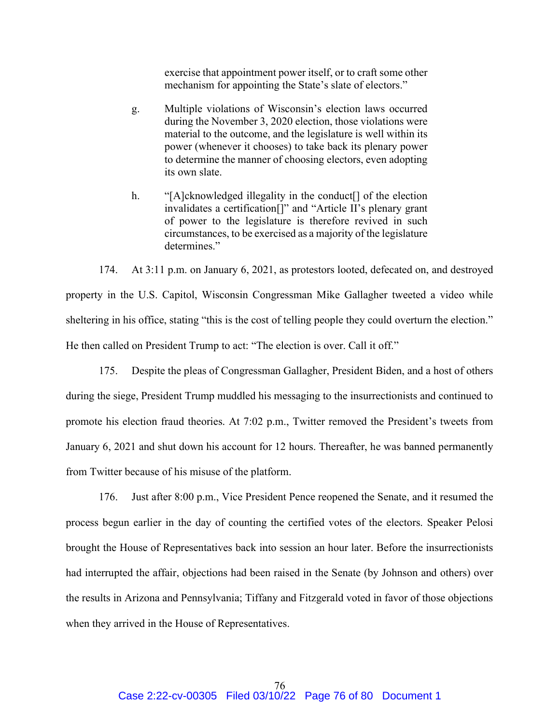exercise that appointment power itself, or to craft some other mechanism for appointing the State's slate of electors."

- g. Multiple violations of Wisconsin's election laws occurred during the November 3, 2020 election, those violations were material to the outcome, and the legislature is well within its power (whenever it chooses) to take back its plenary power to determine the manner of choosing electors, even adopting its own slate.
- h. "[A]cknowledged illegality in the conduct<sup>[]</sup> of the election invalidates a certification[]" and "Article II's plenary grant of power to the legislature is therefore revived in such circumstances, to be exercised as a majority of the legislature determines."

174. At 3:11 p.m. on January 6, 2021, as protestors looted, defecated on, and destroyed property in the U.S. Capitol, Wisconsin Congressman Mike Gallagher tweeted a video while sheltering in his office, stating "this is the cost of telling people they could overturn the election." He then called on President Trump to act: "The election is over. Call it off."

175. Despite the pleas of Congressman Gallagher, President Biden, and a host of others during the siege, President Trump muddled his messaging to the insurrectionists and continued to promote his election fraud theories. At 7:02 p.m., Twitter removed the President's tweets from January 6, 2021 and shut down his account for 12 hours. Thereafter, he was banned permanently from Twitter because of his misuse of the platform.

176. Just after 8:00 p.m., Vice President Pence reopened the Senate, and it resumed the process begun earlier in the day of counting the certified votes of the electors. Speaker Pelosi brought the House of Representatives back into session an hour later. Before the insurrectionists had interrupted the affair, objections had been raised in the Senate (by Johnson and others) over the results in Arizona and Pennsylvania; Tiffany and Fitzgerald voted in favor of those objections when they arrived in the House of Representatives.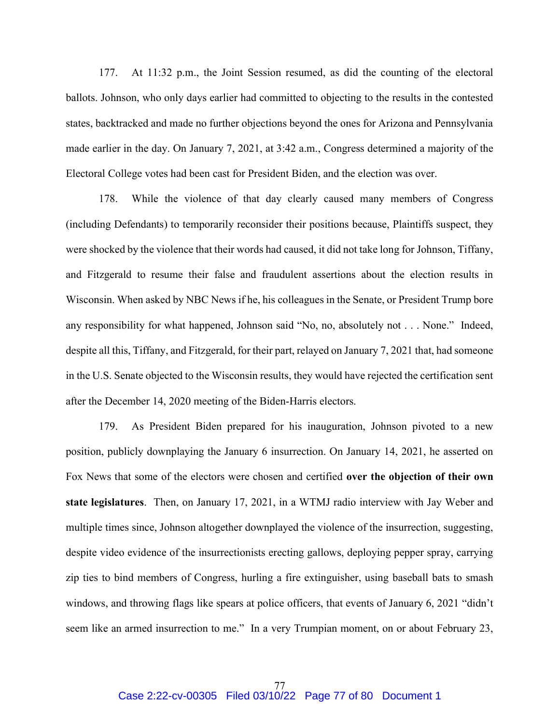177. At 11:32 p.m., the Joint Session resumed, as did the counting of the electoral ballots. Johnson, who only days earlier had committed to objecting to the results in the contested states, backtracked and made no further objections beyond the ones for Arizona and Pennsylvania made earlier in the day. On January 7, 2021, at 3:42 a.m., Congress determined a majority of the Electoral College votes had been cast for President Biden, and the election was over.

178. While the violence of that day clearly caused many members of Congress (including Defendants) to temporarily reconsider their positions because, Plaintiffs suspect, they were shocked by the violence that their words had caused, it did not take long for Johnson, Tiffany, and Fitzgerald to resume their false and fraudulent assertions about the election results in Wisconsin. When asked by NBC News if he, his colleagues in the Senate, or President Trump bore any responsibility for what happened, Johnson said "No, no, absolutely not . . . None." Indeed, despite all this, Tiffany, and Fitzgerald, for their part, relayed on January 7, 2021 that, had someone in the U.S. Senate objected to the Wisconsin results, they would have rejected the certification sent after the December 14, 2020 meeting of the Biden-Harris electors.

179. As President Biden prepared for his inauguration, Johnson pivoted to a new position, publicly downplaying the January 6 insurrection. On January 14, 2021, he asserted on Fox News that some of the electors were chosen and certified over the objection of their own state legislatures. Then, on January 17, 2021, in a WTMJ radio interview with Jay Weber and multiple times since, Johnson altogether downplayed the violence of the insurrection, suggesting, despite video evidence of the insurrectionists erecting gallows, deploying pepper spray, carrying zip ties to bind members of Congress, hurling a fire extinguisher, using baseball bats to smash windows, and throwing flags like spears at police officers, that events of January 6, 2021 "didn't seem like an armed insurrection to me." In a very Trumpian moment, on or about February 23,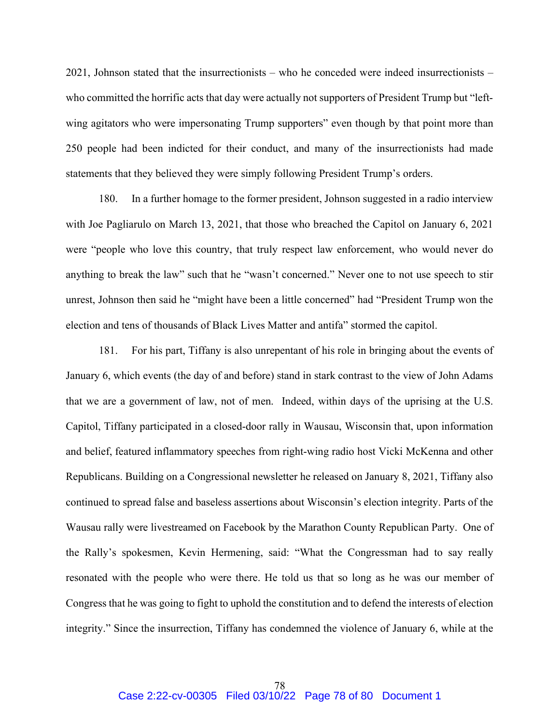2021, Johnson stated that the insurrectionists – who he conceded were indeed insurrectionists – who committed the horrific acts that day were actually not supporters of President Trump but "leftwing agitators who were impersonating Trump supporters" even though by that point more than 250 people had been indicted for their conduct, and many of the insurrectionists had made statements that they believed they were simply following President Trump's orders.

180. In a further homage to the former president, Johnson suggested in a radio interview with Joe Pagliarulo on March 13, 2021, that those who breached the Capitol on January 6, 2021 were "people who love this country, that truly respect law enforcement, who would never do anything to break the law" such that he "wasn't concerned." Never one to not use speech to stir unrest, Johnson then said he "might have been a little concerned" had "President Trump won the election and tens of thousands of Black Lives Matter and antifa" stormed the capitol.

181. For his part, Tiffany is also unrepentant of his role in bringing about the events of January 6, which events (the day of and before) stand in stark contrast to the view of John Adams that we are a government of law, not of men. Indeed, within days of the uprising at the U.S. Capitol, Tiffany participated in a closed-door rally in Wausau, Wisconsin that, upon information and belief, featured inflammatory speeches from right-wing radio host Vicki McKenna and other Republicans. Building on a Congressional newsletter he released on January 8, 2021, Tiffany also continued to spread false and baseless assertions about Wisconsin's election integrity. Parts of the Wausau rally were livestreamed on Facebook by the Marathon County Republican Party. One of the Rally's spokesmen, Kevin Hermening, said: "What the Congressman had to say really resonated with the people who were there. He told us that so long as he was our member of Congress that he was going to fight to uphold the constitution and to defend the interests of election integrity." Since the insurrection, Tiffany has condemned the violence of January 6, while at the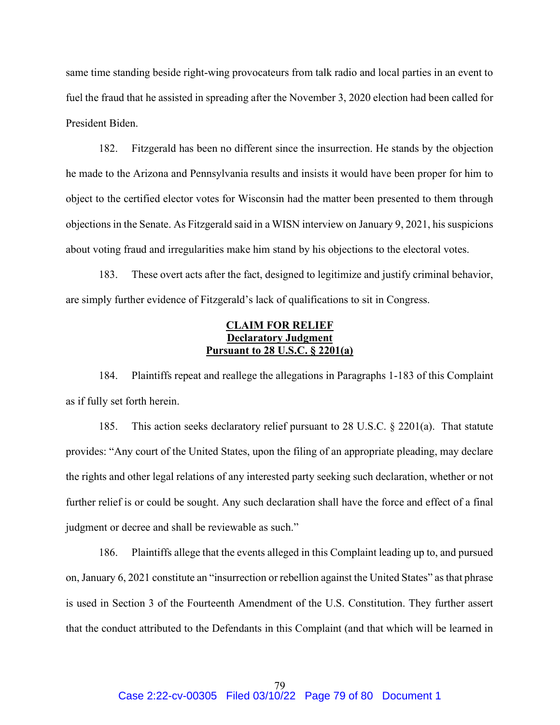same time standing beside right-wing provocateurs from talk radio and local parties in an event to fuel the fraud that he assisted in spreading after the November 3, 2020 election had been called for President Biden.

182. Fitzgerald has been no different since the insurrection. He stands by the objection he made to the Arizona and Pennsylvania results and insists it would have been proper for him to object to the certified elector votes for Wisconsin had the matter been presented to them through objections in the Senate. As Fitzgerald said in a WISN interview on January 9, 2021, his suspicions about voting fraud and irregularities make him stand by his objections to the electoral votes.

183. These overt acts after the fact, designed to legitimize and justify criminal behavior, are simply further evidence of Fitzgerald's lack of qualifications to sit in Congress.

## CLAIM FOR RELIEF Declaratory Judgment Pursuant to 28 U.S.C. § 2201(a)

184. Plaintiffs repeat and reallege the allegations in Paragraphs 1-183 of this Complaint as if fully set forth herein.

185. This action seeks declaratory relief pursuant to 28 U.S.C. § 2201(a). That statute provides: "Any court of the United States, upon the filing of an appropriate pleading, may declare the rights and other legal relations of any interested party seeking such declaration, whether or not further relief is or could be sought. Any such declaration shall have the force and effect of a final judgment or decree and shall be reviewable as such."

186. Plaintiffs allege that the events alleged in this Complaint leading up to, and pursued on, January 6, 2021 constitute an "insurrection or rebellion against the United States" as that phrase is used in Section 3 of the Fourteenth Amendment of the U.S. Constitution. They further assert that the conduct attributed to the Defendants in this Complaint (and that which will be learned in